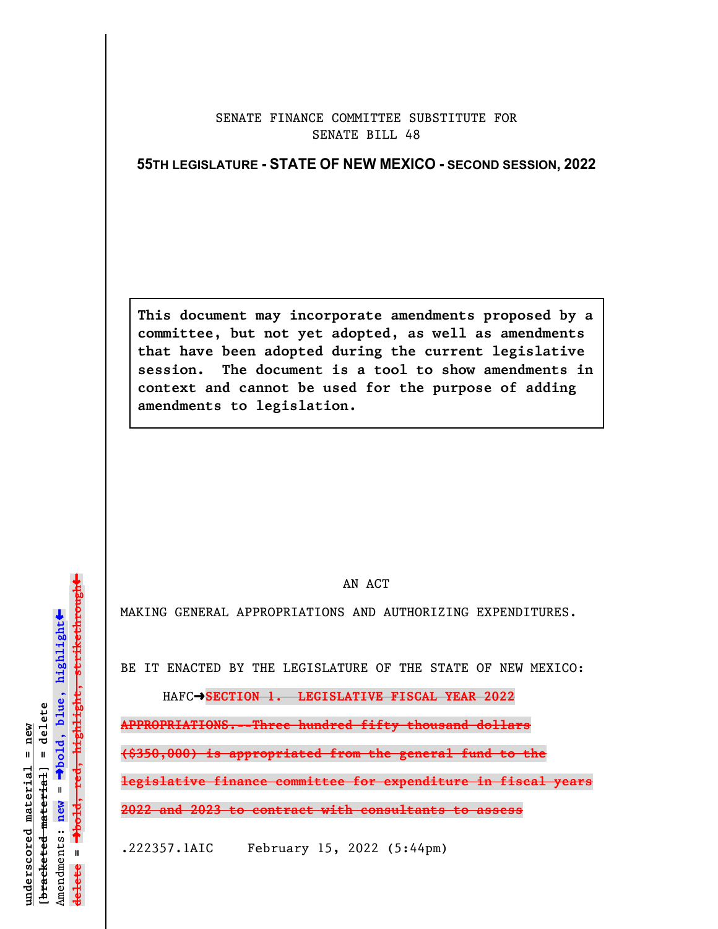## SENATE FINANCE COMMITTEE SUBSTITUTE FOR SENATE BILL 48

## **55TH LEGISLATURE - STATE OF NEW MEXICO - SECOND SESSION, 2022**

**This document may incorporate amendments proposed by a committee, but not yet adopted, as well as amendments that have been adopted during the current legislative session. The document is a tool to show amendments in context and cannot be used for the purpose of adding amendments to legislation.**

AN ACT

MAKING GENERAL APPROPRIATIONS AND AUTHORIZING EXPENDITURES.

BE IT ENACTED BY THE LEGISLATURE OF THE STATE OF NEW MEXICO:

HAFC $\rightarrow$ **SECTION 1. LEGISLATIVE FISCAL YEAR 2022** 

**APPROPRIATIONS.--Three hundred fifty thousand dollars**

**(\$350,000) is appropriated from the general fund to the**

**legislative finance committee for expenditure in fiscal years**

**2022 and 2023 to contract with consultants to assess**

.222357.1AIC February 15, 2022 (5:44pm)

 $\ddag$ º**bold, red, highlight, strikethrough**  $\ddot{\bullet}$ º**bold, blue, highlight**  $b$ racketed material] = delete **[bracketed material] = delete** inderscored material = new **underscored material = new** Amendments: new = Amendments: **new** =  $\mathbf{I}$ **delete =** lelete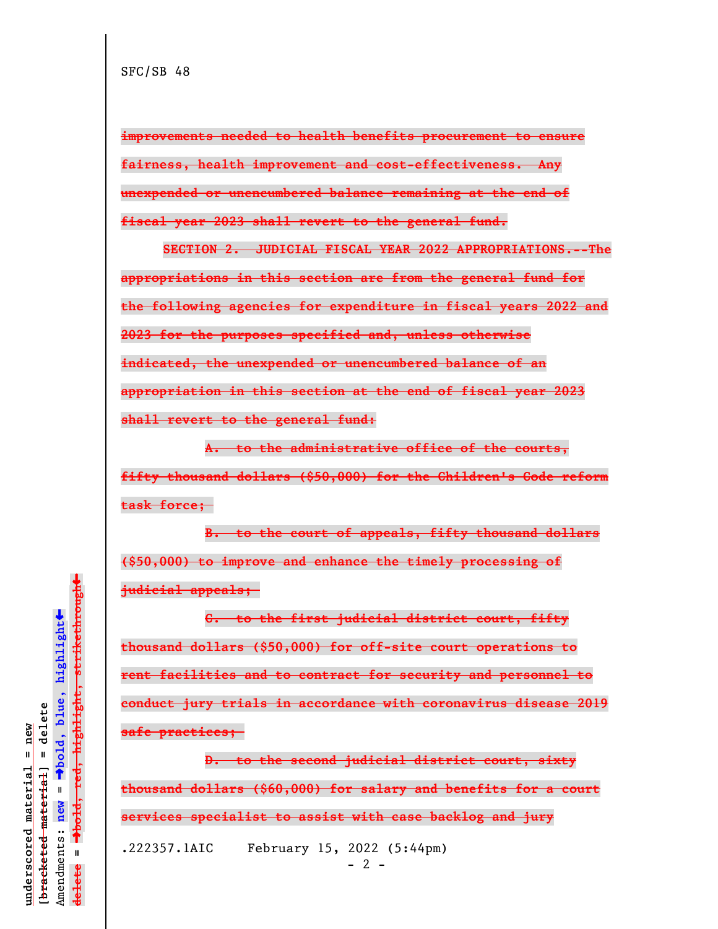**improvements needed to health benefits procurement to ensure fairness, health improvement and cost-effectiveness. Any unexpended or unencumbered balance remaining at the end of fiscal year 2023 shall revert to the general fund.**

**SECTION 2. JUDICIAL FISCAL YEAR 2022 APPROPRIATIONS.--The appropriations in this section are from the general fund for the following agencies for expenditure in fiscal years 2022 and 2023 for the purposes specified and, unless otherwise indicated, the unexpended or unencumbered balance of an appropriation in this section at the end of fiscal year 2023 shall revert to the general fund:**

**A. to the administrative office of the courts, fifty thousand dollars (\$50,000) for the Children's Code reform task force;** 

**B. to the court of appeals, fifty thousand dollars (\$50,000) to improve and enhance the timely processing of judicial appeals;** 

**C. to the first judicial district court, fifty thousand dollars (\$50,000) for off-site court operations to rent facilities and to contract for security and personnel to conduct jury trials in accordance with coronavirus disease 2019 safe practices;** 

**D. to the second judicial district court, sixty thousand dollars (\$60,000) for salary and benefits for a court services specialist to assist with case backlog and jury** .222357.1AIC February 15, 2022 (5:44pm)

 $- 2 -$ 

 $\ddag$ º**bold, red, highlight, strikethrough**  $\ddot{\bullet}$ º**bold, blue, highlight**  $b$ racketed material] = delete **[bracketed material] = delete** inderscored material = new **underscored material = new** Amendments: **new** =  $\bar{\mathbf{H}}$ Amendments: new  $\mathbf{I}$ **delete =** lelete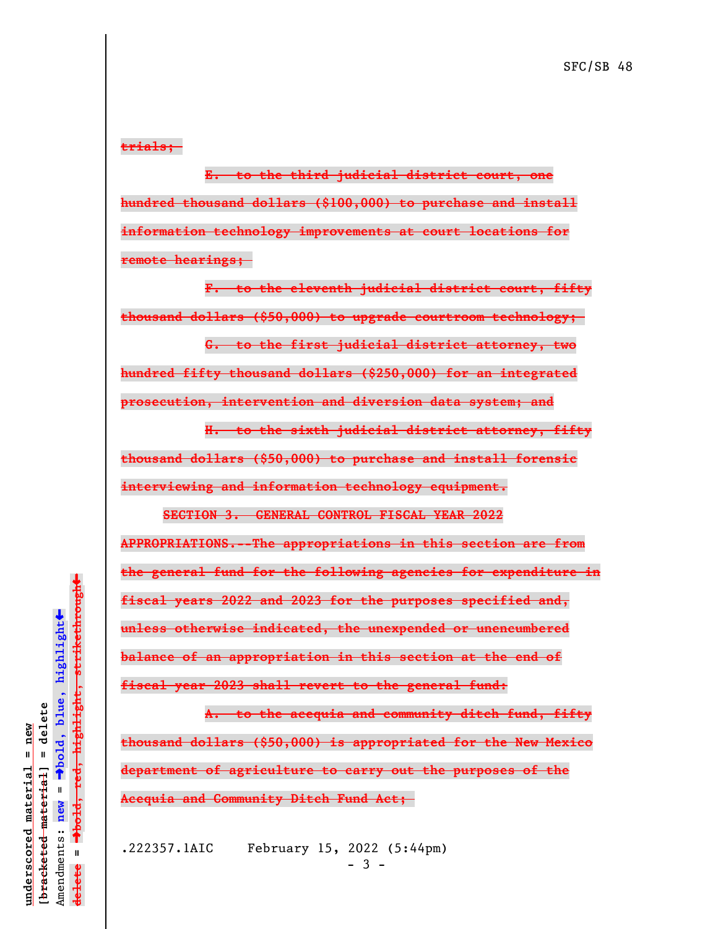**trials;** 

**E. to the third judicial district court, one hundred thousand dollars (\$100,000) to purchase and install information technology improvements at court locations for remote hearings;** 

**F. to the eleventh judicial district court, fifty thousand dollars (\$50,000) to upgrade courtroom technology;** 

**G. to the first judicial district attorney, two**

**hundred fifty thousand dollars (\$250,000) for an integrated prosecution, intervention and diversion data system; and**

**H. to the sixth judicial district attorney, fifty thousand dollars (\$50,000) to purchase and install forensic interviewing and information technology equipment.**

**SECTION 3. GENERAL CONTROL FISCAL YEAR 2022 APPROPRIATIONS.--The appropriations in this section are from the general fund for the following agencies for expenditure in fiscal years 2022 and 2023 for the purposes specified and, unless otherwise indicated, the unexpended or unencumbered balance of an appropriation in this section at the end of fiscal year 2023 shall revert to the general fund:**

**A. to the acequia and community ditch fund, fifty thousand dollars (\$50,000) is appropriated for the New Mexico department of agriculture to carry out the purposes of the Acequia and Community Ditch Fund Act;** 

.222357.1AIC February 15, 2022 (5:44pm) - 3 -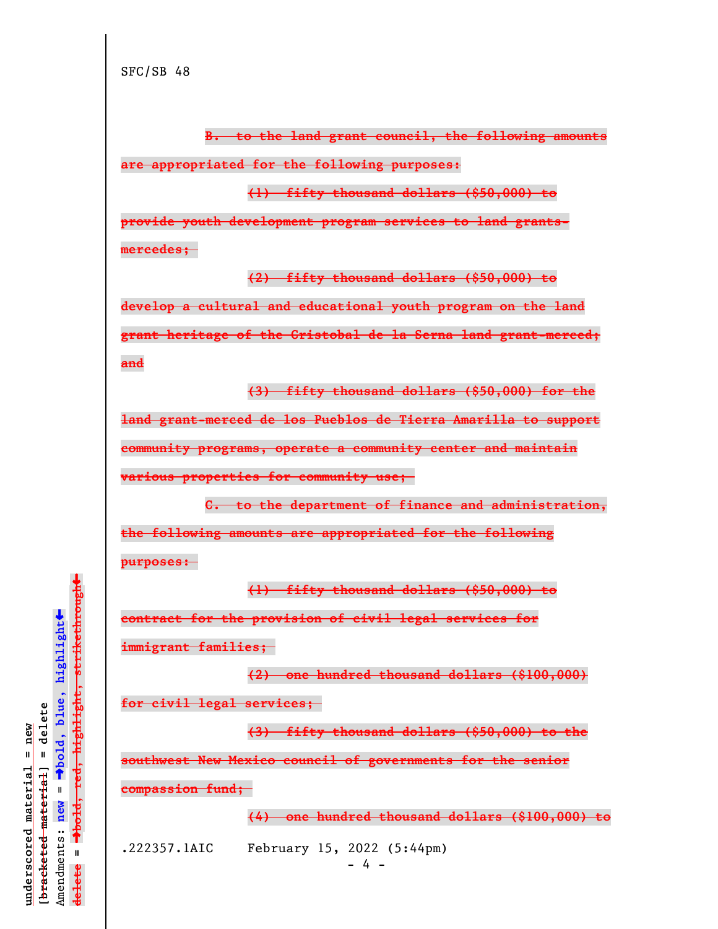**B. to the land grant council, the following amounts**

**are appropriated for the following purposes:**

**(1) fifty thousand dollars (\$50,000) to**

**provide youth development program services to land grantsmercedes;** 

**(2) fifty thousand dollars (\$50,000) to**

**develop a cultural and educational youth program on the land grant heritage of the Cristobal de la Serna land grant-merced; and**

**(3) fifty thousand dollars (\$50,000) for the**

**land grant-merced de los Pueblos de Tierra Amarilla to support community programs, operate a community center and maintain various properties for community use;** 

**C. to the department of finance and administration, the following amounts are appropriated for the following purposes:** 

**(1) fifty thousand dollars (\$50,000) to**

**contract for the provision of civil legal services for**

**immigrant families;** 

**(2) one hundred thousand dollars (\$100,000) for civil legal services;** 

**(3) fifty thousand dollars (\$50,000) to the**

**southwest New Mexico council of governments for the senior**

**compassion fund;** 

**(4) one hundred thousand dollars (\$100,000) to**

.222357.1AIC February 15, 2022 (5:44pm)

 $- 4 -$ 

º**bold, red, highlight, strikethrough**  $\ddot{\bullet}$ º**bold, blue, highlight**  $b$ racketed material] = delete **[bracketed material] = delete** inderscored material = new **underscored material = new** Amendments: **new** =  $\mathbf{I}$ Amendments: new  $\mathbf{I}$ **delete =** lelete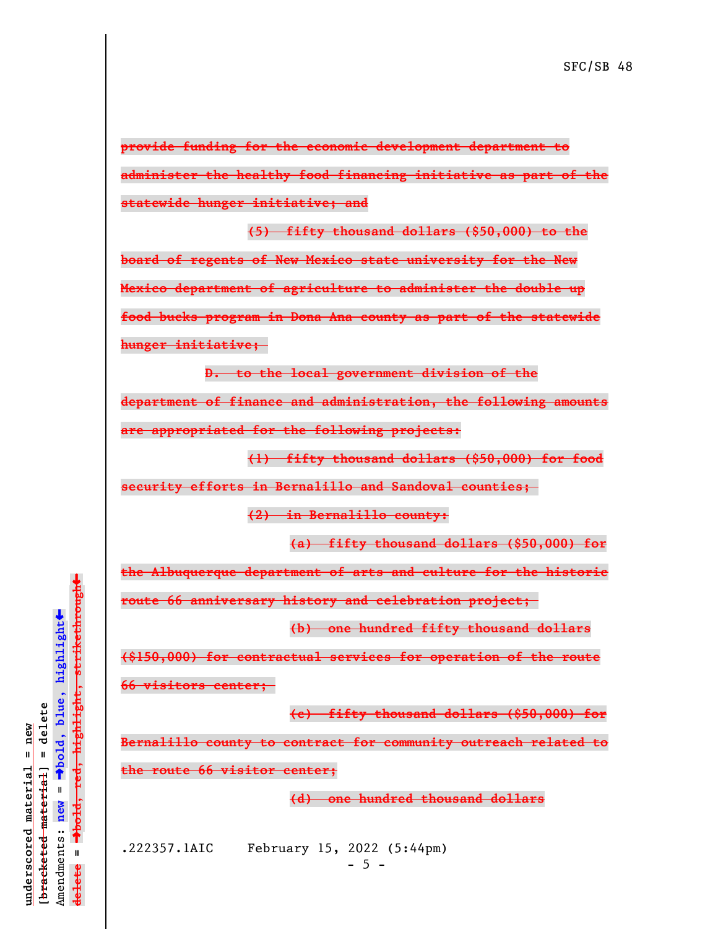**provide funding for the economic development department to administer the healthy food financing initiative as part of the statewide hunger initiative; and**

**(5) fifty thousand dollars (\$50,000) to the board of regents of New Mexico state university for the New Mexico department of agriculture to administer the double up food bucks program in Dona Ana county as part of the statewide hunger initiative;** 

**D. to the local government division of the department of finance and administration, the following amounts are appropriated for the following projects:**

**(1) fifty thousand dollars (\$50,000) for food**

**security efforts in Bernalillo and Sandoval counties;** 

**(2) in Bernalillo county:**

**(a) fifty thousand dollars (\$50,000) for**

**the Albuquerque department of arts and culture for the historic**

**route 66 anniversary history and celebration project;** 

**(b) one hundred fifty thousand dollars**

**(\$150,000) for contractual services for operation of the route**

**66 visitors center;** 

**(c) fifty thousand dollars (\$50,000) for**

**Bernalillo county to contract for community outreach related to**

**the route 66 visitor center;**

**(d) one hundred thousand dollars**

.222357.1AIC February 15, 2022 (5:44pm)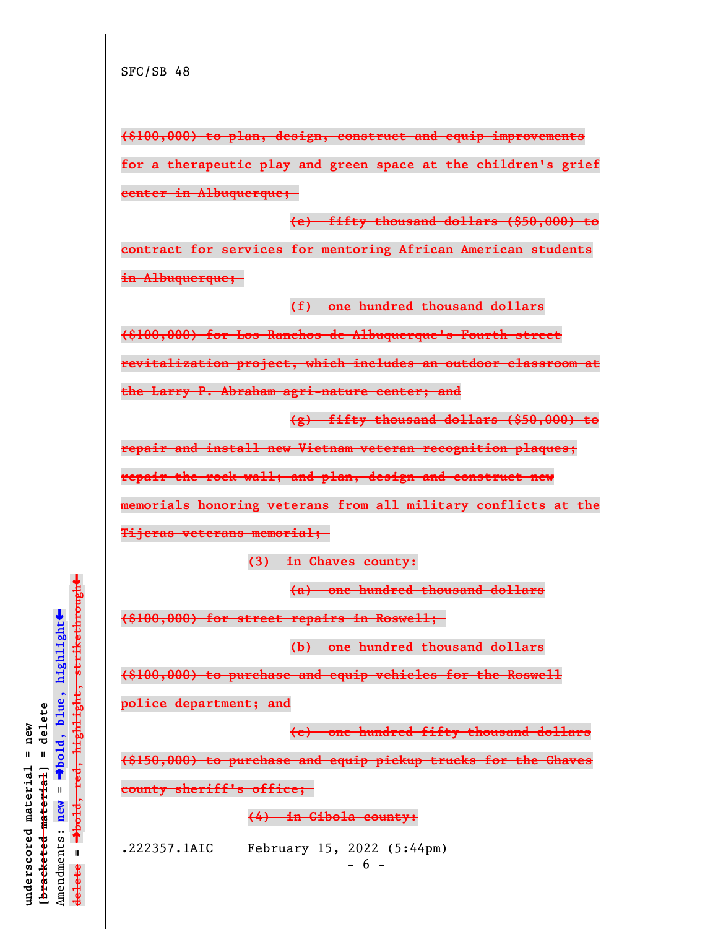**(\$100,000) to plan, design, construct and equip improvements for a therapeutic play and green space at the children's grief center in Albuquerque; (e) fifty thousand dollars (\$50,000) to**

**contract for services for mentoring African American students in Albuquerque;** 

**(f) one hundred thousand dollars**

**(\$100,000) for Los Ranchos de Albuquerque's Fourth street**

**revitalization project, which includes an outdoor classroom at**

**the Larry P. Abraham agri-nature center; and**

**(g) fifty thousand dollars (\$50,000) to**

**repair and install new Vietnam veteran recognition plaques;**

**repair the rock wall; and plan, design and construct new**

**memorials honoring veterans from all military conflicts at the**

**Tijeras veterans memorial;** 

**(3) in Chaves county:**

**(a) one hundred thousand dollars**

**(\$100,000) for street repairs in Roswell;** 

**(b) one hundred thousand dollars**

**(\$100,000) to purchase and equip vehicles for the Roswell**

**police department; and**

**(c) one hundred fifty thousand dollars**

**(\$150,000) to purchase and equip pickup trucks for the Chaves**

**county sheriff's office;** 

**(4) in Cibola county:**

.222357.1AIC February 15, 2022 (5:44pm)

- 6 -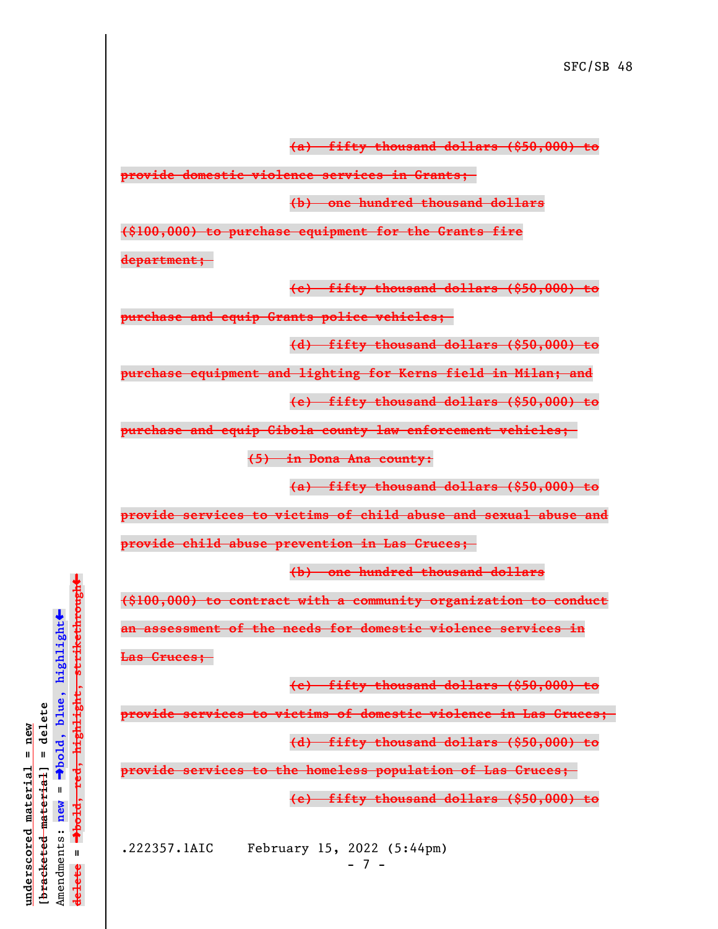**(a) fifty thousand dollars (\$50,000) to**

**provide domestic violence services in Grants;** 

**(b) one hundred thousand dollars**

**(\$100,000) to purchase equipment for the Grants fire**

**department;** 

**(c) fifty thousand dollars (\$50,000) to**

**purchase and equip Grants police vehicles;** 

**(d) fifty thousand dollars (\$50,000) to**

**purchase equipment and lighting for Kerns field in Milan; and**

**(e) fifty thousand dollars (\$50,000) to**

**purchase and equip Cibola county law enforcement vehicles;** 

**(5) in Dona Ana county:**

**(a) fifty thousand dollars (\$50,000) to**

**provide services to victims of child abuse and sexual abuse and**

**provide child abuse prevention in Las Cruces;** 

**(b) one hundred thousand dollars**

**(\$100,000) to contract with a community organization to conduct**

**an assessment of the needs for domestic violence services in**

**Las Cruces;** 

**(c) fifty thousand dollars (\$50,000) to**

**provide services to victims of domestic violence in Las Cruces;** 

**(d) fifty thousand dollars (\$50,000) to**

**provide services to the homeless population of Las Cruces;** 

**(e) fifty thousand dollars (\$50,000) to**

.222357.1AIC February 15, 2022 (5:44pm)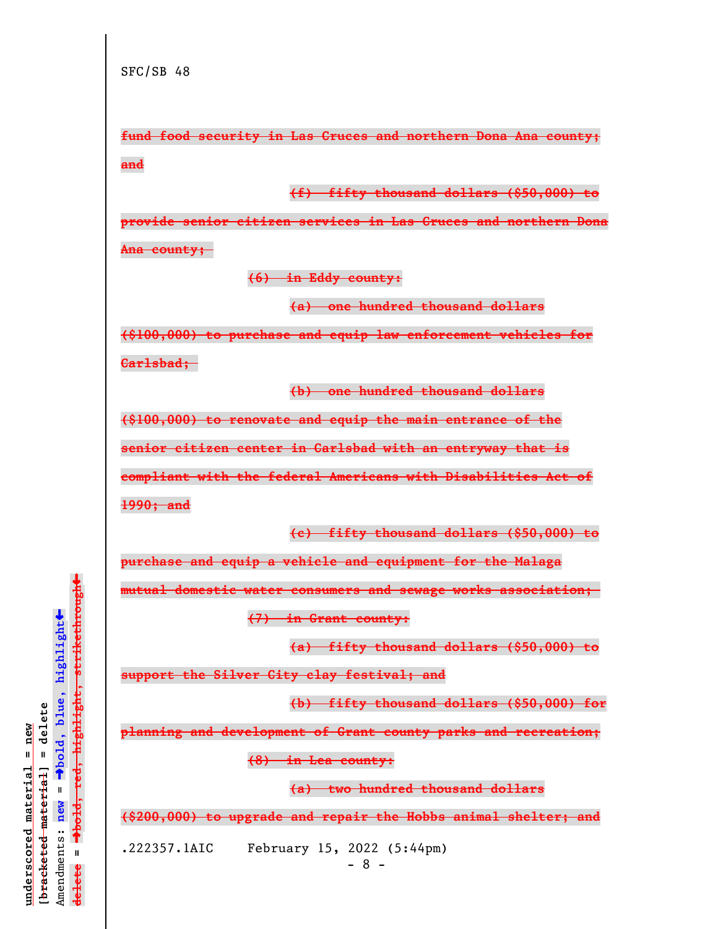**fund food security in Las Cruces and northern Dona Ana county; and**

**(f) fifty thousand dollars (\$50,000) to**

**provide senior citizen services in Las Cruces and northern Dona Ana county;** 

**(6) in Eddy county:**

**(a) one hundred thousand dollars**

**(\$100,000) to purchase and equip law enforcement vehicles for**

**Carlsbad;** 

**(b) one hundred thousand dollars**

**(\$100,000) to renovate and equip the main entrance of the**

**senior citizen center in Carlsbad with an entryway that is**

**compliant with the federal Americans with Disabilities Act of 1990; and**

**(c) fifty thousand dollars (\$50,000) to**

**purchase and equip a vehicle and equipment for the Malaga**

**mutual domestic water consumers and sewage works association;** 

**(7) in Grant county:**

**(a) fifty thousand dollars (\$50,000) to**

**support the Silver City clay festival; and**

**(b) fifty thousand dollars (\$50,000) for**

**planning and development of Grant county parks and recreation;**

**(8) in Lea county:**

**(a) two hundred thousand dollars**

**(\$200,000) to upgrade and repair the Hobbs animal shelter; and**

.222357.1AIC February 15, 2022 (5:44pm)

- 8 -

 $\ddag$ º**bold, red, highlight, strikethrough**  $\ddot{\bullet}$ º**bold, blue, highlight**  $b$ racketed material] = delete **[bracketed material] = delete** inderscored material = new **underscored material = new** Amendments: **new** =  $\mathbf{I}$ Amendments: new  $\mathbf{I}$ **delete =** lelete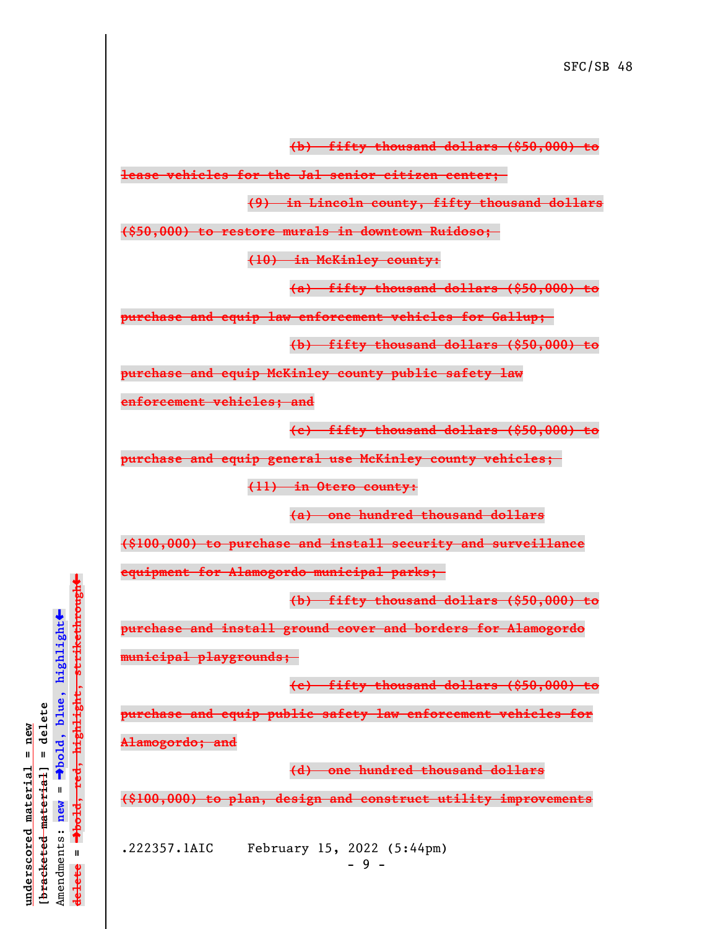**(b) fifty thousand dollars (\$50,000) to**

**lease vehicles for the Jal senior citizen center;** 

**(9) in Lincoln county, fifty thousand dollars**

**(\$50,000) to restore murals in downtown Ruidoso;** 

**(10) in McKinley county:**

**(a) fifty thousand dollars (\$50,000) to**

**purchase and equip law enforcement vehicles for Gallup;** 

**(b) fifty thousand dollars (\$50,000) to**

**purchase and equip McKinley county public safety law**

**enforcement vehicles; and**

**(c) fifty thousand dollars (\$50,000) to**

**purchase and equip general use McKinley county vehicles;** 

**(11) in Otero county:**

**(a) one hundred thousand dollars**

**(\$100,000) to purchase and install security and surveillance**

**equipment for Alamogordo municipal parks;** 

**(b) fifty thousand dollars (\$50,000) to**

**purchase and install ground cover and borders for Alamogordo**

**municipal playgrounds;** 

**(c) fifty thousand dollars (\$50,000) to**

**purchase and equip public safety law enforcement vehicles for**

**Alamogordo; and**

**(d) one hundred thousand dollars**

**(\$100,000) to plan, design and construct utility improvements**

.222357.1AIC February 15, 2022 (5:44pm)

 $\ddag$ º**bold, red, highlight, strikethrough**  $\ddot{\bullet}$ º**bold, blue, highlight**  $b$ racketed material] = delete **[bracketed material] = delete** inderscored material = new **underscored material = new** Amendments: **new** =  $\parallel$ Amendments: new  $\mathbf{I}$ **delete =** lelete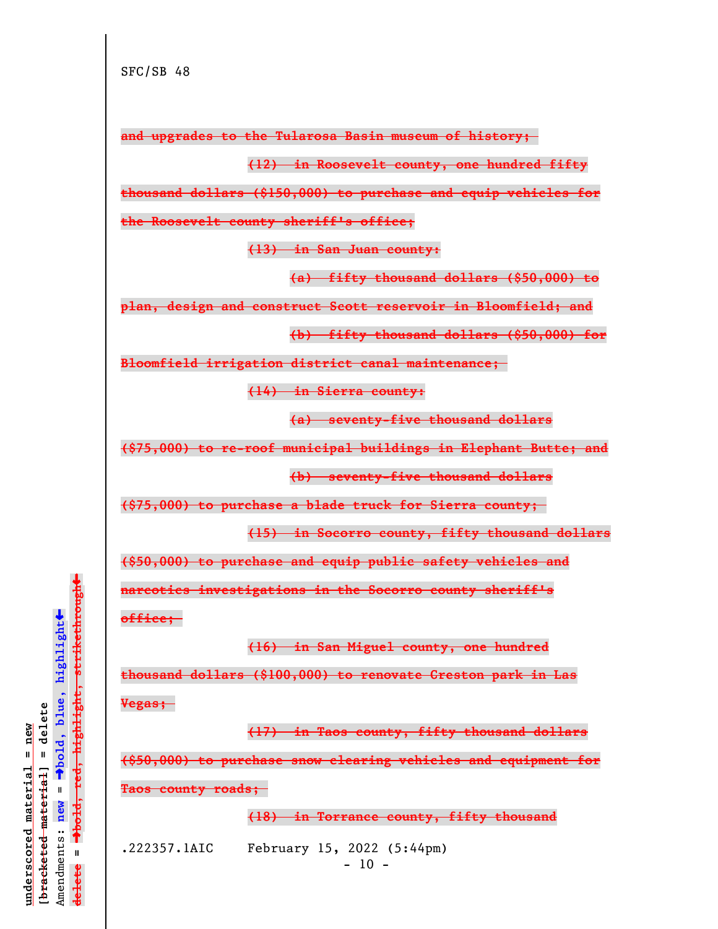**and upgrades to the Tularosa Basin museum of history;** 

**(12) in Roosevelt county, one hundred fifty**

**thousand dollars (\$150,000) to purchase and equip vehicles for**

**the Roosevelt county sheriff's office;**

**(13) in San Juan county:**

**(a) fifty thousand dollars (\$50,000) to**

**plan, design and construct Scott reservoir in Bloomfield; and**

**(b) fifty thousand dollars (\$50,000) for**

**Bloomfield irrigation district canal maintenance;** 

**(14) in Sierra county:**

**(a) seventy-five thousand dollars**

**(\$75,000) to re-roof municipal buildings in Elephant Butte; and**

**(b) seventy-five thousand dollars**

**(\$75,000) to purchase a blade truck for Sierra county;** 

**(15) in Socorro county, fifty thousand dollars**

**(\$50,000) to purchase and equip public safety vehicles and**

**narcotics investigations in the Socorro county sheriff's**

**office;** 

**(16) in San Miguel county, one hundred**

**thousand dollars (\$100,000) to renovate Creston park in Las**

**Vegas;** 

**(17) in Taos county, fifty thousand dollars**

**(\$50,000) to purchase snow clearing vehicles and equipment for**

**Taos county roads;** 

**(18) in Torrance county, fifty thousand**

.222357.1AIC February 15, 2022 (5:44pm)

 $- 10 -$ 

º**bold, red, highlight, strikethrough**  $\ddot{\bullet}$ º**bold, blue, highlight**  $b$ racketed material] = delete **[bracketed material] = delete** inderscored material = new **underscored material = new** Amendments: **new** =  $\bar{\mathbf{H}}$ Amendments: new  $\mathbf{I}$ **delete =** <del>ielete</del>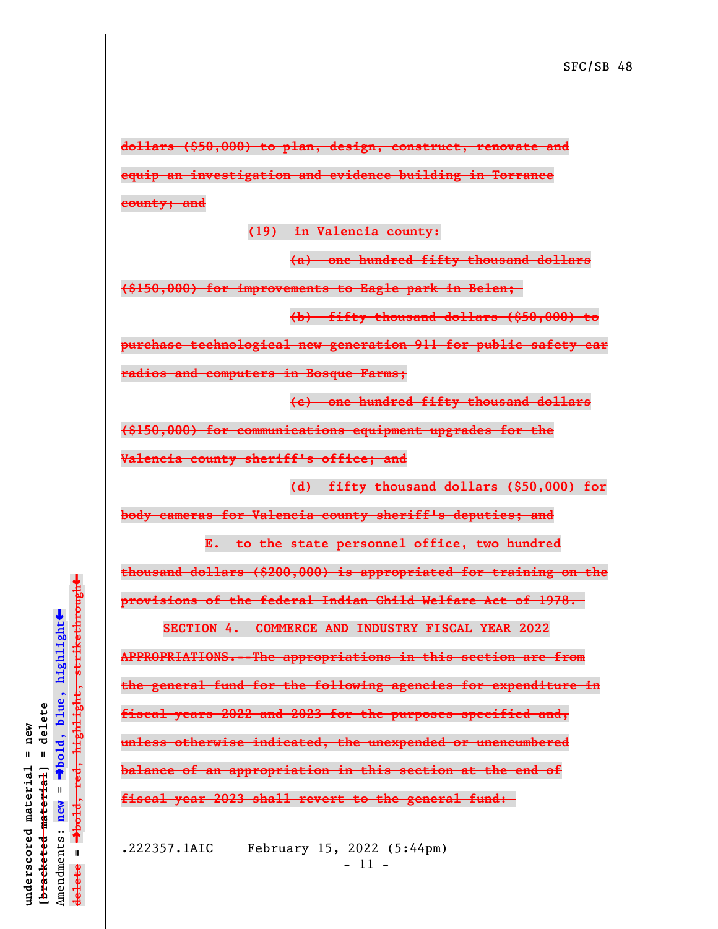**dollars (\$50,000) to plan, design, construct, renovate and equip an investigation and evidence building in Torrance**

**county; and**

**(19) in Valencia county:**

**(a) one hundred fifty thousand dollars**

**(\$150,000) for improvements to Eagle park in Belen;** 

**(b) fifty thousand dollars (\$50,000) to**

**purchase technological new generation 911 for public safety car**

**radios and computers in Bosque Farms;**

**(c) one hundred fifty thousand dollars**

**(\$150,000) for communications equipment upgrades for the**

**Valencia county sheriff's office; and**

**(d) fifty thousand dollars (\$50,000) for**

**body cameras for Valencia county sheriff's deputies; and**

**E. to the state personnel office, two hundred**

**thousand dollars (\$200,000) is appropriated for training on the provisions of the federal Indian Child Welfare Act of 1978.** 

**SECTION 4. COMMERCE AND INDUSTRY FISCAL YEAR 2022**

**APPROPRIATIONS.--The appropriations in this section are from the general fund for the following agencies for expenditure in fiscal years 2022 and 2023 for the purposes specified and, unless otherwise indicated, the unexpended or unencumbered balance of an appropriation in this section at the end of fiscal year 2023 shall revert to the general fund:** 

.222357.1AIC February 15, 2022 (5:44pm) - 11 -

 $\ddag$ º**bold, red, highlight, strikethrough**  $\ddot{\bullet}$ º**bold, blue, highlight**  $\frac{1}{2}$ bracketed material = delete **[bracketed material] = delete** inderscored material = new **underscored material = new** Amendments: **new** =  $\bar{\mathbf{H}}$ Amendments: new  $\mathbf{I}$ **delete =** lelete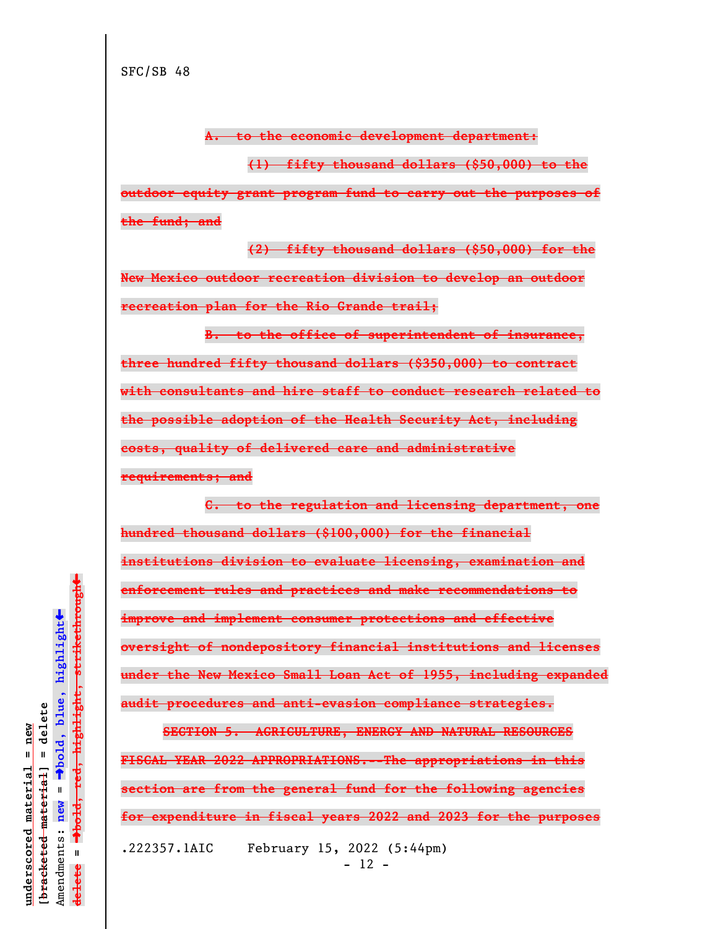**A. to the economic development department:**

**(1) fifty thousand dollars (\$50,000) to the outdoor equity grant program fund to carry out the purposes of the fund; and**

**(2) fifty thousand dollars (\$50,000) for the New Mexico outdoor recreation division to develop an outdoor recreation plan for the Rio Grande trail;**

**B. to the office of superintendent of insurance, three hundred fifty thousand dollars (\$350,000) to contract with consultants and hire staff to conduct research related to the possible adoption of the Health Security Act, including costs, quality of delivered care and administrative requirements; and**

**C. to the regulation and licensing department, one hundred thousand dollars (\$100,000) for the financial institutions division to evaluate licensing, examination and enforcement rules and practices and make recommendations to improve and implement consumer protections and effective oversight of nondepository financial institutions and licenses under the New Mexico Small Loan Act of 1955, including expanded audit procedures and anti-evasion compliance strategies.**

**SECTION 5. AGRICULTURE, ENERGY AND NATURAL RESOURCES FISCAL YEAR 2022 APPROPRIATIONS.--The appropriations in this section are from the general fund for the following agencies for expenditure in fiscal years 2022 and 2023 for the purposes** .222357.1AIC February 15, 2022 (5:44pm) - 12 -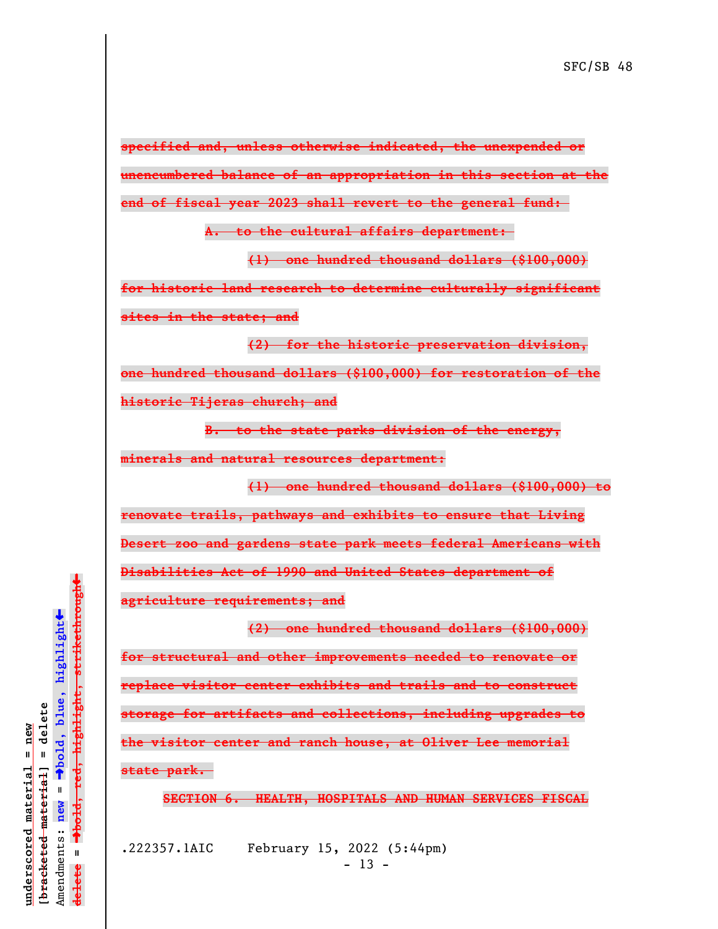**specified and, unless otherwise indicated, the unexpended or unencumbered balance of an appropriation in this section at the end of fiscal year 2023 shall revert to the general fund:** 

**A. to the cultural affairs department:** 

**(1) one hundred thousand dollars (\$100,000)**

**for historic land research to determine culturally significant sites in the state; and**

**(2) for the historic preservation division, one hundred thousand dollars (\$100,000) for restoration of the historic Tijeras church; and**

**B. to the state parks division of the energy, minerals and natural resources department:**

**(1) one hundred thousand dollars (\$100,000) to renovate trails, pathways and exhibits to ensure that Living Desert zoo and gardens state park meets federal Americans with Disabilities Act of 1990 and United States department of agriculture requirements; and**

**(2) one hundred thousand dollars (\$100,000) for structural and other improvements needed to renovate or replace visitor center exhibits and trails and to construct storage for artifacts and collections, including upgrades to the visitor center and ranch house, at Oliver Lee memorial state park.** 

**SECTION 6. HEALTH, HOSPITALS AND HUMAN SERVICES FISCAL**

.222357.1AIC February 15, 2022 (5:44pm)  $- 13 -$ 

 $\ddag$ º**bold, red, highlight, strikethrough**  $\ddot{\bullet}$ º**bold, blue, highlight**  $\frac{1}{2}$ bracketed material = delete **[bracketed material] = delete** inderscored material = new **underscored material = new** Amendments: **new** =  $\mathbf{I}$ Amendments: new  $\bar{\mathbf{H}}$ **delete =** lelete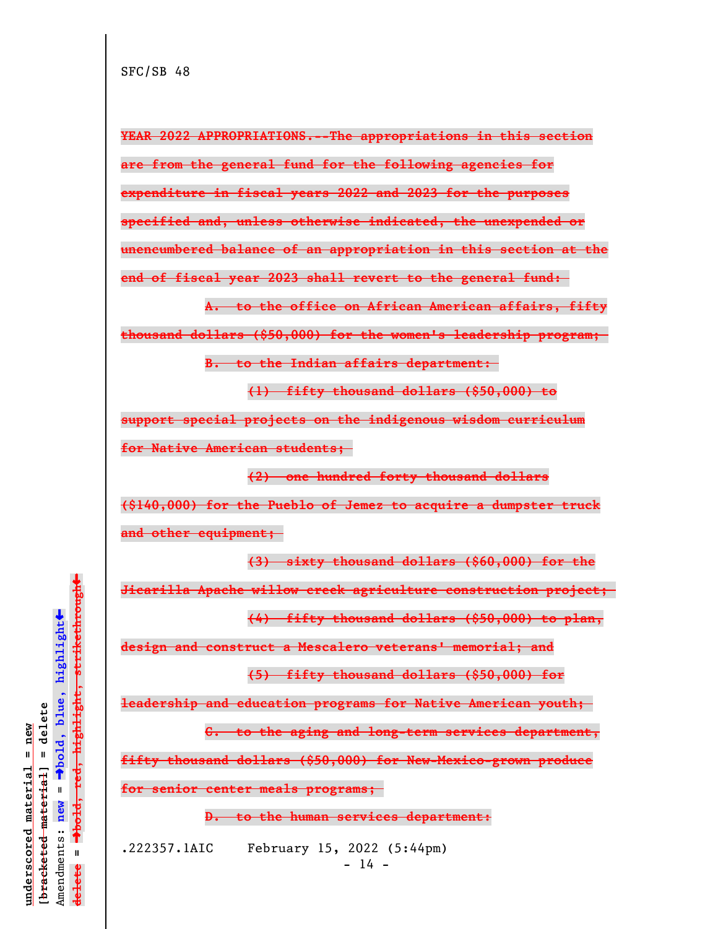**YEAR 2022 APPROPRIATIONS.--The appropriations in this section are from the general fund for the following agencies for expenditure in fiscal years 2022 and 2023 for the purposes specified and, unless otherwise indicated, the unexpended or unencumbered balance of an appropriation in this section at the end of fiscal year 2023 shall revert to the general fund:** 

**A. to the office on African American affairs, fifty thousand dollars (\$50,000) for the women's leadership program;** 

**B. to the Indian affairs department:** 

**(1) fifty thousand dollars (\$50,000) to**

**support special projects on the indigenous wisdom curriculum for Native American students;** 

**(2) one hundred forty thousand dollars (\$140,000) for the Pueblo of Jemez to acquire a dumpster truck**

**and other equipment;** 

**(3) sixty thousand dollars (\$60,000) for the**

**Jicarilla Apache willow creek agriculture construction project;** 

**(4) fifty thousand dollars (\$50,000) to plan,**

**design and construct a Mescalero veterans' memorial; and**

**(5) fifty thousand dollars (\$50,000) for**

**leadership and education programs for Native American youth;** 

**C. to the aging and long-term services department,**

**fifty thousand dollars (\$50,000) for New-Mexico-grown produce**

**for senior center meals programs;** 

**D. to the human services department:**

.222357.1AIC February 15, 2022 (5:44pm)  $- 14 -$ 

 $\ddag$ º**bold, red, highlight, strikethrough**  $\ddot{\bullet}$ º**bold, blue, highlight**  $b$ racketed material] = delete **[bracketed material] = delete** inderscored material = new **underscored material = new** Amendments: **new** =  $\bar{\mathbf{H}}$ Amendments: new  $\mathbf{I}$ **delete =** lelete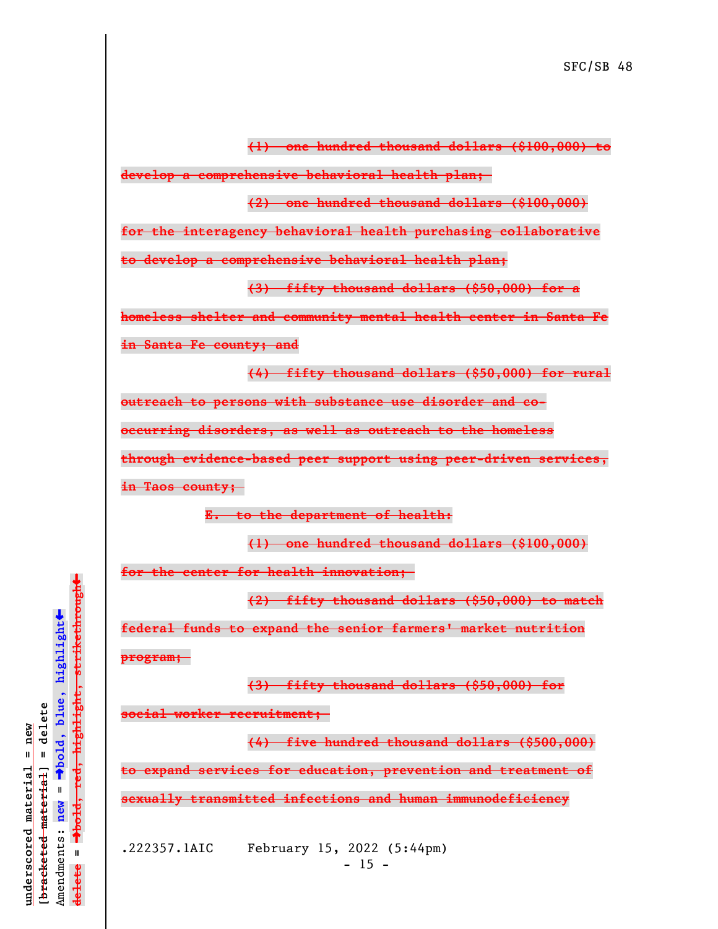**(1) one hundred thousand dollars (\$100,000) to**

**develop a comprehensive behavioral health plan;** 

**(2) one hundred thousand dollars (\$100,000)**

**for the interagency behavioral health purchasing collaborative**

**to develop a comprehensive behavioral health plan;**

**(3) fifty thousand dollars (\$50,000) for a**

**homeless shelter and community mental health center in Santa Fe**

**in Santa Fe county; and**

**(4) fifty thousand dollars (\$50,000) for rural**

**outreach to persons with substance use disorder and co-**

**occurring disorders, as well as outreach to the homeless**

**through evidence-based peer support using peer-driven services,**

**in Taos county;** 

**E. to the department of health:**

**(1) one hundred thousand dollars (\$100,000)**

**for the center for health innovation;** 

**(2) fifty thousand dollars (\$50,000) to match**

**federal funds to expand the senior farmers' market nutrition**

**program;** 

**(3) fifty thousand dollars (\$50,000) for**

**social worker recruitment;** 

**(4) five hundred thousand dollars (\$500,000)**

**to expand services for education, prevention and treatment of sexually transmitted infections and human immunodeficiency**

.222357.1AIC February 15, 2022 (5:44pm)  $- 15 -$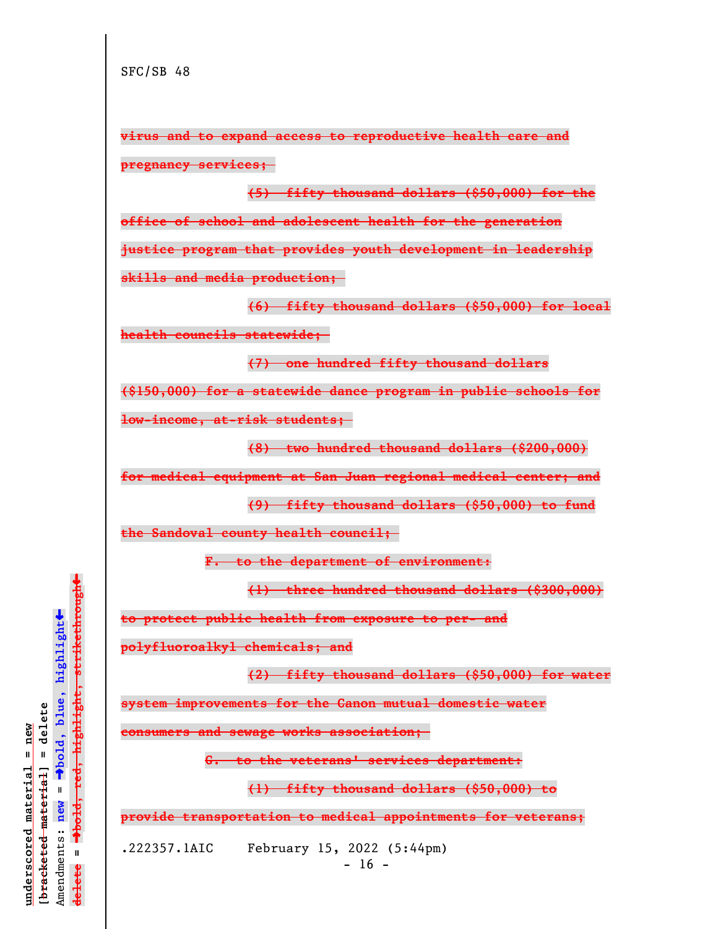**virus and to expand access to reproductive health care and pregnancy services;** 

**(5) fifty thousand dollars (\$50,000) for the office of school and adolescent health for the generation justice program that provides youth development in leadership skills and media production;** 

**(6) fifty thousand dollars (\$50,000) for local health councils statewide;** 

**(7) one hundred fifty thousand dollars**

**(\$150,000) for a statewide dance program in public schools for**

**low-income, at-risk students;** 

**(8) two hundred thousand dollars (\$200,000)**

**for medical equipment at San Juan regional medical center; and**

**(9) fifty thousand dollars (\$50,000) to fund**

**the Sandoval county health council;** 

**F. to the department of environment:**

**(1) three hundred thousand dollars (\$300,000)**

**to protect public health from exposure to per- and**

**polyfluoroalkyl chemicals; and**

**(2) fifty thousand dollars (\$50,000) for water**

**system improvements for the Canon mutual domestic water**

**consumers and sewage works association;** 

**G. to the veterans' services department:**

**(1) fifty thousand dollars (\$50,000) to**

**provide transportation to medical appointments for veterans;**

.222357.1AIC February 15, 2022 (5:44pm)

 $\ddag$ º**bold, red, highlight, strikethrough**  $\ddot{\bullet}$ º**bold, blue, highlight**  $b$ racketed material] = delete **[bracketed material] = delete** inderscored material = new **underscored material = new** Amendments: **new** =  $\bar{\mathbf{H}}$ new Amendments:  $\mathbf{u}$ **delete =** lelete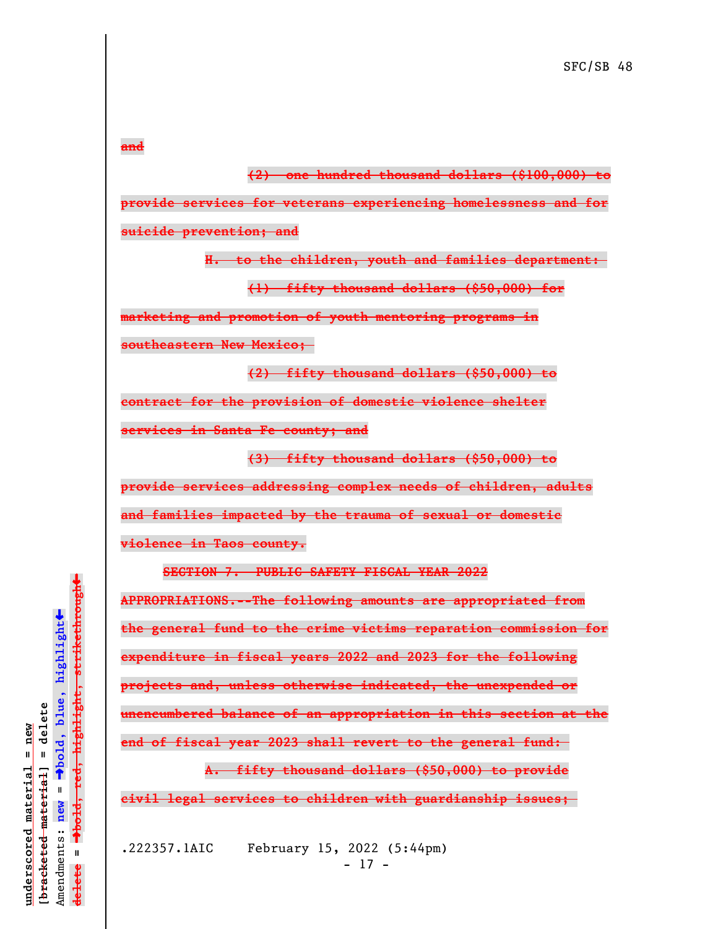**and**

**(2) one hundred thousand dollars (\$100,000) to provide services for veterans experiencing homelessness and for suicide prevention; and**

> **H. to the children, youth and families department: (1) fifty thousand dollars (\$50,000) for**

**marketing and promotion of youth mentoring programs in**

**southeastern New Mexico;** 

**(2) fifty thousand dollars (\$50,000) to contract for the provision of domestic violence shelter services in Santa Fe county; and**

**(3) fifty thousand dollars (\$50,000) to**

**provide services addressing complex needs of children, adults**

**and families impacted by the trauma of sexual or domestic**

**violence in Taos county.**

**SECTION 7. PUBLIC SAFETY FISCAL YEAR 2022**

**APPROPRIATIONS.--The following amounts are appropriated from the general fund to the crime victims reparation commission for expenditure in fiscal years 2022 and 2023 for the following projects and, unless otherwise indicated, the unexpended or unencumbered balance of an appropriation in this section at the end of fiscal year 2023 shall revert to the general fund:** 

**A. fifty thousand dollars (\$50,000) to provide**

**civil legal services to children with guardianship issues;** 

.222357.1AIC February 15, 2022 (5:44pm)  $- 17 -$ 

 $\ddag$ º**bold, red, highlight, strikethrough**  $\ddot{\bullet}$ º**bold, blue, highlight**  $\frac{1}{2}$ bracketed material = delete **[bracketed material] = delete** inderscored material = new **underscored material = new** Amendments: **new** =  $\bar{\mathbf{u}}$ Amendments: new  $\mathbf{I}$ **delete =** lelete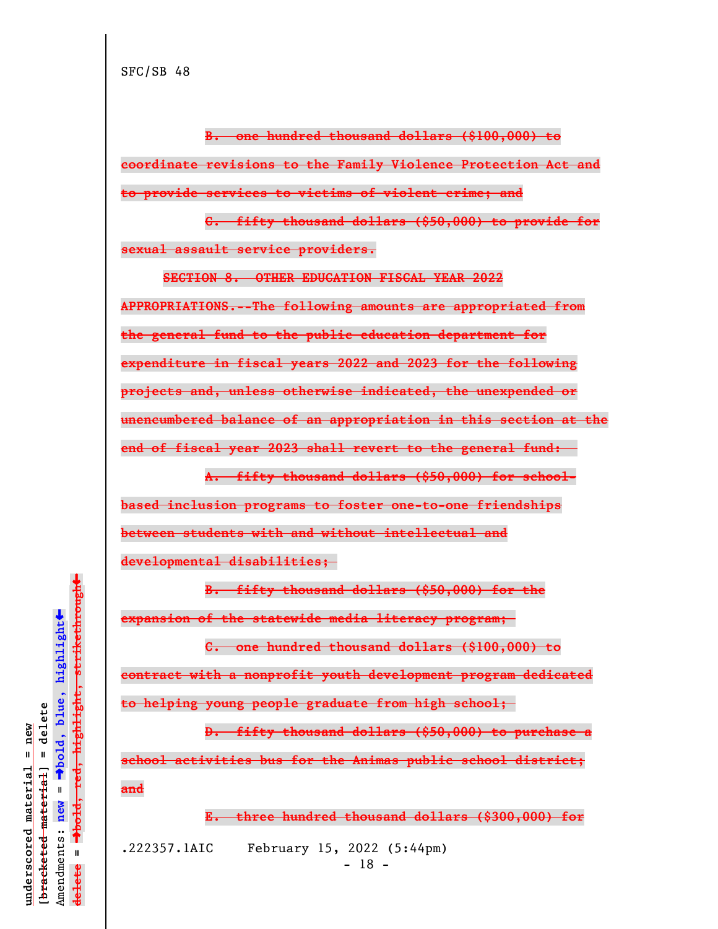**B. one hundred thousand dollars (\$100,000) to coordinate revisions to the Family Violence Protection Act and to provide services to victims of violent crime; and**

**C. fifty thousand dollars (\$50,000) to provide for sexual assault service providers.**

**SECTION 8. OTHER EDUCATION FISCAL YEAR 2022 APPROPRIATIONS.--The following amounts are appropriated from the general fund to the public education department for expenditure in fiscal years 2022 and 2023 for the following projects and, unless otherwise indicated, the unexpended or unencumbered balance of an appropriation in this section at the end of fiscal year 2023 shall revert to the general fund:** 

**A. fifty thousand dollars (\$50,000) for schoolbased inclusion programs to foster one-to-one friendships between students with and without intellectual and developmental disabilities;** 

**B. fifty thousand dollars (\$50,000) for the expansion of the statewide media literacy program;** 

**C. one hundred thousand dollars (\$100,000) to contract with a nonprofit youth development program dedicated to helping young people graduate from high school;** 

**D. fifty thousand dollars (\$50,000) to purchase a school activities bus for the Animas public school district; and**

**E. three hundred thousand dollars (\$300,000) for**

.222357.1AIC February 15, 2022 (5:44pm)

 $\ddag$ º**bold, red, highlight, strikethrough**  $\ddot{\bullet}$ º**bold, blue, highlight**  $b$ racketed material] = delete **[bracketed material] = delete** inderscored material = new **underscored material = new** Amendments: **new** =  $\bar{\mathbf{H}}$ Amendments: new  $\mathbf{u}$ **delete =** lelete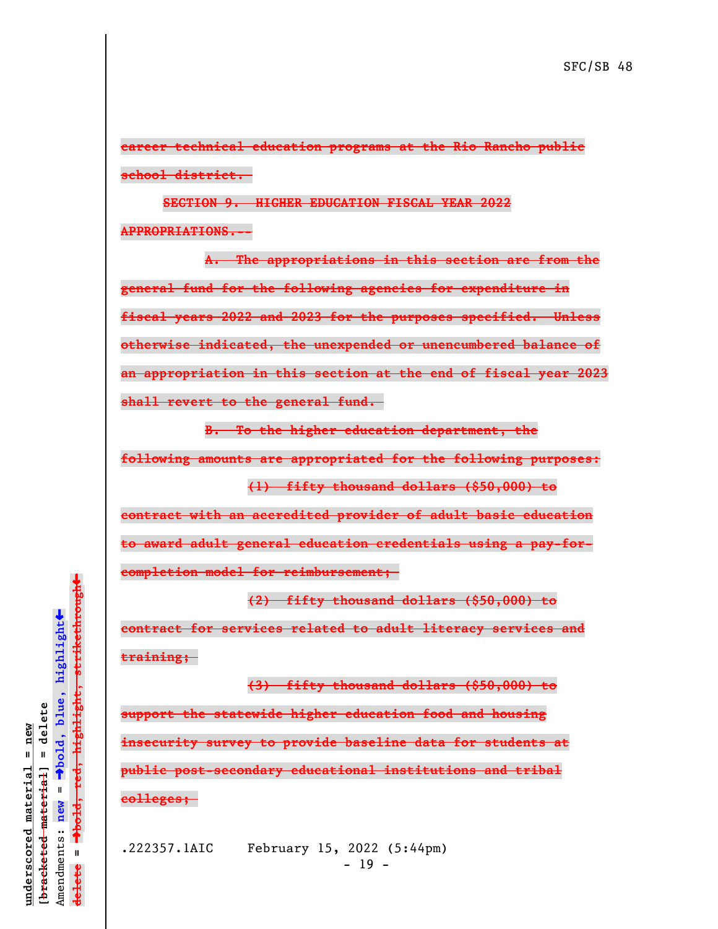**career technical education programs at the Rio Rancho public school district.** 

**SECTION 9. HIGHER EDUCATION FISCAL YEAR 2022 APPROPRIATIONS.--**

**A. The appropriations in this section are from the general fund for the following agencies for expenditure in fiscal years 2022 and 2023 for the purposes specified. Unless otherwise indicated, the unexpended or unencumbered balance of an appropriation in this section at the end of fiscal year 2023 shall revert to the general fund.** 

**B. To the higher education department, the**

**following amounts are appropriated for the following purposes: (1) fifty thousand dollars (\$50,000) to**

**contract with an accredited provider of adult basic education to award adult general education credentials using a pay-forcompletion model for reimbursement;** 

**contract for services related to adult literacy services and training;** 

**(2) fifty thousand dollars (\$50,000) to**

**(3) fifty thousand dollars (\$50,000) to support the statewide higher education food and housing insecurity survey to provide baseline data for students at public post-secondary educational institutions and tribal colleges;** 

.222357.1AIC February 15, 2022 (5:44pm)  $- 19 -$ 

 $\ddag$ º**bold, red, highlight, strikethrough**  $\ddot{\bullet}$ º**bold, blue, highlight**  $\frac{1}{2}$ bracketed material = delete **[bracketed material] = delete** inderscored material = new **underscored material = new** Amendments: **new** =  $\mathbf{u}$ Amendments: new  $\bar{\mathbf{H}}$ **delete =** lelete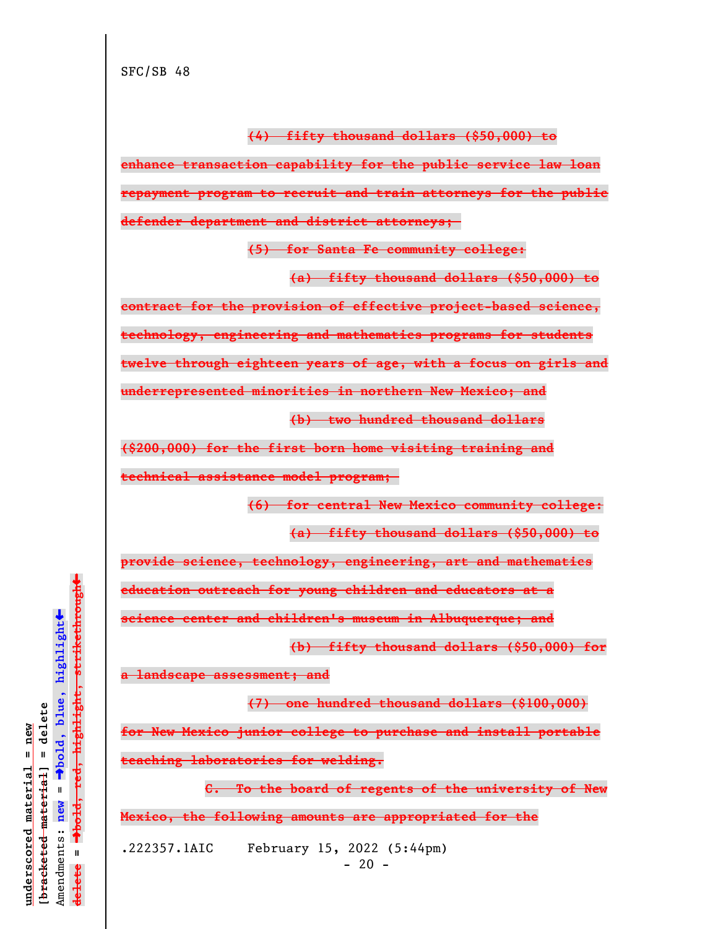**(4) fifty thousand dollars (\$50,000) to**

**enhance transaction capability for the public service law loan repayment program to recruit and train attorneys for the public defender department and district attorneys;** 

**(5) for Santa Fe community college:**

**(a) fifty thousand dollars (\$50,000) to**

**contract for the provision of effective project-based science,**

**technology, engineering and mathematics programs for students**

**twelve through eighteen years of age, with a focus on girls and**

**underrepresented minorities in northern New Mexico; and**

**(b) two hundred thousand dollars**

**(\$200,000) for the first born home visiting training and**

**technical assistance model program;** 

**(6) for central New Mexico community college:**

**(a) fifty thousand dollars (\$50,000) to**

**provide science, technology, engineering, art and mathematics**

**education outreach for young children and educators at a**

**science center and children's museum in Albuquerque; and**

**(b) fifty thousand dollars (\$50,000) for**

**a landscape assessment; and**

**(7) one hundred thousand dollars (\$100,000)**

**for New Mexico junior college to purchase and install portable teaching laboratories for welding.**

**C. To the board of regents of the university of New Mexico, the following amounts are appropriated for the**

.222357.1AIC February 15, 2022 (5:44pm)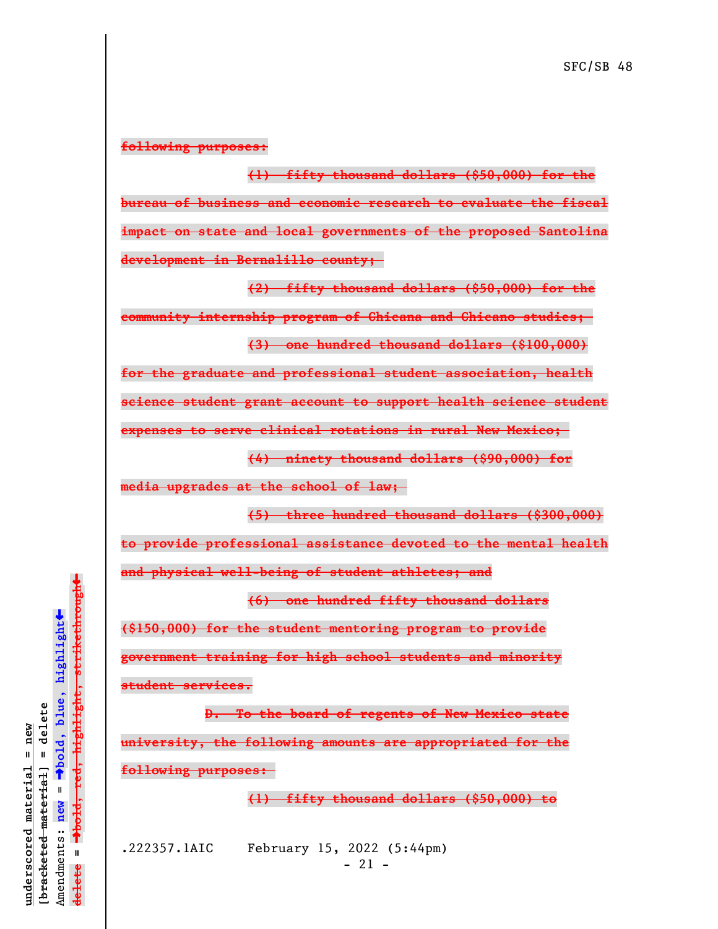## **following purposes:**

**(1) fifty thousand dollars (\$50,000) for the bureau of business and economic research to evaluate the fiscal impact on state and local governments of the proposed Santolina development in Bernalillo county;** 

**(2) fifty thousand dollars (\$50,000) for the**

**community internship program of Chicana and Chicano studies; (3) one hundred thousand dollars (\$100,000)**

**for the graduate and professional student association, health**

**science student grant account to support health science student**

**expenses to serve clinical rotations in rural New Mexico;** 

**(4) ninety thousand dollars (\$90,000) for**

**media upgrades at the school of law;** 

**(5) three hundred thousand dollars (\$300,000)**

**to provide professional assistance devoted to the mental health**

**and physical well-being of student athletes; and**

**(6) one hundred fifty thousand dollars**

**(\$150,000) for the student mentoring program to provide government training for high school students and minority student services.**

**D. To the board of regents of New Mexico state university, the following amounts are appropriated for the following purposes:** 

**(1) fifty thousand dollars (\$50,000) to**

.222357.1AIC February 15, 2022 (5:44pm) - 21 -

º**bold, red, highlight, strikethrough**  $\ddot{\bullet}$ º**bold, blue, highlight**  $b$ racketed material] = delete **[bracketed material] = delete** inderscored material = new **underscored material = new** Amendments: **new** =  $\mathbf{I}$ Amendments: new  $\mathbf{I}$ **delete =** lelete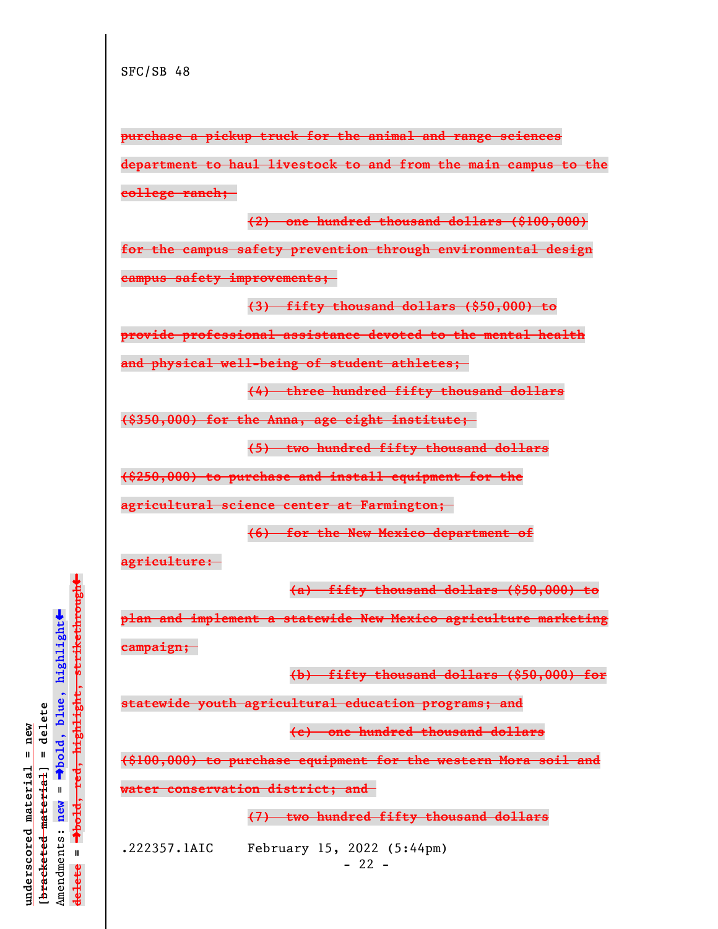**purchase a pickup truck for the animal and range sciences department to haul livestock to and from the main campus to the college ranch;** 

**(2) one hundred thousand dollars (\$100,000) for the campus safety prevention through environmental design campus safety improvements;** 

**(3) fifty thousand dollars (\$50,000) to**

**provide professional assistance devoted to the mental health**

**and physical well-being of student athletes;** 

**(4) three hundred fifty thousand dollars**

**(\$350,000) for the Anna, age eight institute;** 

**(5) two hundred fifty thousand dollars**

**(\$250,000) to purchase and install equipment for the**

**agricultural science center at Farmington;** 

**(6) for the New Mexico department of**

**agriculture:** 

**(a) fifty thousand dollars (\$50,000) to**

**plan and implement a statewide New Mexico agriculture marketing campaign;** 

**(b) fifty thousand dollars (\$50,000) for**

**statewide youth agricultural education programs; and**

**(c) one hundred thousand dollars**

**(\$100,000) to purchase equipment for the western Mora soil and**

**water conservation district; and** 

**(7) two hundred fifty thousand dollars**

.222357.1AIC February 15, 2022 (5:44pm)

 $- 22 -$ 

 $\ddag$ º**bold, red, highlight, strikethrough**  $\ddot{\bullet}$ º**bold, blue, highlight**  $b$ racketed material] = delete **[bracketed material] = delete** inderscored material = new **underscored material = new** Amendments: **new** =  $\bar{\mathbf{H}}$ Amendments: new  $\mathbf{I}$ **delete =** lelete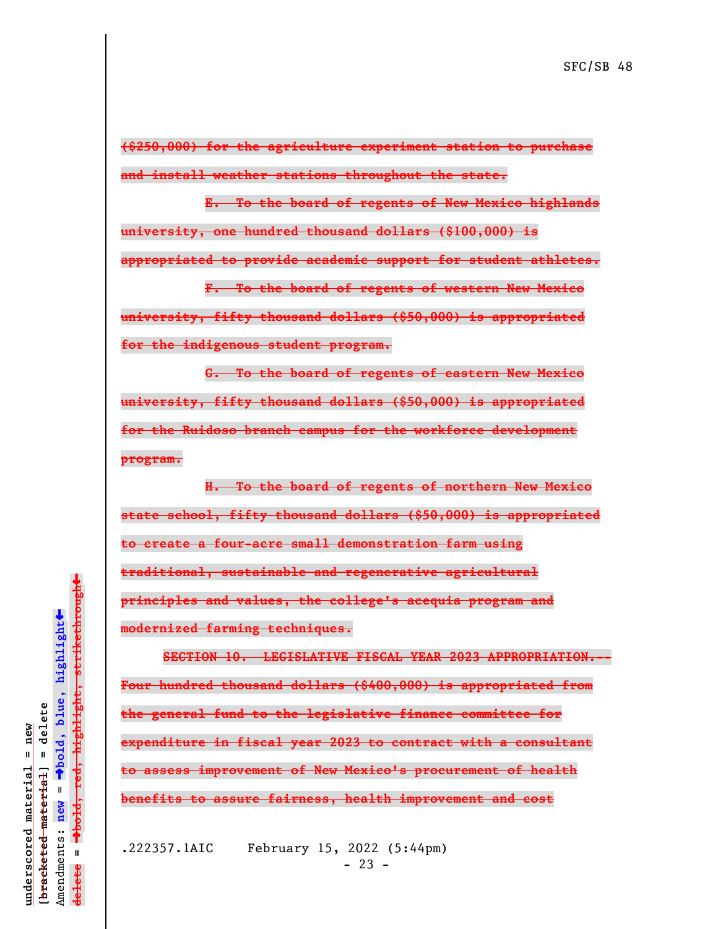**(\$250,000) for the agriculture experiment station to purchase and install weather stations throughout the state.**

**E. To the board of regents of New Mexico highlands university, one hundred thousand dollars (\$100,000) is**

**appropriated to provide academic support for student athletes.**

**F. To the board of regents of western New Mexico university, fifty thousand dollars (\$50,000) is appropriated for the indigenous student program.**

**G. To the board of regents of eastern New Mexico university, fifty thousand dollars (\$50,000) is appropriated for the Ruidoso branch campus for the workforce development program.**

**H. To the board of regents of northern New Mexico state school, fifty thousand dollars (\$50,000) is appropriated to create a four-acre small demonstration farm using traditional, sustainable and regenerative agricultural principles and values, the college's acequia program and modernized farming techniques.**

**SECTION 10. LEGISLATIVE FISCAL YEAR 2023 APPROPRIATION.-- Four hundred thousand dollars (\$400,000) is appropriated from the general fund to the legislative finance committee for expenditure in fiscal year 2023 to contract with a consultant to assess improvement of New Mexico's procurement of health benefits to assure fairness, health improvement and cost**

.222357.1AIC February 15, 2022 (5:44pm)  $- 23 -$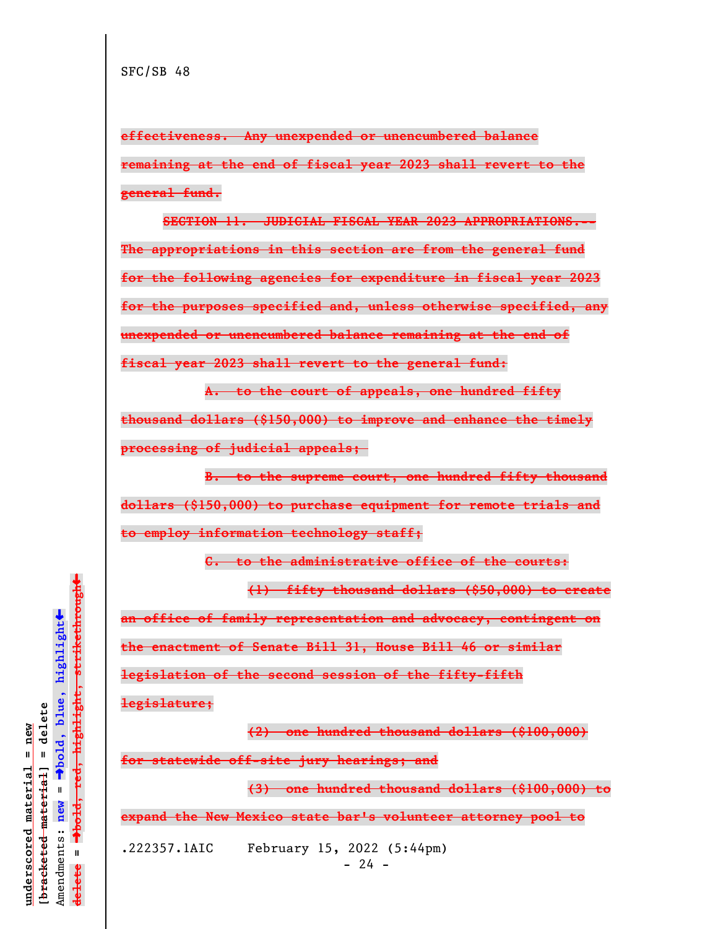**effectiveness. Any unexpended or unencumbered balance remaining at the end of fiscal year 2023 shall revert to the general fund.**

**SECTION 11. JUDICIAL FISCAL YEAR 2023 APPROPRIATIONS.-- The appropriations in this section are from the general fund for the following agencies for expenditure in fiscal year 2023 for the purposes specified and, unless otherwise specified, any unexpended or unencumbered balance remaining at the end of fiscal year 2023 shall revert to the general fund:**

**A. to the court of appeals, one hundred fifty thousand dollars (\$150,000) to improve and enhance the timely processing of judicial appeals;** 

**B. to the supreme court, one hundred fifty thousand dollars (\$150,000) to purchase equipment for remote trials and to employ information technology staff;**

**C. to the administrative office of the courts:**

**(1) fifty thousand dollars (\$50,000) to create an office of family representation and advocacy, contingent on the enactment of Senate Bill 31, House Bill 46 or similar legislation of the second session of the fifty-fifth legislature;**

**(2) one hundred thousand dollars (\$100,000) for statewide off-site jury hearings; and**

**(3) one hundred thousand dollars (\$100,000) to**

**expand the New Mexico state bar's volunteer attorney pool to**

.222357.1AIC February 15, 2022 (5:44pm)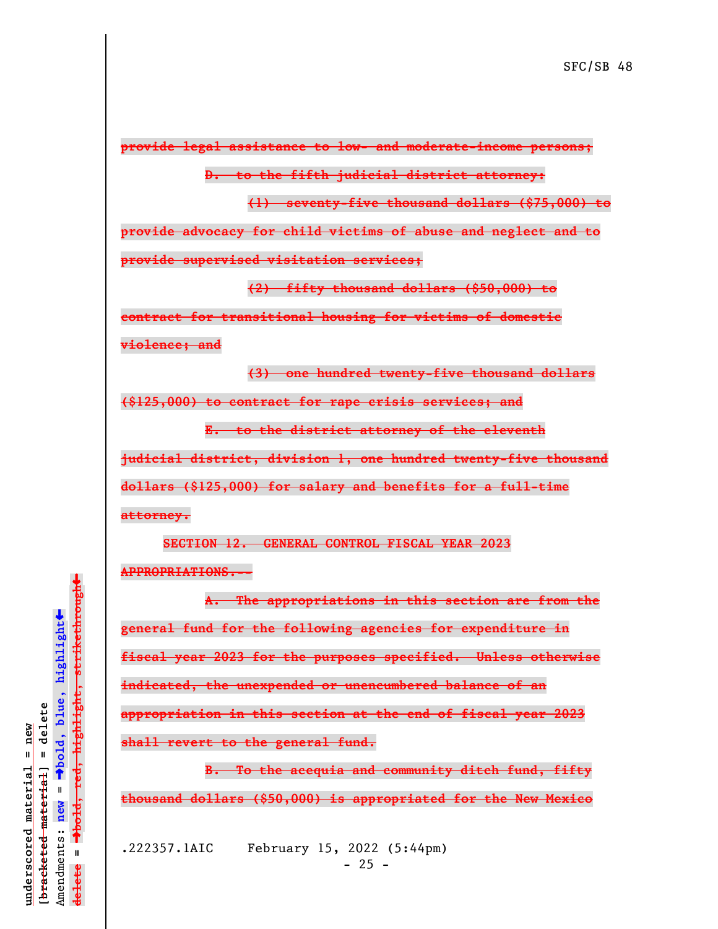**provide legal assistance to low- and moderate-income persons;**

**D. to the fifth judicial district attorney:**

**(1) seventy-five thousand dollars (\$75,000) to**

**provide advocacy for child victims of abuse and neglect and to**

**provide supervised visitation services;**

**(2) fifty thousand dollars (\$50,000) to**

**contract for transitional housing for victims of domestic violence; and**

**(3) one hundred twenty-five thousand dollars**

**(\$125,000) to contract for rape crisis services; and**

**E. to the district attorney of the eleventh**

**judicial district, division 1, one hundred twenty-five thousand**

**dollars (\$125,000) for salary and benefits for a full-time**

**attorney.**

**SECTION 12. GENERAL CONTROL FISCAL YEAR 2023 APPROPRIATIONS.--**

**A. The appropriations in this section are from the general fund for the following agencies for expenditure in fiscal year 2023 for the purposes specified. Unless otherwise indicated, the unexpended or unencumbered balance of an appropriation in this section at the end of fiscal year 2023 shall revert to the general fund.**

**B. To the acequia and community ditch fund, fifty thousand dollars (\$50,000) is appropriated for the New Mexico**

.222357.1AIC February 15, 2022 (5:44pm)  $- 25 -$ 

º**bold, red, highlight, strikethrough**  $\ddot{\bullet}$ º**bold, blue, highlight**  $\frac{1}{2}$ bracketed material = delete **[bracketed material] = delete** inderscored material = new **underscored material = new** Amendments: **new** =  $\bar{\mathbf{H}}$ Amendments: new  $\mathbf{I}$ **delete =** lelete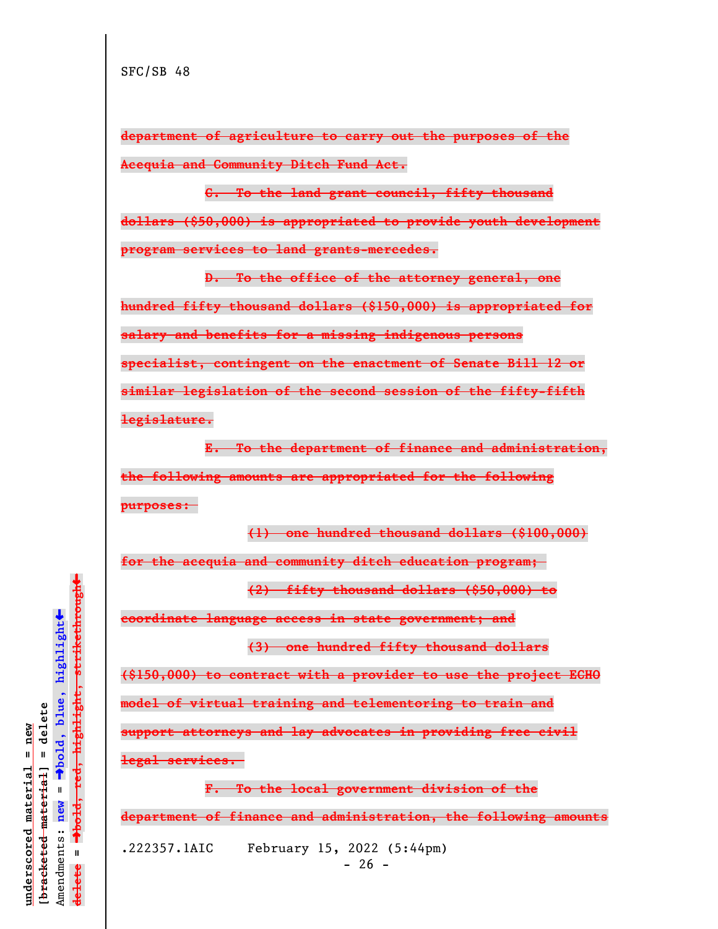**department of agriculture to carry out the purposes of the Acequia and Community Ditch Fund Act.**

**C. To the land grant council, fifty thousand**

**dollars (\$50,000) is appropriated to provide youth development program services to land grants-mercedes.**

**D. To the office of the attorney general, one hundred fifty thousand dollars (\$150,000) is appropriated for salary and benefits for a missing indigenous persons specialist, contingent on the enactment of Senate Bill 12 or similar legislation of the second session of the fifty-fifth legislature.**

**E. To the department of finance and administration, the following amounts are appropriated for the following purposes:** 

**(1) one hundred thousand dollars (\$100,000)**

**for the acequia and community ditch education program;** 

**(2) fifty thousand dollars (\$50,000) to**

**coordinate language access in state government; and**

**(3) one hundred fifty thousand dollars**

**(\$150,000) to contract with a provider to use the project ECHO**

**model of virtual training and telementoring to train and**

**support attorneys and lay advocates in providing free civil**

**legal services.** 

**F. To the local government division of the**

**department of finance and administration, the following amounts**

.222357.1AIC February 15, 2022 (5:44pm)

 $- 26 -$ 

 $\ddag$ º**bold, red, highlight, strikethrough**  $\ddot{\bullet}$ º**bold, blue, highlight**  $b$ racketed material] = delete **[bracketed material] = delete** inderscored material = new **underscored material = new** Amendments: **new** =  $\bar{\mathbf{H}}$ Amendments: new  $\mathbf{I}$ **delete =** lelete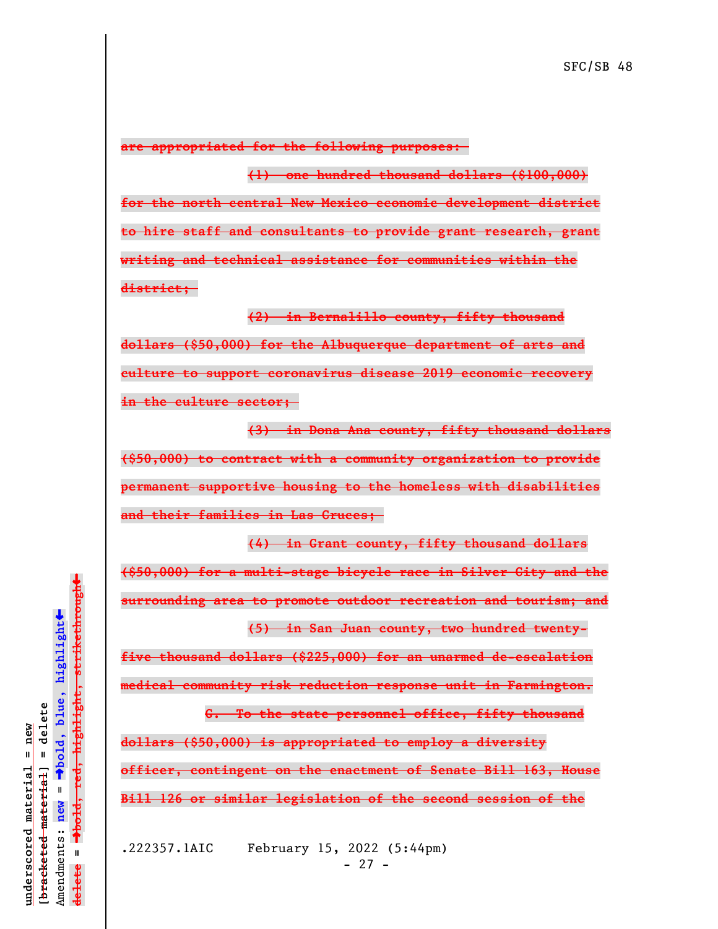**are appropriated for the following purposes:** 

**(1) one hundred thousand dollars (\$100,000) for the north central New Mexico economic development district to hire staff and consultants to provide grant research, grant writing and technical assistance for communities within the district;** 

**(2) in Bernalillo county, fifty thousand dollars (\$50,000) for the Albuquerque department of arts and culture to support coronavirus disease 2019 economic recovery in the culture sector;** 

**(3) in Dona Ana county, fifty thousand dollars (\$50,000) to contract with a community organization to provide permanent supportive housing to the homeless with disabilities and their families in Las Cruces;** 

**(4) in Grant county, fifty thousand dollars (\$50,000) for a multi-stage bicycle race in Silver City and the surrounding area to promote outdoor recreation and tourism; and (5) in San Juan county, two hundred twenty-**

**five thousand dollars (\$225,000) for an unarmed de-escalation**

**medical community risk reduction response unit in Farmington.**

**G. To the state personnel office, fifty thousand dollars (\$50,000) is appropriated to employ a diversity officer, contingent on the enactment of Senate Bill 163, House Bill 126 or similar legislation of the second session of the**

.222357.1AIC February 15, 2022 (5:44pm) - 27 -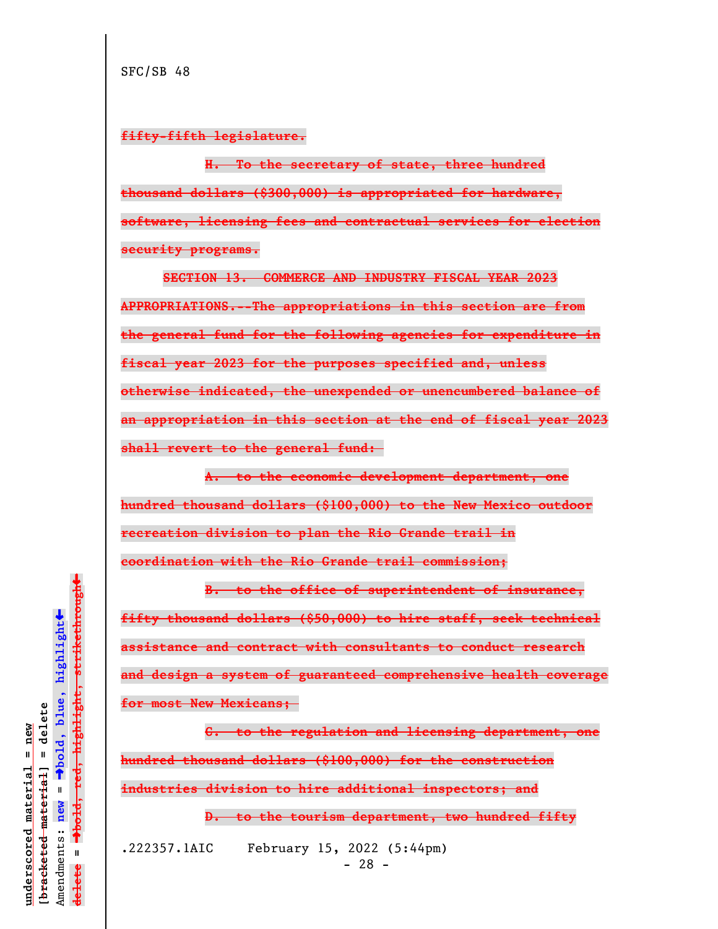## **fifty-fifth legislature.**

**H. To the secretary of state, three hundred thousand dollars (\$300,000) is appropriated for hardware, software, licensing fees and contractual services for election security programs.**

**SECTION 13. COMMERCE AND INDUSTRY FISCAL YEAR 2023 APPROPRIATIONS.--The appropriations in this section are from the general fund for the following agencies for expenditure in fiscal year 2023 for the purposes specified and, unless otherwise indicated, the unexpended or unencumbered balance of an appropriation in this section at the end of fiscal year 2023 shall revert to the general fund:** 

**A. to the economic development department, one hundred thousand dollars (\$100,000) to the New Mexico outdoor recreation division to plan the Rio Grande trail in coordination with the Rio Grande trail commission;**

**B. to the office of superintendent of insurance, fifty thousand dollars (\$50,000) to hire staff, seek technical assistance and contract with consultants to conduct research and design a system of guaranteed comprehensive health coverage for most New Mexicans;** 

**C. to the regulation and licensing department, one hundred thousand dollars (\$100,000) for the construction industries division to hire additional inspectors; and**

**D. to the tourism department, two hundred fifty**

.222357.1AIC February 15, 2022 (5:44pm) - 28 -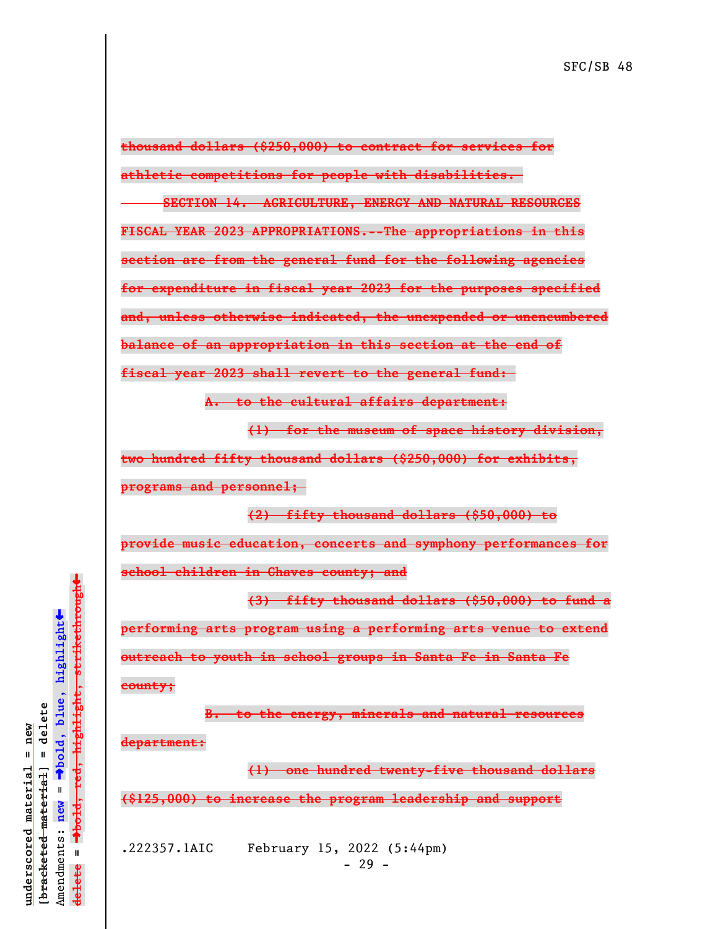**thousand dollars (\$250,000) to contract for services for athletic competitions for people with disabilities.** 

**SECTION 14. AGRICULTURE, ENERGY AND NATURAL RESOURCES FISCAL YEAR 2023 APPROPRIATIONS.--The appropriations in this section are from the general fund for the following agencies for expenditure in fiscal year 2023 for the purposes specified and, unless otherwise indicated, the unexpended or unencumbered balance of an appropriation in this section at the end of fiscal year 2023 shall revert to the general fund:** 

**A. to the cultural affairs department:**

**(1) for the museum of space history division,**

**two hundred fifty thousand dollars (\$250,000) for exhibits, programs and personnel;** 

**(2) fifty thousand dollars (\$50,000) to provide music education, concerts and symphony performances for school children in Chaves county; and**

**(3) fifty thousand dollars (\$50,000) to fund a performing arts program using a performing arts venue to extend outreach to youth in school groups in Santa Fe in Santa Fe county;**

**B. to the energy, minerals and natural resources department:**

**(1) one hundred twenty-five thousand dollars (\$125,000) to increase the program leadership and support**

.222357.1AIC February 15, 2022 (5:44pm)  $- 29 -$ 

 $\ddag$ º**bold, red, highlight, strikethrough**  $\ddot{\bullet}$ º**bold, blue, highlight**  $\frac{1}{2}$ bracketed material = delete **[bracketed material] = delete** inderscored material = new **underscored material = new** Amendments: **new** =  $\bar{\mathbf{u}}$ Amendments: new  $\mathbf{I}$ **delete =** lelete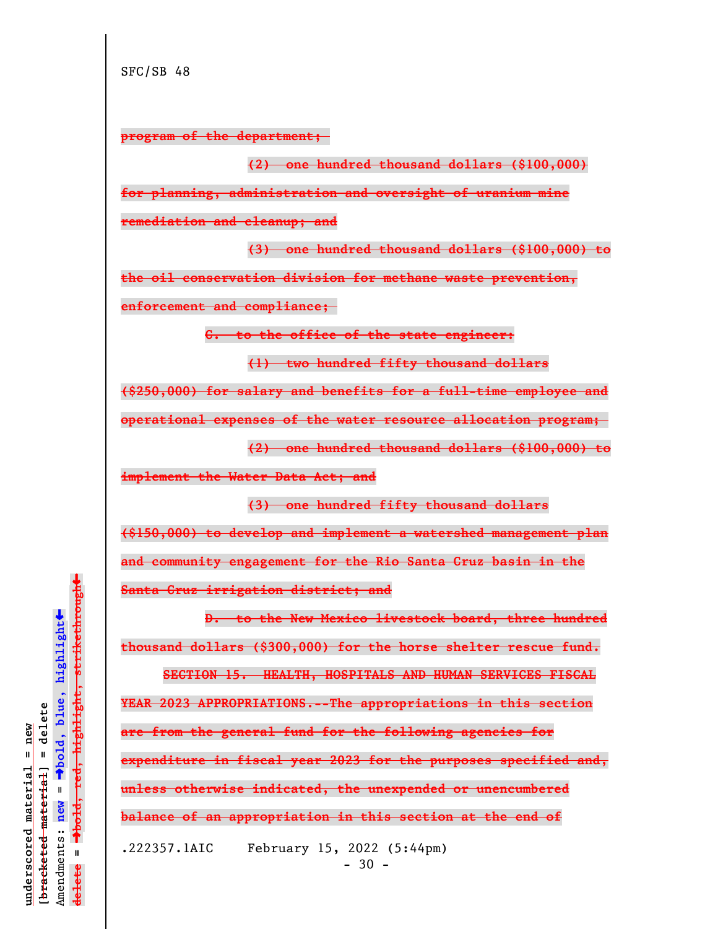**program of the department;** 

**(2) one hundred thousand dollars (\$100,000) for planning, administration and oversight of uranium mine remediation and cleanup; and**

**(3) one hundred thousand dollars (\$100,000) to the oil conservation division for methane waste prevention, enforcement and compliance;** 

**C. to the office of the state engineer:**

**(1) two hundred fifty thousand dollars (\$250,000) for salary and benefits for a full-time employee and operational expenses of the water resource allocation program; (2) one hundred thousand dollars (\$100,000) to implement the Water Data Act; and**

**(3) one hundred fifty thousand dollars (\$150,000) to develop and implement a watershed management plan and community engagement for the Rio Santa Cruz basin in the Santa Cruz irrigation district; and**

**D. to the New Mexico livestock board, three hundred thousand dollars (\$300,000) for the horse shelter rescue fund.**

**SECTION 15. HEALTH, HOSPITALS AND HUMAN SERVICES FISCAL YEAR 2023 APPROPRIATIONS.--The appropriations in this section are from the general fund for the following agencies for expenditure in fiscal year 2023 for the purposes specified and, unless otherwise indicated, the unexpended or unencumbered balance of an appropriation in this section at the end of** .222357.1AIC February 15, 2022 (5:44pm)

º**bold, red, highlight, strikethrough**  $\ddot{\bullet}$ º**bold, blue, highlight**  $b$ racketed material] = delete **[bracketed material] = delete** inderscored material = new **underscored material = new** Amendments: **new** =  $\bar{\mathbf{H}}$ Amendments: new  $\mathbf{u}$ **delete =** lelete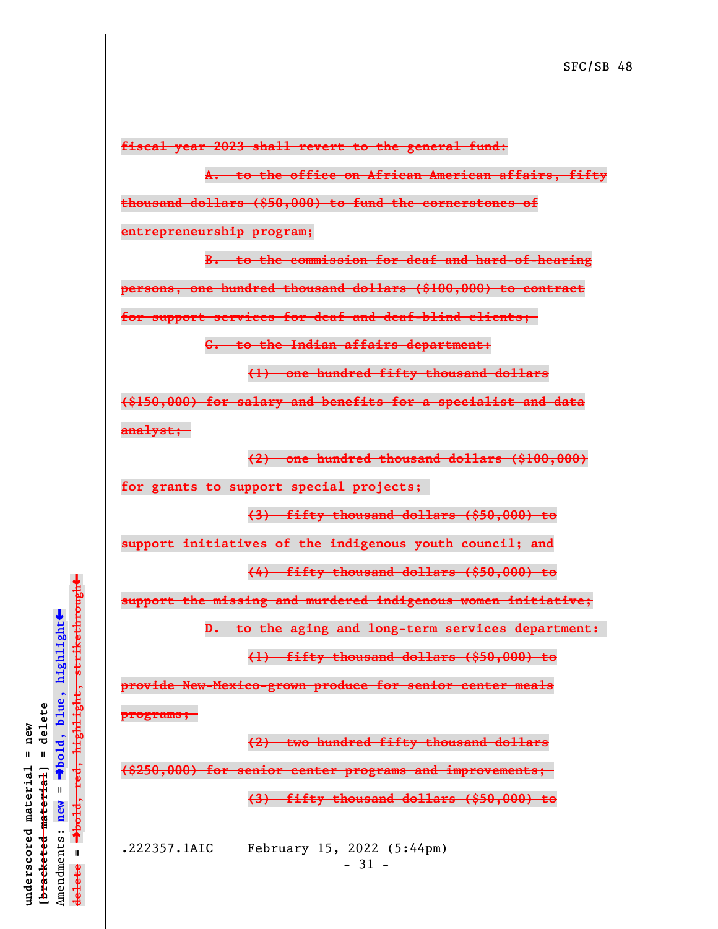**fiscal year 2023 shall revert to the general fund:**

**A. to the office on African American affairs, fifty**

**thousand dollars (\$50,000) to fund the cornerstones of**

**entrepreneurship program;**

**B. to the commission for deaf and hard-of-hearing persons, one hundred thousand dollars (\$100,000) to contract for support services for deaf and deaf-blind clients;** 

**C. to the Indian affairs department:**

**(1) one hundred fifty thousand dollars**

**(\$150,000) for salary and benefits for a specialist and data analyst;** 

**(2) one hundred thousand dollars (\$100,000)**

**for grants to support special projects;** 

**(3) fifty thousand dollars (\$50,000) to**

**support initiatives of the indigenous youth council; and**

**(4) fifty thousand dollars (\$50,000) to**

**support the missing and murdered indigenous women initiative;**

**D. to the aging and long-term services department:** 

**(1) fifty thousand dollars (\$50,000) to**

**provide New-Mexico-grown produce for senior center meals**

**programs;** 

**(2) two hundred fifty thousand dollars**

**(\$250,000) for senior center programs and improvements;** 

**(3) fifty thousand dollars (\$50,000) to**

.222357.1AIC February 15, 2022 (5:44pm) - 31 -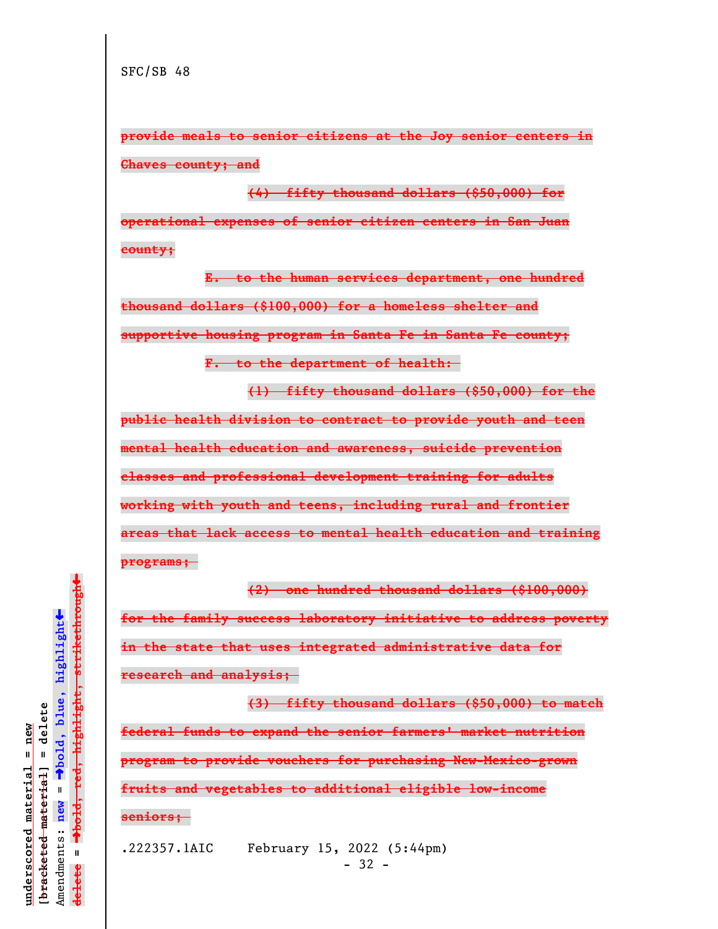**provide meals to senior citizens at the Joy senior centers in Chaves county; and**

**(4) fifty thousand dollars (\$50,000) for operational expenses of senior citizen centers in San Juan county;**

**E. to the human services department, one hundred thousand dollars (\$100,000) for a homeless shelter and supportive housing program in Santa Fe in Santa Fe county; F. to the department of health:** 

**(1) fifty thousand dollars (\$50,000) for the**

**public health division to contract to provide youth and teen mental health education and awareness, suicide prevention classes and professional development training for adults working with youth and teens, including rural and frontier areas that lack access to mental health education and training programs;** 

**(2) one hundred thousand dollars (\$100,000) for the family success laboratory initiative to address poverty in the state that uses integrated administrative data for research and analysis;** 

**(3) fifty thousand dollars (\$50,000) to match federal funds to expand the senior farmers' market nutrition program to provide vouchers for purchasing New-Mexico-grown fruits and vegetables to additional eligible low-income seniors;** 

.222357.1AIC February 15, 2022 (5:44pm)  $-32 -$ 

 $\ddag$ º**bold, red, highlight, strikethrough**  $\ddot{\bullet}$ º**bold, blue, highlight**  $b$ racketed material] = delete **[bracketed material] = delete** inderscored material = new **underscored material = new** Amendments: **new** =  $\bar{\mathbf{H}}$ Amendments: new  $\mathbf{u}$ **delete =** lelete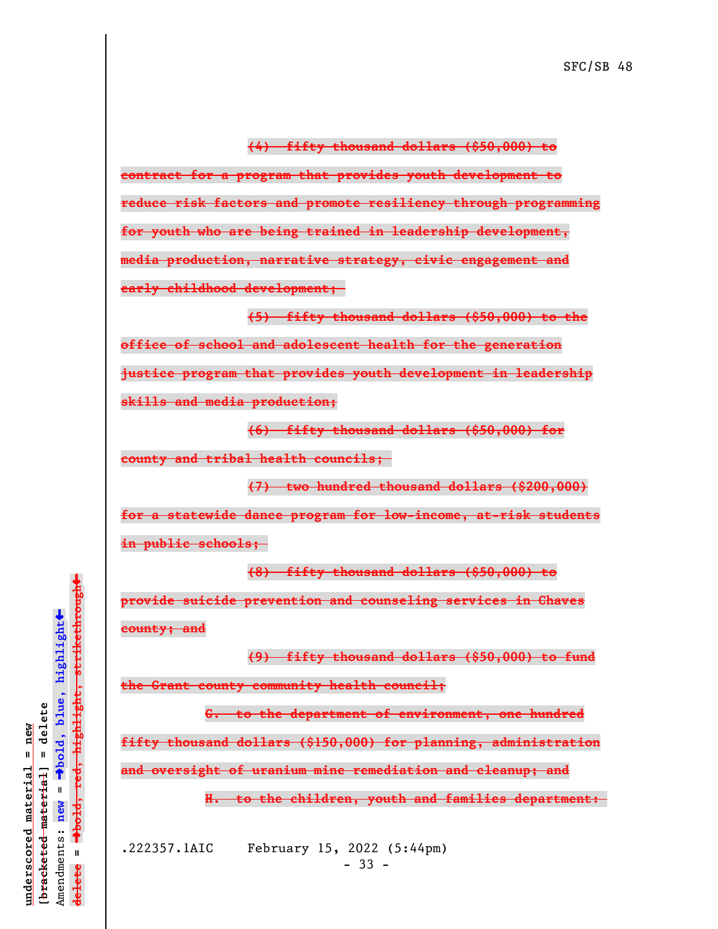**contract for a program that provides youth development to reduce risk factors and promote resiliency through programming for youth who are being trained in leadership development, media production, narrative strategy, civic engagement and early childhood development;** 

**(5) fifty thousand dollars (\$50,000) to the office of school and adolescent health for the generation justice program that provides youth development in leadership skills and media production;**

**(6) fifty thousand dollars (\$50,000) for**

**county and tribal health councils;** 

**(7) two hundred thousand dollars (\$200,000) for a statewide dance program for low-income, at-risk students in public schools;** 

**(8) fifty thousand dollars (\$50,000) to**

**provide suicide prevention and counseling services in Chaves county; and**

**(9) fifty thousand dollars (\$50,000) to fund**

**the Grant county community health council;**

**G. to the department of environment, one hundred**

**fifty thousand dollars (\$150,000) for planning, administration**

**and oversight of uranium mine remediation and cleanup; and**

**H. to the children, youth and families department:** 

.222357.1AIC February 15, 2022 (5:44pm)  $-33 -$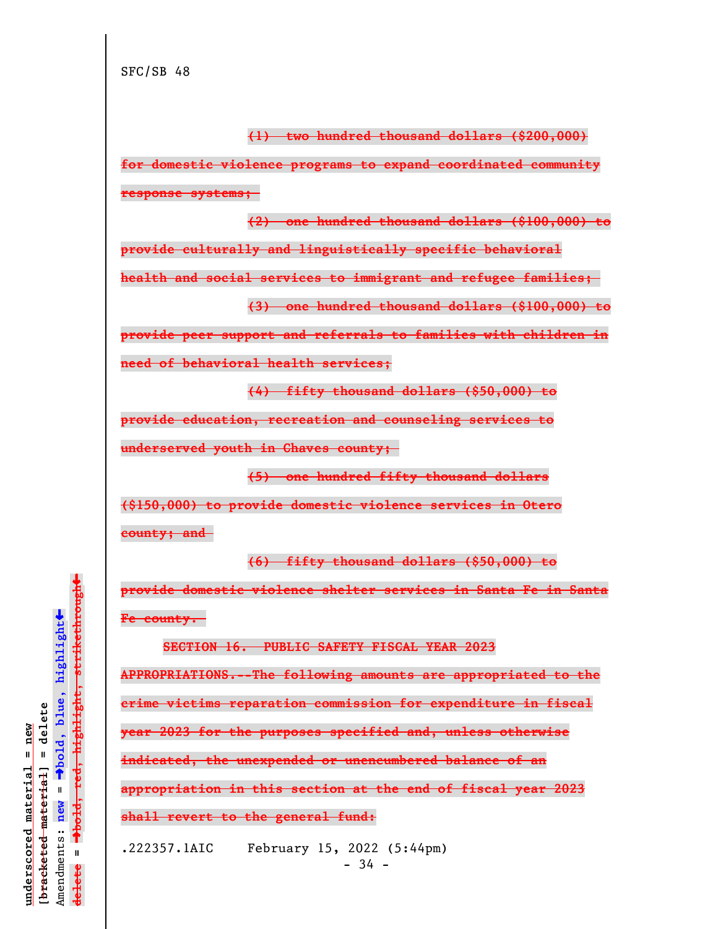**(1) two hundred thousand dollars (\$200,000)**

**for domestic violence programs to expand coordinated community response systems;** 

**(2) one hundred thousand dollars (\$100,000) to**

**provide culturally and linguistically specific behavioral**

**health and social services to immigrant and refugee families;** 

**(3) one hundred thousand dollars (\$100,000) to**

**provide peer support and referrals to families with children in**

**need of behavioral health services;**

**(4) fifty thousand dollars (\$50,000) to**

**provide education, recreation and counseling services to**

**underserved youth in Chaves county;** 

**(5) one hundred fifty thousand dollars**

**(\$150,000) to provide domestic violence services in Otero**

**county; and** 

**(6) fifty thousand dollars (\$50,000) to provide domestic violence shelter services in Santa Fe in Santa**

**Fe county.** 

**SECTION 16. PUBLIC SAFETY FISCAL YEAR 2023 APPROPRIATIONS.--The following amounts are appropriated to the crime victims reparation commission for expenditure in fiscal year 2023 for the purposes specified and, unless otherwise indicated, the unexpended or unencumbered balance of an appropriation in this section at the end of fiscal year 2023 shall revert to the general fund:**

.222357.1AIC February 15, 2022 (5:44pm)

 $\ddag$ º**bold, red, highlight, strikethrough**  $\ddot{\bullet}$ º**bold, blue, highlight**  $b$ racketed material] = delete **[bracketed material] = delete** inderscored material = new **underscored material = new** Amendments: **new** =  $\bar{\mathbf{H}}$ Amendments: new  $\mathbf{u}$ **delete =** lelete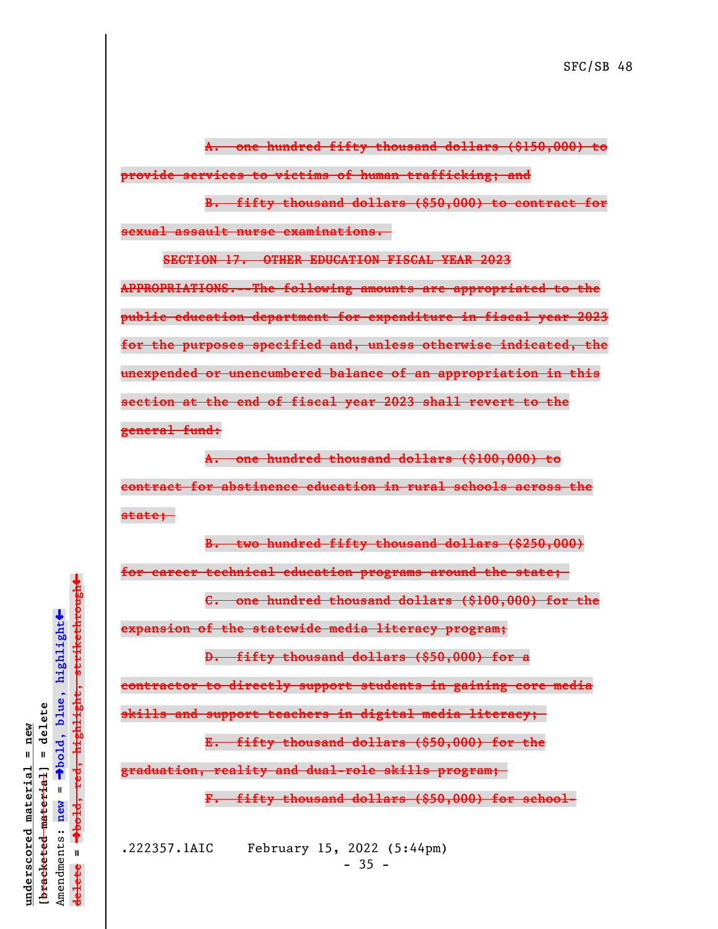**A. one hundred fifty thousand dollars (\$150,000) to provide services to victims of human trafficking; and**

**B. fifty thousand dollars (\$50,000) to contract for sexual assault nurse examinations.** 

**SECTION 17. OTHER EDUCATION FISCAL YEAR 2023**

**APPROPRIATIONS.--The following amounts are appropriated to the public education department for expenditure in fiscal year 2023 for the purposes specified and, unless otherwise indicated, the unexpended or unencumbered balance of an appropriation in this section at the end of fiscal year 2023 shall revert to the general fund:**

**A. one hundred thousand dollars (\$100,000) to contract for abstinence education in rural schools across the state;** 

**B. two hundred fifty thousand dollars (\$250,000)**

**for career technical education programs around the state;** 

**C. one hundred thousand dollars (\$100,000) for the**

**expansion of the statewide media literacy program;**

**D. fifty thousand dollars (\$50,000) for a**

**contractor to directly support students in gaining core media**

**skills and support teachers in digital media literacy;** 

**E. fifty thousand dollars (\$50,000) for the**

**graduation, reality and dual-role skills program;** 

**F. fifty thousand dollars (\$50,000) for school-**

.222357.1AIC February 15, 2022 (5:44pm)  $-35 -$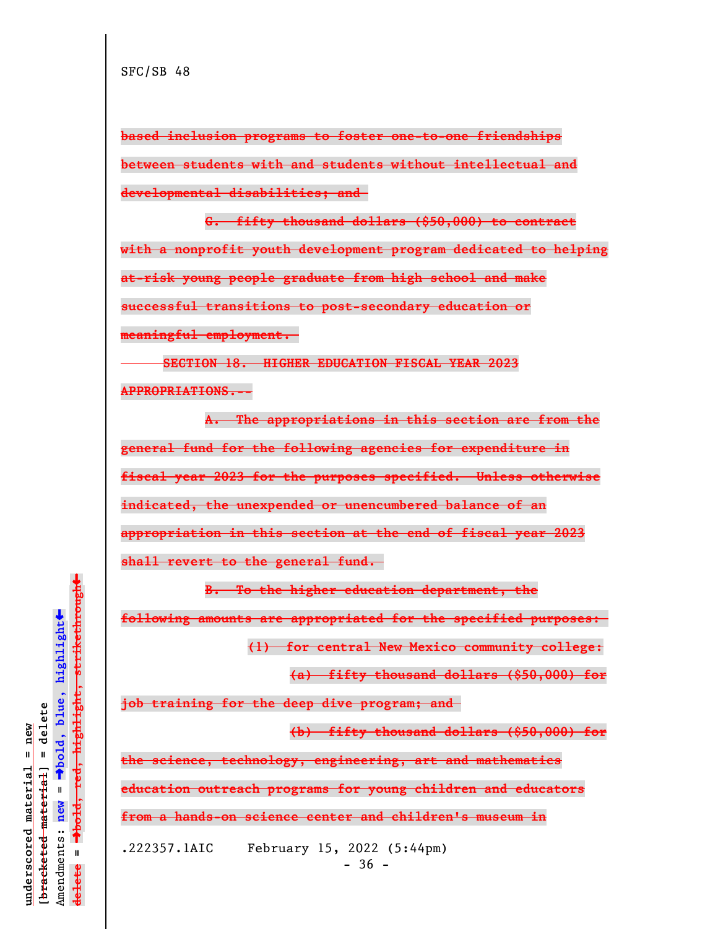**based inclusion programs to foster one-to-one friendships between students with and students without intellectual and developmental disabilities; and** 

**G. fifty thousand dollars (\$50,000) to contract with a nonprofit youth development program dedicated to helping at-risk young people graduate from high school and make successful transitions to post-secondary education or meaningful employment.** 

**SECTION 18. HIGHER EDUCATION FISCAL YEAR 2023 APPROPRIATIONS.--**

**A. The appropriations in this section are from the general fund for the following agencies for expenditure in fiscal year 2023 for the purposes specified. Unless otherwise indicated, the unexpended or unencumbered balance of an appropriation in this section at the end of fiscal year 2023 shall revert to the general fund.** 

**B. To the higher education department, the**

**following amounts are appropriated for the specified purposes:** 

**(1) for central New Mexico community college:**

**(a) fifty thousand dollars (\$50,000) for**

**job training for the deep dive program; and** 

**(b) fifty thousand dollars (\$50,000) for**

**the science, technology, engineering, art and mathematics**

**education outreach programs for young children and educators**

**from a hands-on science center and children's museum in**

.222357.1AIC February 15, 2022 (5:44pm)

 $-36 -$ 

 $\ddag$ º**bold, red, highlight, strikethrough**  $\ddot{\bullet}$ º**bold, blue, highlight**  $b$ racketed material] = delete **[bracketed material] = delete** inderscored material = new **underscored material = new** Amendments: **new** =  $\bar{\mathbf{H}}$ new Amendments:  $\mathbf{u}$ **delete =** lelete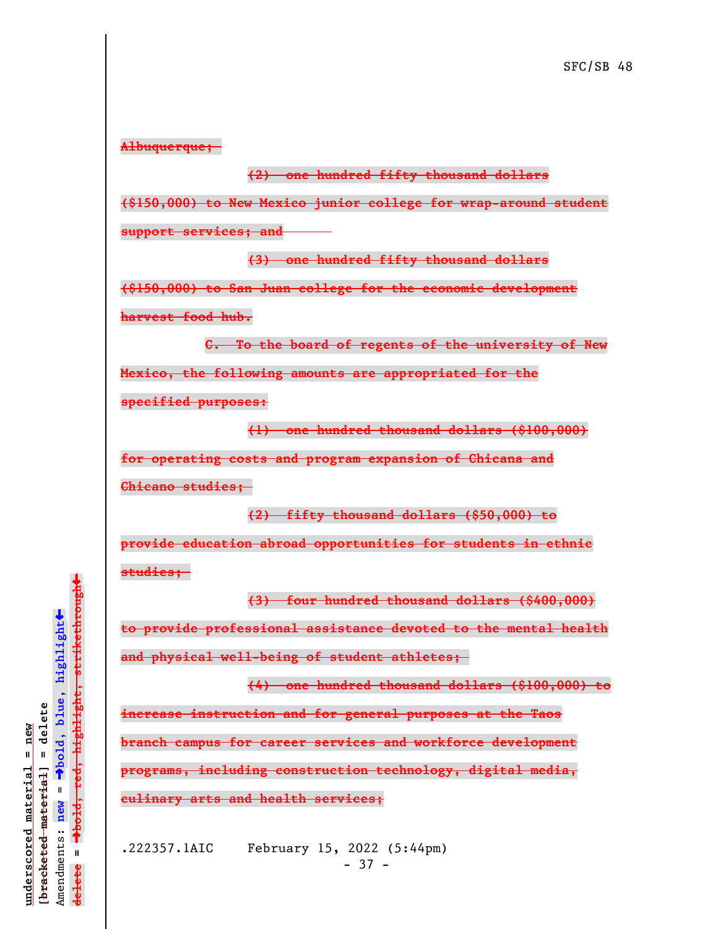**Albuquerque;** 

## **(2) one hundred fifty thousand dollars**

**(\$150,000) to New Mexico junior college for wrap-around student**

**support services; and**

**(3) one hundred fifty thousand dollars**

**(\$150,000) to San Juan college for the economic development**

**harvest food hub.**

**C. To the board of regents of the university of New Mexico, the following amounts are appropriated for the**

**specified purposes:**

**(1) one hundred thousand dollars (\$100,000)**

**for operating costs and program expansion of Chicana and Chicano studies;** 

**(2) fifty thousand dollars (\$50,000) to**

**provide education abroad opportunities for students in ethnic studies;** 

**(3) four hundred thousand dollars (\$400,000) to provide professional assistance devoted to the mental health and physical well-being of student athletes;** 

**(4) one hundred thousand dollars (\$100,000) to increase instruction and for general purposes at the Taos branch campus for career services and workforce development programs, including construction technology, digital media, culinary arts and health services;**

.222357.1AIC February 15, 2022 (5:44pm)  $-37 -$ 

 $\ddag$ º**bold, red, highlight, strikethrough**  $\ddot{\bullet}$ º**bold, blue, highlight**  $b$ racketed material] = delete **[bracketed material] = delete** inderscored material = new **underscored material = new** Amendments: **new** =  $\mathbf{I}$ Amendments: new  $\bar{\mathbf{H}}$ **delete =** lelete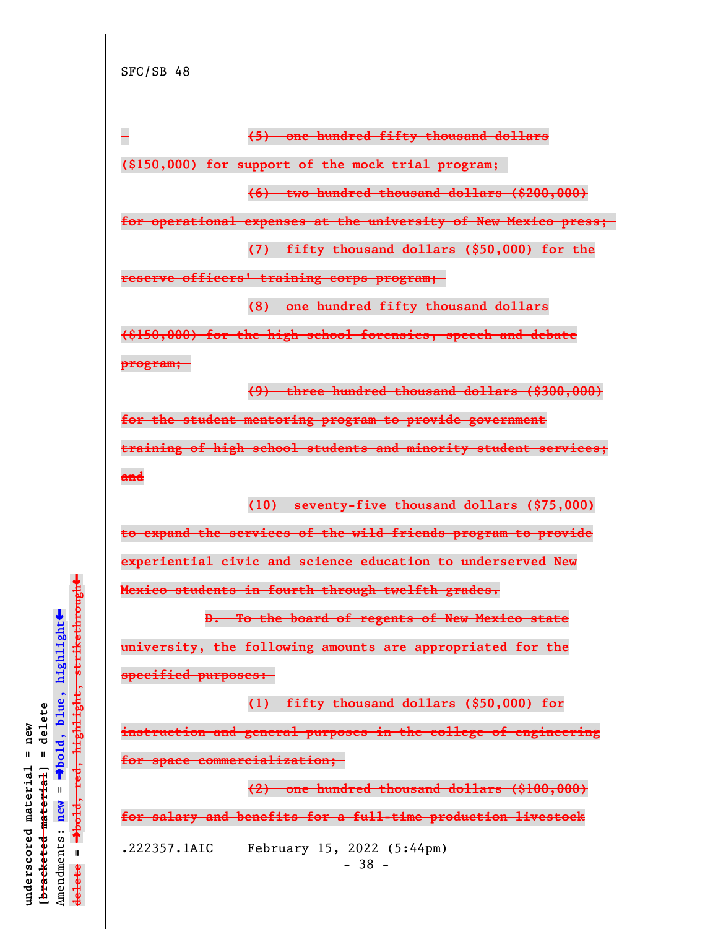

**university, the following amounts are appropriated for the specified purposes:** 

**(1) fifty thousand dollars (\$50,000) for instruction and general purposes in the college of engineering for space commercialization;** 

**(2) one hundred thousand dollars (\$100,000) for salary and benefits for a full-time production livestock**

.222357.1AIC February 15, 2022 (5:44pm) - 38 -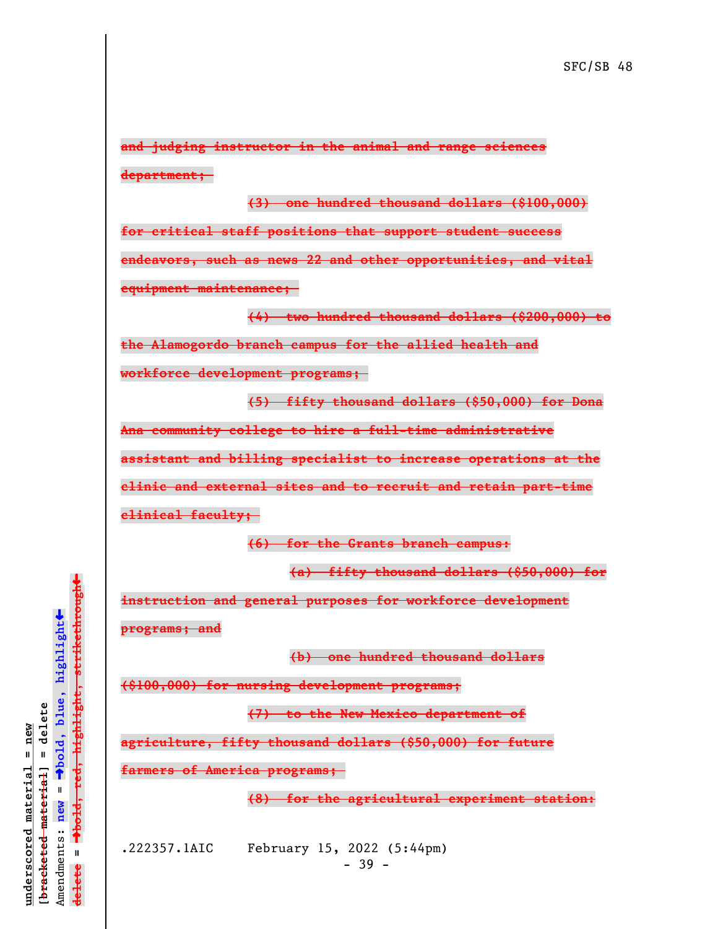**and judging instructor in the animal and range sciences department;** 

**(3) one hundred thousand dollars (\$100,000) for critical staff positions that support student success endeavors, such as news 22 and other opportunities, and vital equipment maintenance;** 

**(4) two hundred thousand dollars (\$200,000) to**

**the Alamogordo branch campus for the allied health and**

**workforce development programs;** 

**(5) fifty thousand dollars (\$50,000) for Dona**

**Ana community college to hire a full-time administrative**

**assistant and billing specialist to increase operations at the**

**clinic and external sites and to recruit and retain part-time**

**clinical faculty;** 

**(6) for the Grants branch campus:**

**(a) fifty thousand dollars (\$50,000) for**

**instruction and general purposes for workforce development**

**programs; and**

**(b) one hundred thousand dollars**

**(\$100,000) for nursing development programs;**

**(7) to the New Mexico department of**

**agriculture, fifty thousand dollars (\$50,000) for future**

**farmers of America programs;** 

**(8) for the agricultural experiment station:**

**underscored material = new [bracketed material] = delete**

 $b$ racketed material] = delete inderscored material = new

Amendments: **new** =

Amendments: new  $\mathbf{u}$ 

 $\bar{\mathbf{H}}$ 

**delete =**

lelete

º**bold, blue, highlight**

º**bold, red, highlight, strikethrough**

 $\ddot{\bullet}$ 

 $\ddag$ 

.222357.1AIC February 15, 2022 (5:44pm)  $-39 -$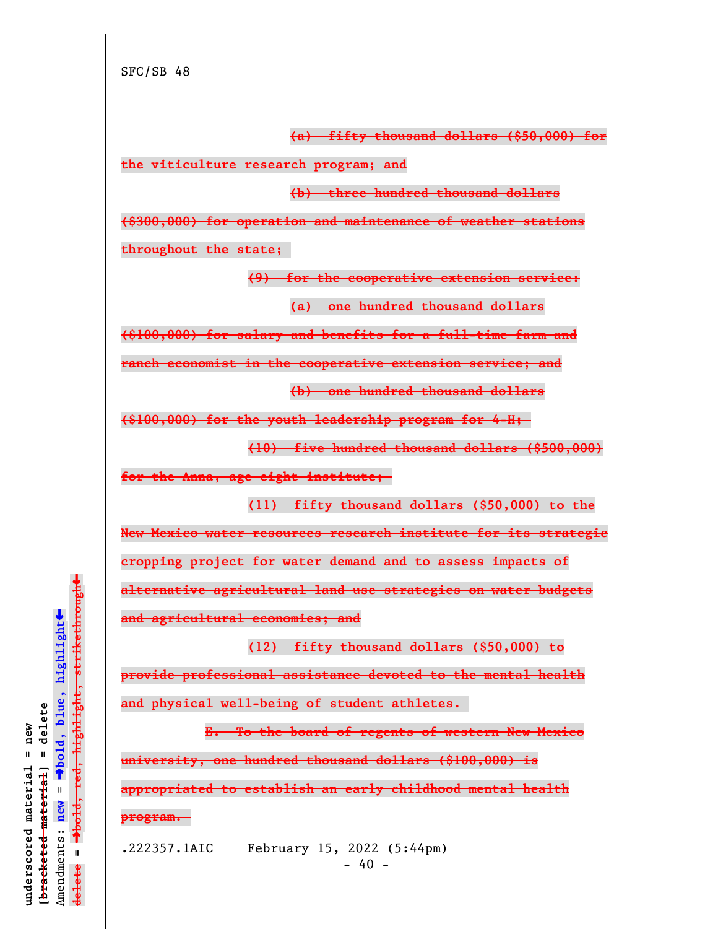**(a) fifty thousand dollars (\$50,000) for**

**the viticulture research program; and**

**(b) three hundred thousand dollars**

**(\$300,000) for operation and maintenance of weather stations throughout the state;** 

**(9) for the cooperative extension service:**

**(a) one hundred thousand dollars**

**(\$100,000) for salary and benefits for a full-time farm and**

**ranch economist in the cooperative extension service; and**

**(b) one hundred thousand dollars**

**(\$100,000) for the youth leadership program for 4-H;** 

**(10) five hundred thousand dollars (\$500,000)**

**for the Anna, age eight institute;** 

**(11) fifty thousand dollars (\$50,000) to the**

**New Mexico water resources research institute for its strategic**

**cropping project for water demand and to assess impacts of**

**alternative agricultural land use strategies on water budgets**

**and agricultural economies; and**

**(12) fifty thousand dollars (\$50,000) to provide professional assistance devoted to the mental health and physical well-being of student athletes.** 

**E. To the board of regents of western New Mexico university, one hundred thousand dollars (\$100,000) is appropriated to establish an early childhood mental health program.** 

.222357.1AIC February 15, 2022 (5:44pm)  $- 40 -$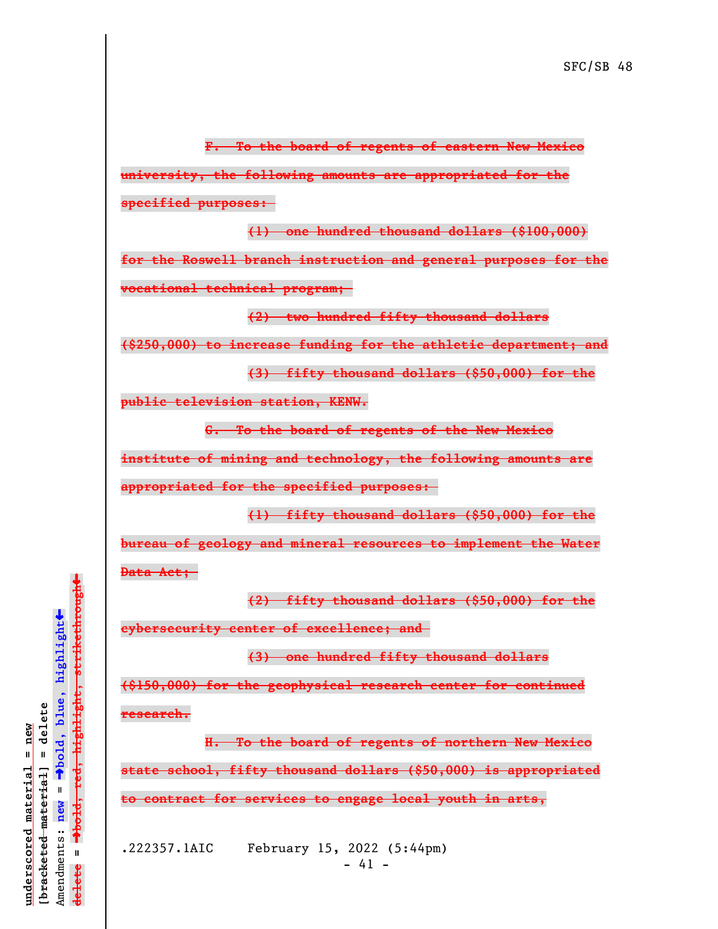**F. To the board of regents of eastern New Mexico university, the following amounts are appropriated for the specified purposes:** 

**(1) one hundred thousand dollars (\$100,000) for the Roswell branch instruction and general purposes for the vocational technical program;** 

**(2) two hundred fifty thousand dollars**

**(\$250,000) to increase funding for the athletic department; and**

**(3) fifty thousand dollars (\$50,000) for the**

**public television station, KENW.**

**G. To the board of regents of the New Mexico**

**institute of mining and technology, the following amounts are**

**appropriated for the specified purposes:** 

**(1) fifty thousand dollars (\$50,000) for the bureau of geology and mineral resources to implement the Water Data Act;** 

**(2) fifty thousand dollars (\$50,000) for the**

**cybersecurity center of excellence; and** 

**(3) one hundred fifty thousand dollars**

**(\$150,000) for the geophysical research center for continued research.**

**H. To the board of regents of northern New Mexico state school, fifty thousand dollars (\$50,000) is appropriated to contract for services to engage local youth in arts,**

.222357.1AIC February 15, 2022 (5:44pm)  $- 41 -$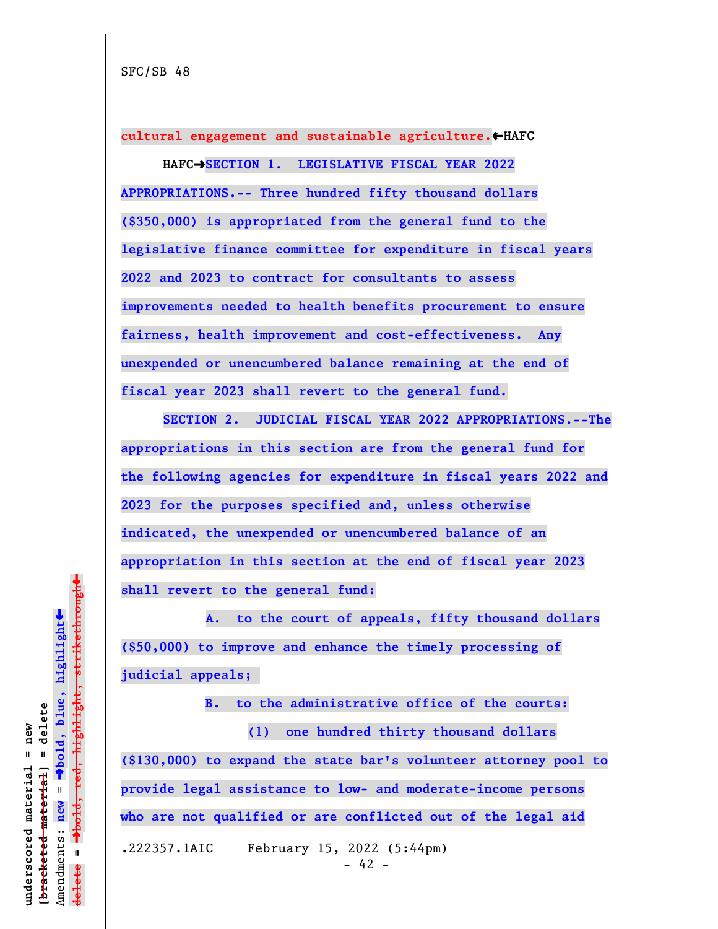**cultural engagement and sustainable agriculture.**»**HAFC**

**HAFC**º**SECTION 1. LEGISLATIVE FISCAL YEAR 2022 APPROPRIATIONS.-- Three hundred fifty thousand dollars (\$350,000) is appropriated from the general fund to the legislative finance committee for expenditure in fiscal years 2022 and 2023 to contract for consultants to assess improvements needed to health benefits procurement to ensure fairness, health improvement and cost-effectiveness. Any unexpended or unencumbered balance remaining at the end of fiscal year 2023 shall revert to the general fund.**

**SECTION 2. JUDICIAL FISCAL YEAR 2022 APPROPRIATIONS.--The appropriations in this section are from the general fund for the following agencies for expenditure in fiscal years 2022 and 2023 for the purposes specified and, unless otherwise indicated, the unexpended or unencumbered balance of an appropriation in this section at the end of fiscal year 2023 shall revert to the general fund:**

 **A. to the court of appeals, fifty thousand dollars (\$50,000) to improve and enhance the timely processing of judicial appeals;** 

**B. to the administrative office of the courts:**

**(1) one hundred thirty thousand dollars (\$130,000) to expand the state bar's volunteer attorney pool to provide legal assistance to low- and moderate-income persons who are not qualified or are conflicted out of the legal aid** .222357.1AIC February 15, 2022 (5:44pm) - 42 -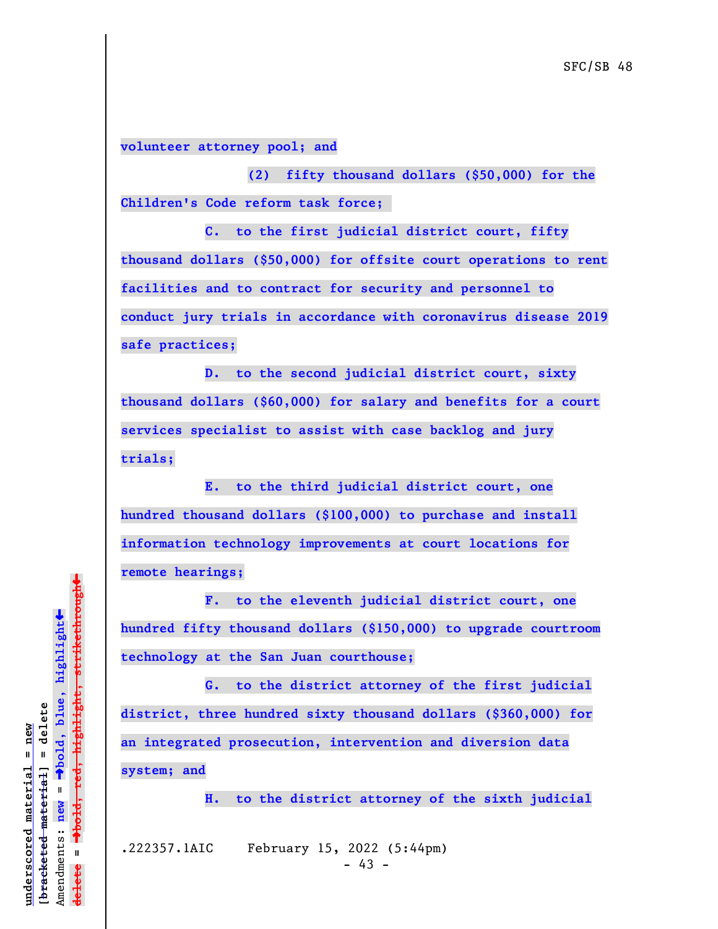**volunteer attorney pool; and**

**(2) fifty thousand dollars (\$50,000) for the Children's Code reform task force;** 

**C. to the first judicial district court, fifty thousand dollars (\$50,000) for offsite court operations to rent facilities and to contract for security and personnel to conduct jury trials in accordance with coronavirus disease 2019 safe practices;**

**D. to the second judicial district court, sixty thousand dollars (\$60,000) for salary and benefits for a court services specialist to assist with case backlog and jury trials;**

**E. to the third judicial district court, one hundred thousand dollars (\$100,000) to purchase and install information technology improvements at court locations for remote hearings;**

**F. to the eleventh judicial district court, one hundred fifty thousand dollars (\$150,000) to upgrade courtroom technology at the San Juan courthouse;**

**G. to the district attorney of the first judicial district, three hundred sixty thousand dollars (\$360,000) for an integrated prosecution, intervention and diversion data system; and**

**H. to the district attorney of the sixth judicial**

.222357.1AIC February 15, 2022 (5:44pm)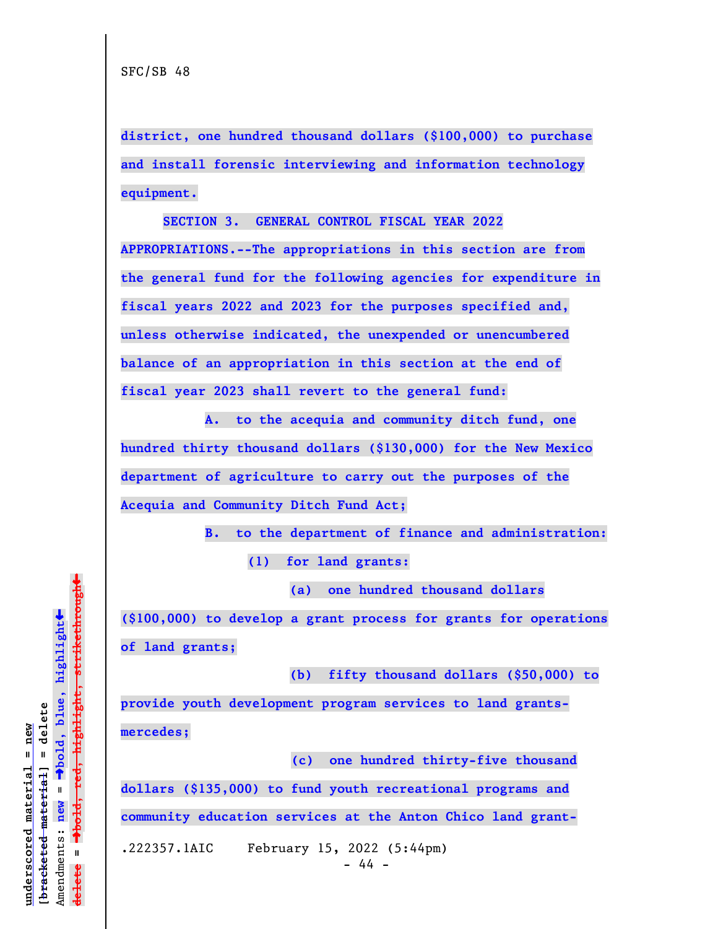**district, one hundred thousand dollars (\$100,000) to purchase and install forensic interviewing and information technology equipment.**

**SECTION 3. GENERAL CONTROL FISCAL YEAR 2022 APPROPRIATIONS.--The appropriations in this section are from the general fund for the following agencies for expenditure in fiscal years 2022 and 2023 for the purposes specified and, unless otherwise indicated, the unexpended or unencumbered balance of an appropriation in this section at the end of fiscal year 2023 shall revert to the general fund:**

**A. to the acequia and community ditch fund, one hundred thirty thousand dollars (\$130,000) for the New Mexico department of agriculture to carry out the purposes of the Acequia and Community Ditch Fund Act;**

> **B. to the department of finance and administration: (1) for land grants:**

> > **(a) one hundred thousand dollars**

**(\$100,000) to develop a grant process for grants for operations of land grants;**

**(b) fifty thousand dollars (\$50,000) to**

**provide youth development program services to land grantsmercedes;**

 **(c) one hundred thirty-five thousand dollars (\$135,000) to fund youth recreational programs and community education services at the Anton Chico land grant-**

.222357.1AIC February 15, 2022 (5:44pm)

 $\ddag$ º**bold, red, highlight, strikethrough**  $\ddot{\bullet}$ º**bold, blue, highlight**  $b$ racketed material] = delete **[bracketed material] = delete** inderscored material = new **underscored material = new**  $\mathbf{u}$ Amendments: **new** = Amendments: new  $\mathbf{I}$ **delete =** lelete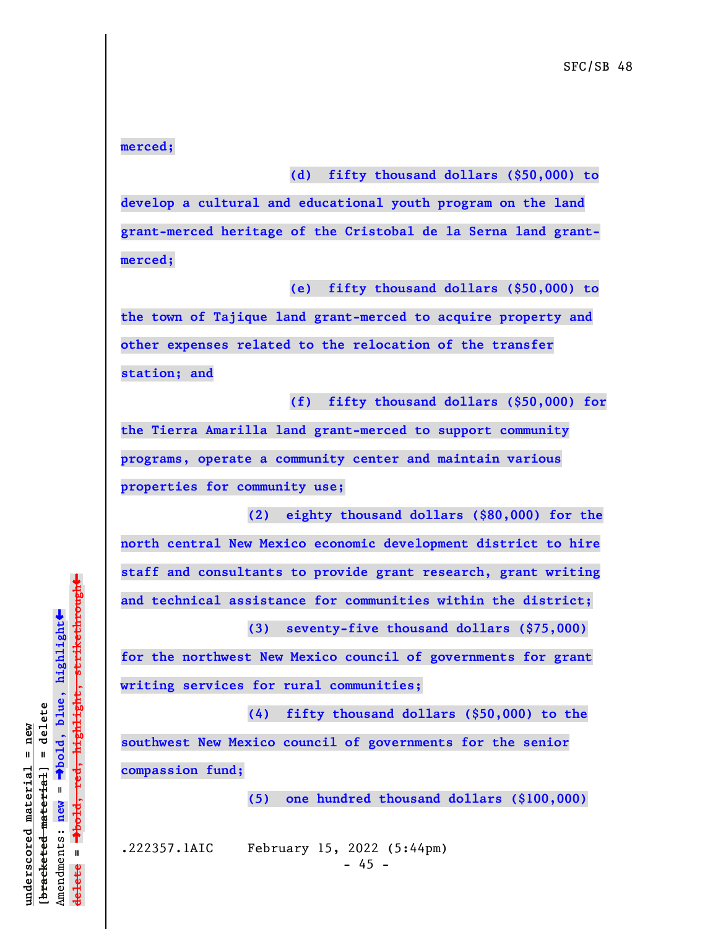**merced;**

**(d) fifty thousand dollars (\$50,000) to**

**develop a cultural and educational youth program on the land grant-merced heritage of the Cristobal de la Serna land grantmerced;**

**(e) fifty thousand dollars (\$50,000) to**

**the town of Tajique land grant-merced to acquire property and other expenses related to the relocation of the transfer station; and**

**(f) fifty thousand dollars (\$50,000) for**

**the Tierra Amarilla land grant-merced to support community programs, operate a community center and maintain various properties for community use;**

**(2) eighty thousand dollars (\$80,000) for the north central New Mexico economic development district to hire staff and consultants to provide grant research, grant writing and technical assistance for communities within the district;**

**for the northwest New Mexico council of governments for grant writing services for rural communities;**

**(4) fifty thousand dollars (\$50,000) to the southwest New Mexico council of governments for the senior compassion fund;**

**(5) one hundred thousand dollars (\$100,000)**

**(3) seventy-five thousand dollars (\$75,000)**

.222357.1AIC February 15, 2022 (5:44pm)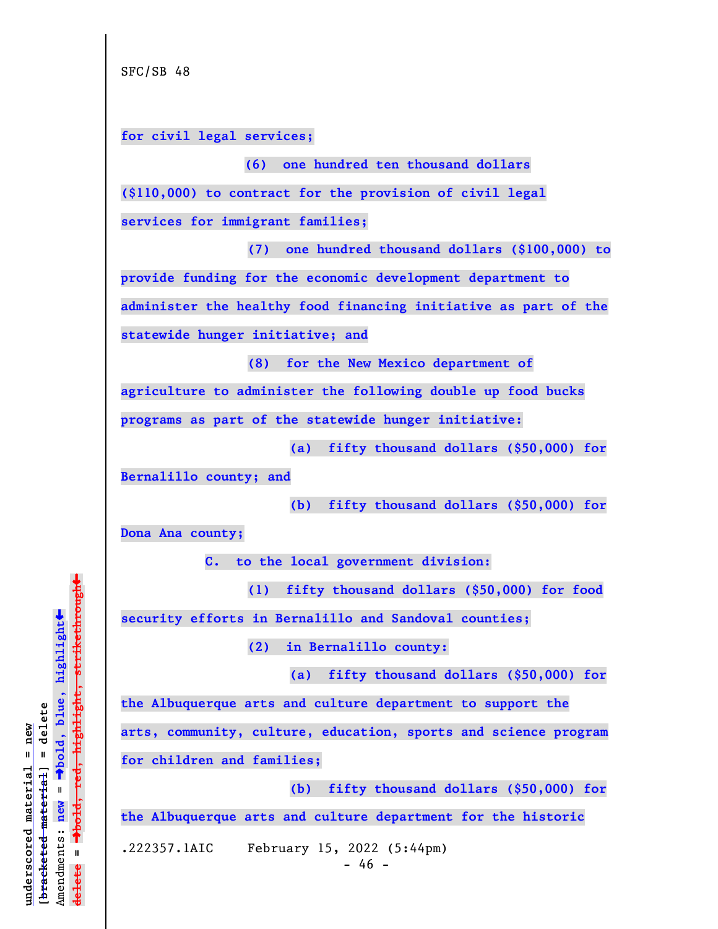**for civil legal services;**

**(\$110,000) to contract for the provision of civil legal**

**services for immigrant families;**

**(7) one hundred thousand dollars (\$100,000) to provide funding for the economic development department to administer the healthy food financing initiative as part of the statewide hunger initiative; and**

**(8) for the New Mexico department of**

 **(6) one hundred ten thousand dollars**

**agriculture to administer the following double up food bucks**

**programs as part of the statewide hunger initiative:**

**(a) fifty thousand dollars (\$50,000) for**

**Bernalillo county; and**

**(b) fifty thousand dollars (\$50,000) for**

**Dona Ana county;**

**C. to the local government division:**

**(1) fifty thousand dollars (\$50,000) for food**

**security efforts in Bernalillo and Sandoval counties;**

**(2) in Bernalillo county:**

**(a) fifty thousand dollars (\$50,000) for**

**the Albuquerque arts and culture department to support the**

**arts, community, culture, education, sports and science program**

**for children and families;**

**(b) fifty thousand dollars (\$50,000) for**

**the Albuquerque arts and culture department for the historic**

.222357.1AIC February 15, 2022 (5:44pm)

 $\ddag$ º**bold, red, highlight, strikethrough**  $\ddot{\bullet}$ º**bold, blue, highlight**  $b$ racketed material] = delete **[bracketed material] = delete** inderscored material = new **underscored material = new** Amendments: **new** =  $\mathbf{I}$ Amendments: new  $\mathbf{I}$ **delete = ielete**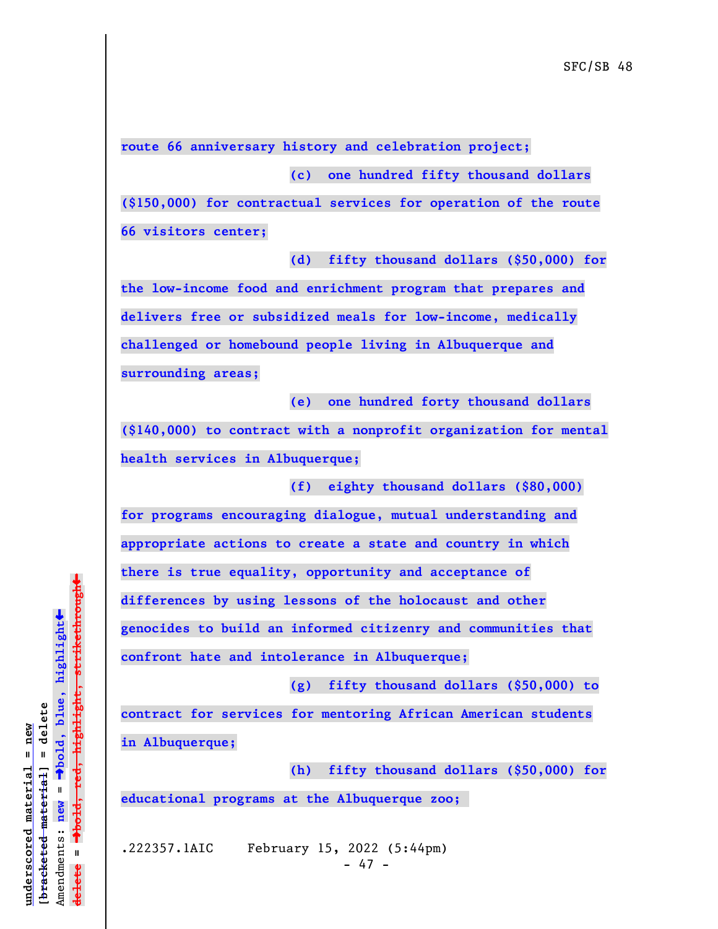**route 66 anniversary history and celebration project;**

**(c) one hundred fifty thousand dollars**

**(\$150,000) for contractual services for operation of the route 66 visitors center;**

**(d) fifty thousand dollars (\$50,000) for**

**the low-income food and enrichment program that prepares and delivers free or subsidized meals for low-income, medically challenged or homebound people living in Albuquerque and surrounding areas;**

**(e) one hundred forty thousand dollars**

**(\$140,000) to contract with a nonprofit organization for mental health services in Albuquerque;**

**(f) eighty thousand dollars (\$80,000)**

**for programs encouraging dialogue, mutual understanding and appropriate actions to create a state and country in which there is true equality, opportunity and acceptance of**

**differences by using lessons of the holocaust and other**

**genocides to build an informed citizenry and communities that**

**confront hate and intolerance in Albuquerque;**

**(g) fifty thousand dollars (\$50,000) to contract for services for mentoring African American students in Albuquerque;**

**(h) fifty thousand dollars (\$50,000) for educational programs at the Albuquerque zoo;** 

.222357.1AIC February 15, 2022 (5:44pm)  $- 47 -$ 

 $\ddag$ º**bold, red, highlight, strikethrough**  $\ddot{\bullet}$ º**bold, blue, highlight**  $b$ racketed material] = delete **[bracketed material] = delete** inderscored material = new **underscored material = new** Amendments: new = Amendments: **new** =  $\mathbf{I}$ **delete =** lelete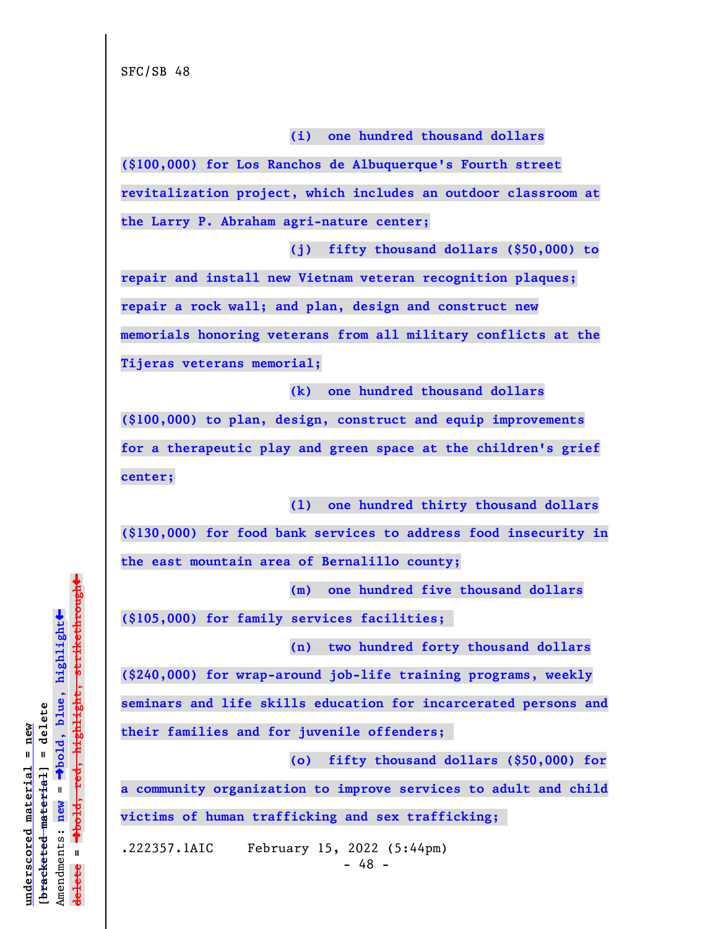**(i) one hundred thousand dollars**

**(\$100,000) for Los Ranchos de Albuquerque's Fourth street revitalization project, which includes an outdoor classroom at the Larry P. Abraham agri-nature center;**

**(j) fifty thousand dollars (\$50,000) to**

**repair and install new Vietnam veteran recognition plaques; repair a rock wall; and plan, design and construct new memorials honoring veterans from all military conflicts at the Tijeras veterans memorial;**

**(k) one hundred thousand dollars**

**(\$100,000) to plan, design, construct and equip improvements for a therapeutic play and green space at the children's grief center;**

**(l) one hundred thirty thousand dollars**

**(\$130,000) for food bank services to address food insecurity in the east mountain area of Bernalillo county;**

**(m) one hundred five thousand dollars**

**(\$105,000) for family services facilities;** 

**(n) two hundred forty thousand dollars**

**(\$240,000) for wrap-around job-life training programs, weekly**

**seminars and life skills education for incarcerated persons and**

**their families and for juvenile offenders;** 

**(o) fifty thousand dollars (\$50,000) for**

**a community organization to improve services to adult and child**

**victims of human trafficking and sex trafficking;** 

.222357.1AIC February 15, 2022 (5:44pm)

 $\ddag$ º**bold, red, highlight, strikethrough**  $\ddot{\bullet}$ º**bold, blue, highlight**  $b$ racketed material] = delete **[bracketed material] = delete** inderscored material = new **underscored material = new** Amendments: **new** =  $\mathbf{I}$ Amendments: new  $\mathbf{I}$ **delete =** lelete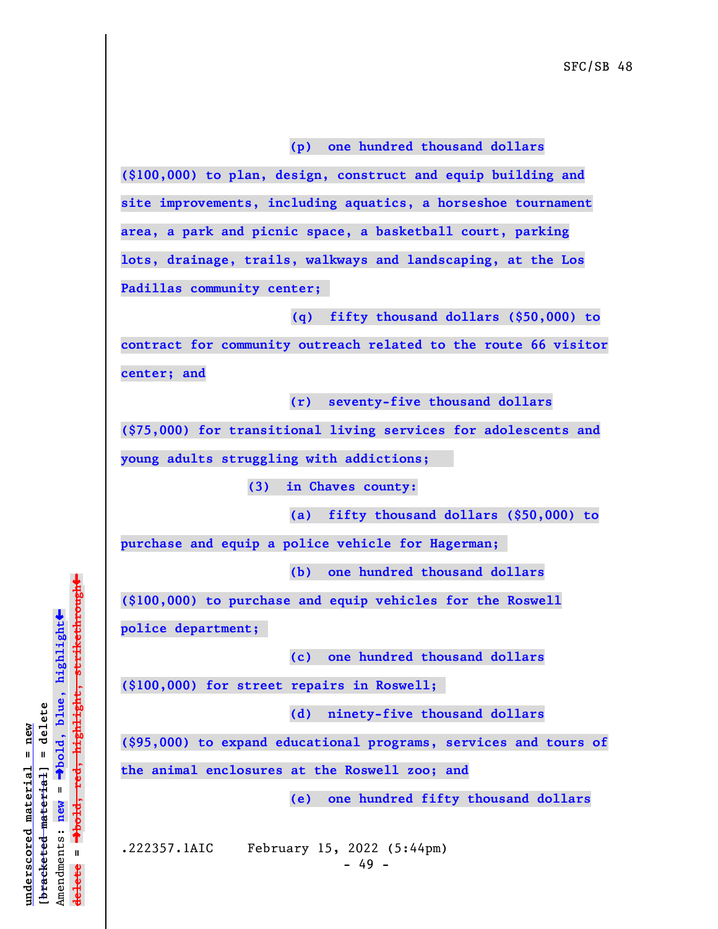## **(p) one hundred thousand dollars**

**(\$100,000) to plan, design, construct and equip building and site improvements, including aquatics, a horseshoe tournament area, a park and picnic space, a basketball court, parking lots, drainage, trails, walkways and landscaping, at the Los Padillas community center;** 

 **(q) fifty thousand dollars (\$50,000) to**

**contract for community outreach related to the route 66 visitor center; and**

**(r) seventy-five thousand dollars**

**(\$75,000) for transitional living services for adolescents and young adults struggling with addictions;** 

**(3) in Chaves county:**

**(a) fifty thousand dollars (\$50,000) to**

**purchase and equip a police vehicle for Hagerman;** 

**(b) one hundred thousand dollars**

**(\$100,000) to purchase and equip vehicles for the Roswell**

**police department;** 

**(c) one hundred thousand dollars**

**(\$100,000) for street repairs in Roswell;** 

**(d) ninety-five thousand dollars**

**(\$95,000) to expand educational programs, services and tours of**

**the animal enclosures at the Roswell zoo; and**

**(e) one hundred fifty thousand dollars**

.222357.1AIC February 15, 2022 (5:44pm)

 $- 49 -$ 

 $\ddag$ º**bold, red, highlight, strikethrough**  $\ddot{\bullet}$ º**bold, blue, highlight**  $b$ racketed material] = delete **[bracketed material] = delete** inderscored material = new **underscored material = new**  $\mathbf{u}$ Amendments: **new** = Amendments: new  $\mathbf{u}$ **delete =** lelete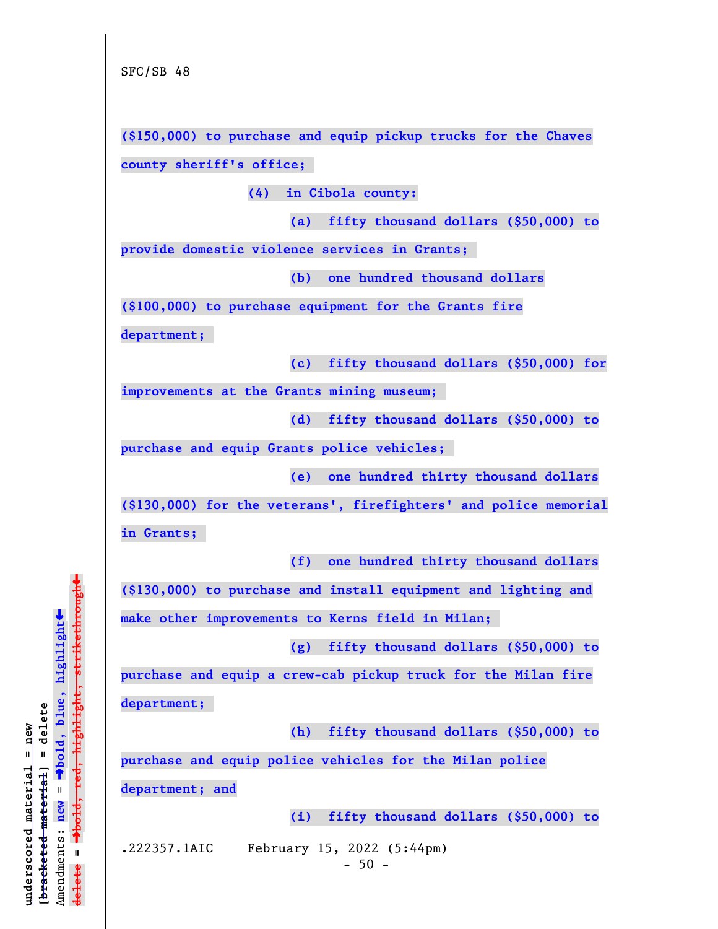**(\$150,000) to purchase and equip pickup trucks for the Chaves county sheriff's office;** 

**(4) in Cibola county:**

**(a) fifty thousand dollars (\$50,000) to**

**provide domestic violence services in Grants;** 

**(b) one hundred thousand dollars**

**(\$100,000) to purchase equipment for the Grants fire**

**department;** 

**(c) fifty thousand dollars (\$50,000) for**

**improvements at the Grants mining museum;** 

**(d) fifty thousand dollars (\$50,000) to**

**purchase and equip Grants police vehicles;** 

**(e) one hundred thirty thousand dollars**

**(\$130,000) for the veterans', firefighters' and police memorial**

**in Grants;** 

**(f) one hundred thirty thousand dollars**

**(\$130,000) to purchase and install equipment and lighting and**

**make other improvements to Kerns field in Milan;** 

**(g) fifty thousand dollars (\$50,000) to**

**purchase and equip a crew-cab pickup truck for the Milan fire department;** 

**(h) fifty thousand dollars (\$50,000) to**

**purchase and equip police vehicles for the Milan police**

**department; and**

**(i) fifty thousand dollars (\$50,000) to**

.222357.1AIC February 15, 2022 (5:44pm)

 $-50 -$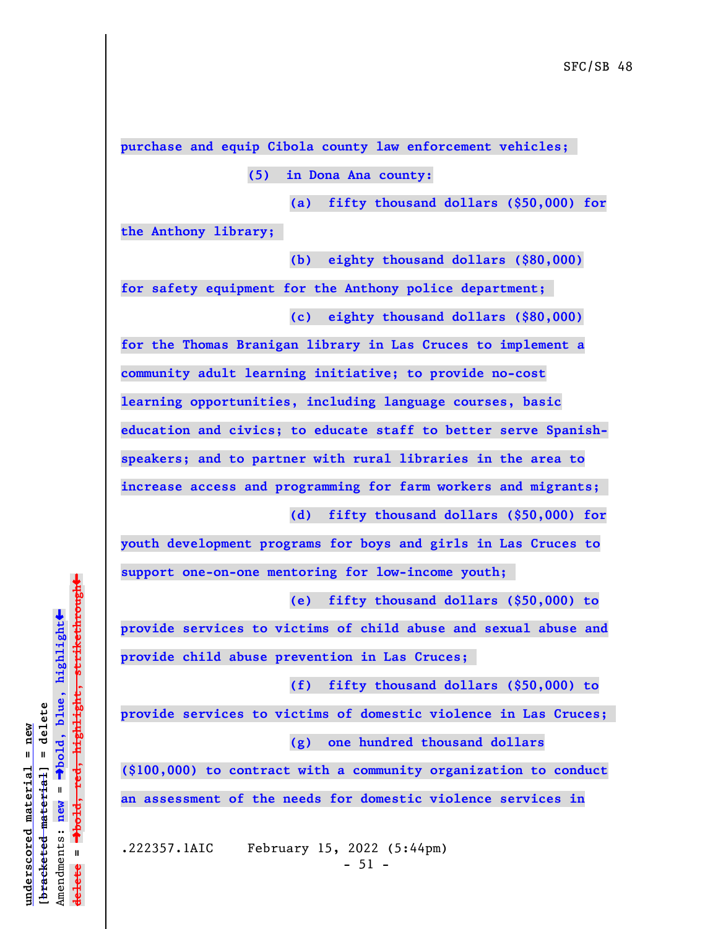**purchase and equip Cibola county law enforcement vehicles;** 

**(5) in Dona Ana county:**

**(a) fifty thousand dollars (\$50,000) for**

**the Anthony library;** 

**(b) eighty thousand dollars (\$80,000) for safety equipment for the Anthony police department; (c) eighty thousand dollars (\$80,000)**

**for the Thomas Branigan library in Las Cruces to implement a community adult learning initiative; to provide no-cost learning opportunities, including language courses, basic education and civics; to educate staff to better serve Spanishspeakers; and to partner with rural libraries in the area to increase access and programming for farm workers and migrants; (d) fifty thousand dollars (\$50,000) for**

**youth development programs for boys and girls in Las Cruces to support one-on-one mentoring for low-income youth;** 

**(e) fifty thousand dollars (\$50,000) to**

**provide services to victims of child abuse and sexual abuse and provide child abuse prevention in Las Cruces;** 

**(f) fifty thousand dollars (\$50,000) to**

**provide services to victims of domestic violence in Las Cruces; (g) one hundred thousand dollars**

**(\$100,000) to contract with a community organization to conduct an assessment of the needs for domestic violence services in**

.222357.1AIC February 15, 2022 (5:44pm)  $-51 -$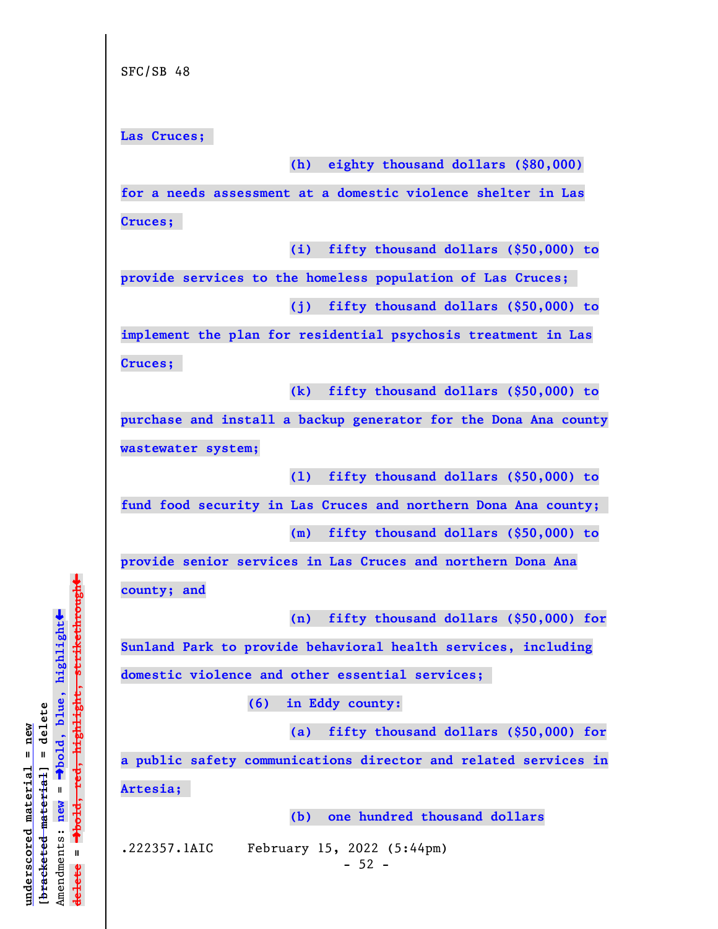**Las Cruces;** 

**(h) eighty thousand dollars (\$80,000)**

**for a needs assessment at a domestic violence shelter in Las Cruces;** 

**(i) fifty thousand dollars (\$50,000) to**

**provide services to the homeless population of Las Cruces;** 

**(j) fifty thousand dollars (\$50,000) to**

**implement the plan for residential psychosis treatment in Las Cruces;** 

**(k) fifty thousand dollars (\$50,000) to**

**purchase and install a backup generator for the Dona Ana county wastewater system;**

**(l) fifty thousand dollars (\$50,000) to**

**fund food security in Las Cruces and northern Dona Ana county;** 

**(m) fifty thousand dollars (\$50,000) to**

**provide senior services in Las Cruces and northern Dona Ana county; and**

**(n) fifty thousand dollars (\$50,000) for**

**Sunland Park to provide behavioral health services, including**

**domestic violence and other essential services;** 

**(6) in Eddy county:**

**(a) fifty thousand dollars (\$50,000) for**

**a public safety communications director and related services in**

**Artesia;** 

**(b) one hundred thousand dollars**

.222357.1AIC February 15, 2022 (5:44pm)

 $-52 -$ 

 $\ddag$ º**bold, red, highlight, strikethrough**  $\ddot{\bullet}$ º**bold, blue, highlight**  $b$ racketed material] = delete **[bracketed material] = delete** inderscored material = new **underscored material = new** Amendments: new = Amendments: **new** =  $\mathbf{I}$ **delete = ielete**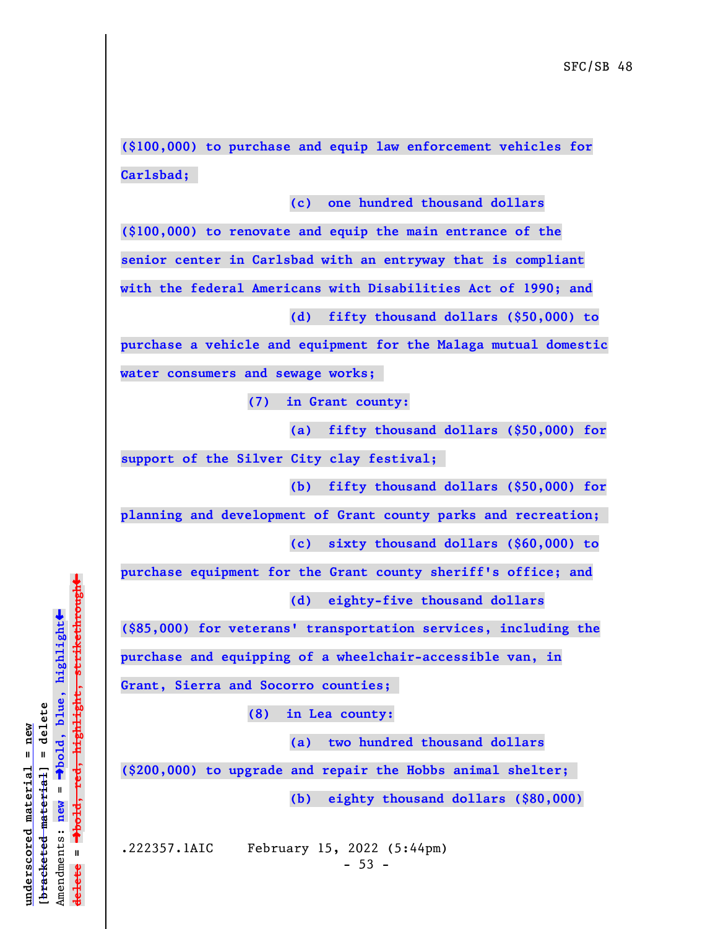**(\$100,000) to purchase and equip law enforcement vehicles for Carlsbad;** 

**(c) one hundred thousand dollars**

**(\$100,000) to renovate and equip the main entrance of the senior center in Carlsbad with an entryway that is compliant with the federal Americans with Disabilities Act of 1990; and**

**(d) fifty thousand dollars (\$50,000) to**

**purchase a vehicle and equipment for the Malaga mutual domestic water consumers and sewage works;** 

**(7) in Grant county:**

**(a) fifty thousand dollars (\$50,000) for**

**support of the Silver City clay festival;** 

**(b) fifty thousand dollars (\$50,000) for**

**planning and development of Grant county parks and recreation;** 

**(c) sixty thousand dollars (\$60,000) to**

**purchase equipment for the Grant county sheriff's office; and (d) eighty-five thousand dollars**

**(\$85,000) for veterans' transportation services, including the**

**purchase and equipping of a wheelchair-accessible van, in**

**Grant, Sierra and Socorro counties;** 

**(8) in Lea county:**

**(a) two hundred thousand dollars**

**(\$200,000) to upgrade and repair the Hobbs animal shelter;** 

**(b) eighty thousand dollars (\$80,000)**

.222357.1AIC February 15, 2022 (5:44pm)

 $-53 -$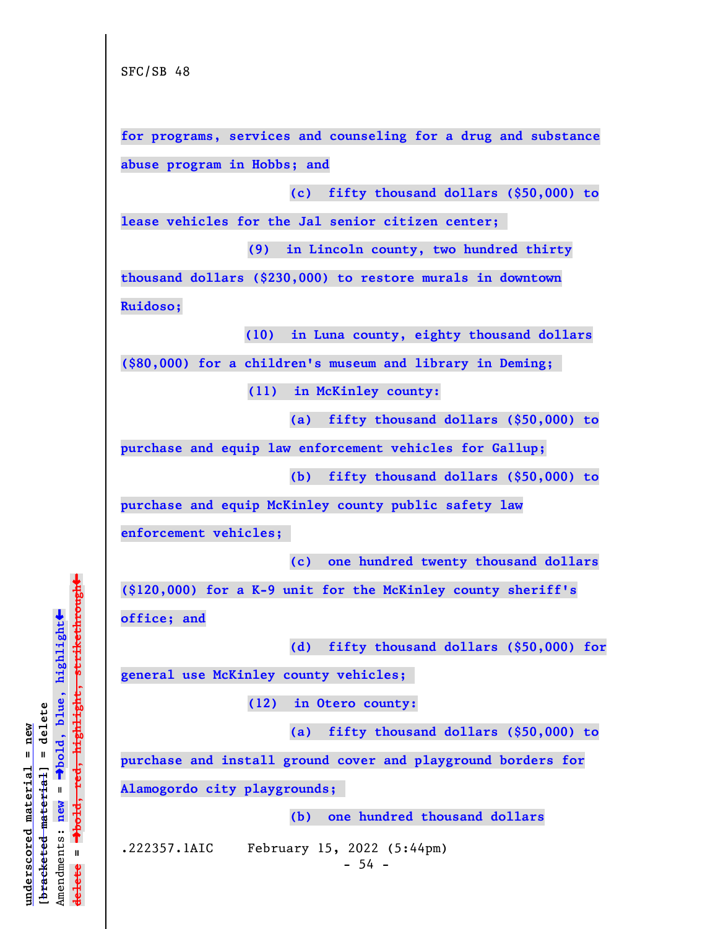**for programs, services and counseling for a drug and substance abuse program in Hobbs; and**

**(c) fifty thousand dollars (\$50,000) to**

**lease vehicles for the Jal senior citizen center;** 

**(9) in Lincoln county, two hundred thirty**

**thousand dollars (\$230,000) to restore murals in downtown Ruidoso;** 

 **(10) in Luna county, eighty thousand dollars**

**(\$80,000) for a children's museum and library in Deming;** 

**(11) in McKinley county:**

**(a) fifty thousand dollars (\$50,000) to**

**purchase and equip law enforcement vehicles for Gallup;**

**(b) fifty thousand dollars (\$50,000) to**

**purchase and equip McKinley county public safety law**

**enforcement vehicles;** 

**(c) one hundred twenty thousand dollars**

**(\$120,000) for a K-9 unit for the McKinley county sheriff's**

**office; and**

**(d) fifty thousand dollars (\$50,000) for**

**general use McKinley county vehicles;** 

**(12) in Otero county:**

**(a) fifty thousand dollars (\$50,000) to**

**purchase and install ground cover and playground borders for**

**Alamogordo city playgrounds;** 

**(b) one hundred thousand dollars**

.222357.1AIC February 15, 2022 (5:44pm)

 $-54 -$ 

º**bold, red, highlight, strikethrough**  $\ddot{\bullet}$ º**bold, blue, highlight**  $b$ racketed material] = delete **[bracketed material] = delete** inderscored material = new **underscored material = new** Amendments: **new** =  $\mathbf{I}$ Amendments: new  $\mathbf{I}$ **delete = ielete**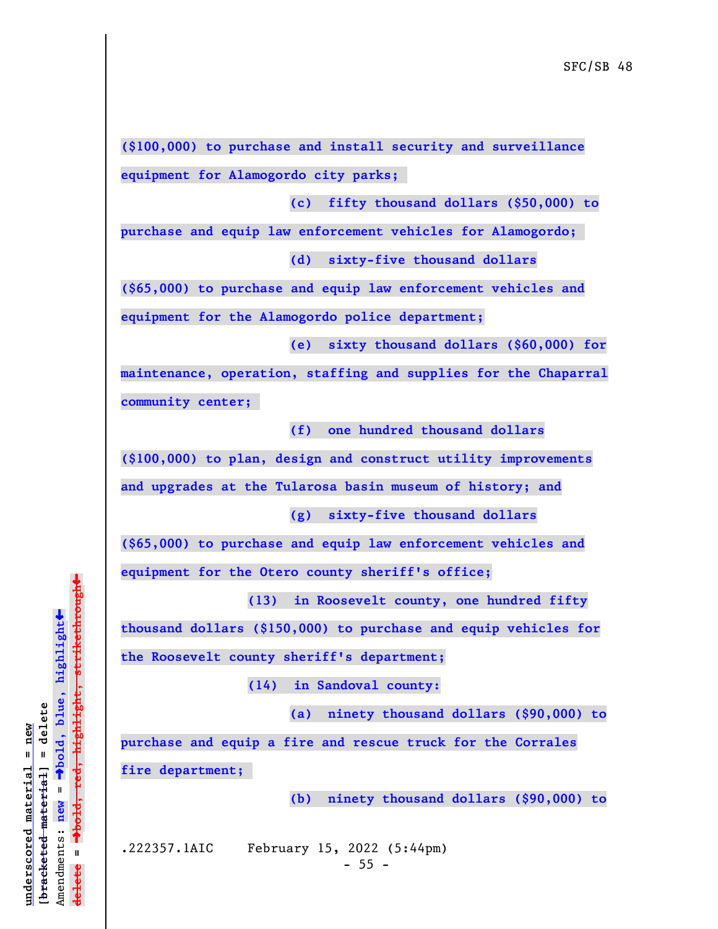**(\$100,000) to purchase and install security and surveillance equipment for Alamogordo city parks;** 

**(c) fifty thousand dollars (\$50,000) to**

**purchase and equip law enforcement vehicles for Alamogordo; (d) sixty-five thousand dollars**

**(\$65,000) to purchase and equip law enforcement vehicles and equipment for the Alamogordo police department;**

**(e) sixty thousand dollars (\$60,000) for**

**maintenance, operation, staffing and supplies for the Chaparral community center;** 

**(f) one hundred thousand dollars**

**(\$100,000) to plan, design and construct utility improvements**

**and upgrades at the Tularosa basin museum of history; and**

**(g) sixty-five thousand dollars**

**(\$65,000) to purchase and equip law enforcement vehicles and equipment for the Otero county sheriff's office;**

**(13) in Roosevelt county, one hundred fifty**

**thousand dollars (\$150,000) to purchase and equip vehicles for**

**the Roosevelt county sheriff's department;**

**(14) in Sandoval county:**

**(a) ninety thousand dollars (\$90,000) to**

**purchase and equip a fire and rescue truck for the Corrales fire department;** 

**(b) ninety thousand dollars (\$90,000) to**

**underscored material = new [bracketed material] = delete**

 $b$ racketed material] = delete inderscored material = new

Amendments: **new** =

Amendments: new  $\mathbf{u}$ 

 $\mathbf{I}$ 

**delete =**

**ielete** 

º**bold, blue, highlight**

º**bold, red, highlight, strikethrough**

 $\ddot{\bullet}$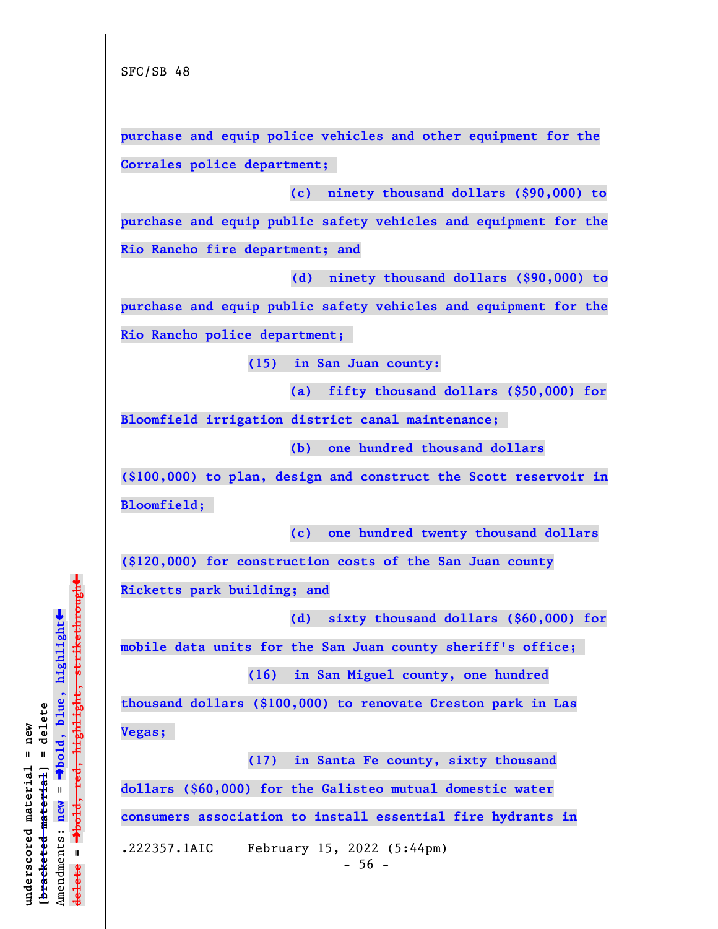**purchase and equip police vehicles and other equipment for the Corrales police department;** 

**(c) ninety thousand dollars (\$90,000) to**

**purchase and equip public safety vehicles and equipment for the Rio Rancho fire department; and**

 **(d) ninety thousand dollars (\$90,000) to**

**purchase and equip public safety vehicles and equipment for the Rio Rancho police department;** 

**(15) in San Juan county:**

**(a) fifty thousand dollars (\$50,000) for**

**Bloomfield irrigation district canal maintenance;** 

**(b) one hundred thousand dollars**

**(\$100,000) to plan, design and construct the Scott reservoir in Bloomfield;** 

**(c) one hundred twenty thousand dollars**

**(\$120,000) for construction costs of the San Juan county**

**Ricketts park building; and**

**(d) sixty thousand dollars (\$60,000) for**

**mobile data units for the San Juan county sheriff's office;** 

**(16) in San Miguel county, one hundred**

**thousand dollars (\$100,000) to renovate Creston park in Las Vegas;** 

**(17) in Santa Fe county, sixty thousand**

**dollars (\$60,000) for the Galisteo mutual domestic water**

**consumers association to install essential fire hydrants in**

.222357.1AIC February 15, 2022 (5:44pm)

 $-56 -$ 

 $\ddag$ º**bold, red, highlight, strikethrough**  $\ddot{\bullet}$ º**bold, blue, highlight**  $b$ racketed material] = delete **[bracketed material] = delete** inderscored material = new **underscored material = new** Amendments: new = Amendments: **new** =  $\mathbf{I}$ **delete =** lelete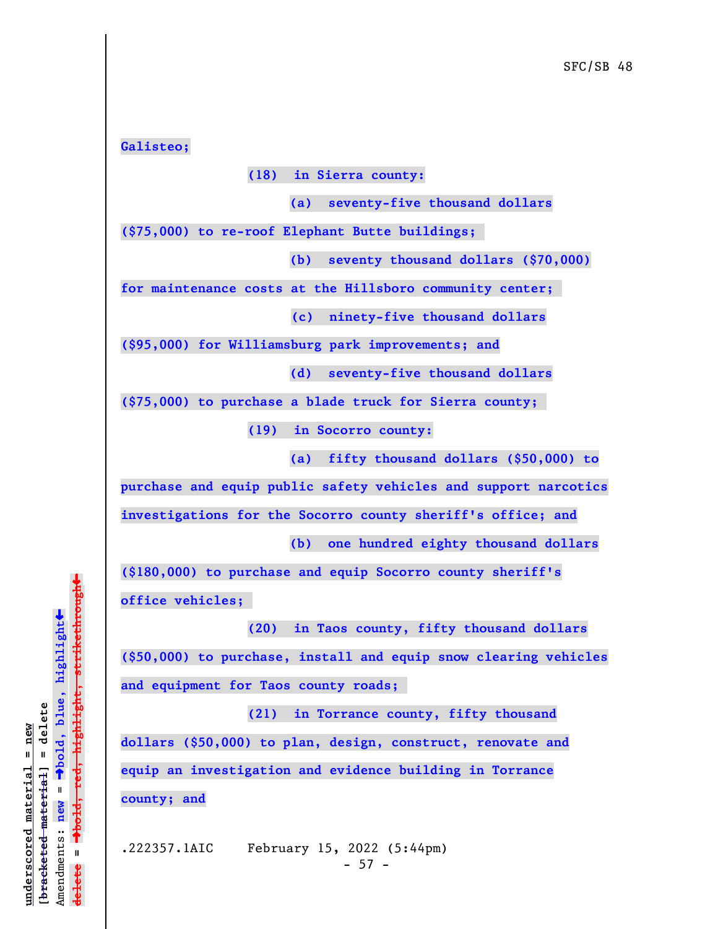**Galisteo;**

**(18) in Sierra county:**

**(a) seventy-five thousand dollars**

**(\$75,000) to re-roof Elephant Butte buildings;** 

**(b) seventy thousand dollars (\$70,000)**

**for maintenance costs at the Hillsboro community center;** 

 **(c) ninety-five thousand dollars**

**(\$95,000) for Williamsburg park improvements; and**

**(d) seventy-five thousand dollars**

**(\$75,000) to purchase a blade truck for Sierra county;** 

**(19) in Socorro county:**

**(a) fifty thousand dollars (\$50,000) to**

**purchase and equip public safety vehicles and support narcotics**

**investigations for the Socorro county sheriff's office; and**

**(b) one hundred eighty thousand dollars**

**(\$180,000) to purchase and equip Socorro county sheriff's office vehicles;** 

**(20) in Taos county, fifty thousand dollars**

**(\$50,000) to purchase, install and equip snow clearing vehicles and equipment for Taos county roads;** 

**(21) in Torrance county, fifty thousand dollars (\$50,000) to plan, design, construct, renovate and equip an investigation and evidence building in Torrance county; and**

.222357.1AIC February 15, 2022 (5:44pm)  $- 57 -$ 

 $\ddag$ º**bold, red, highlight, strikethrough**  $\ddot{\bullet}$ º**bold, blue, highlight**  $b$ racketed material] = delete **[bracketed material] = delete** inderscored material = new **underscored material = new** Amendments: **new** =  $\mathbf{I}$ Amendments: new  $\mathbf{u}$ **delete =** lelete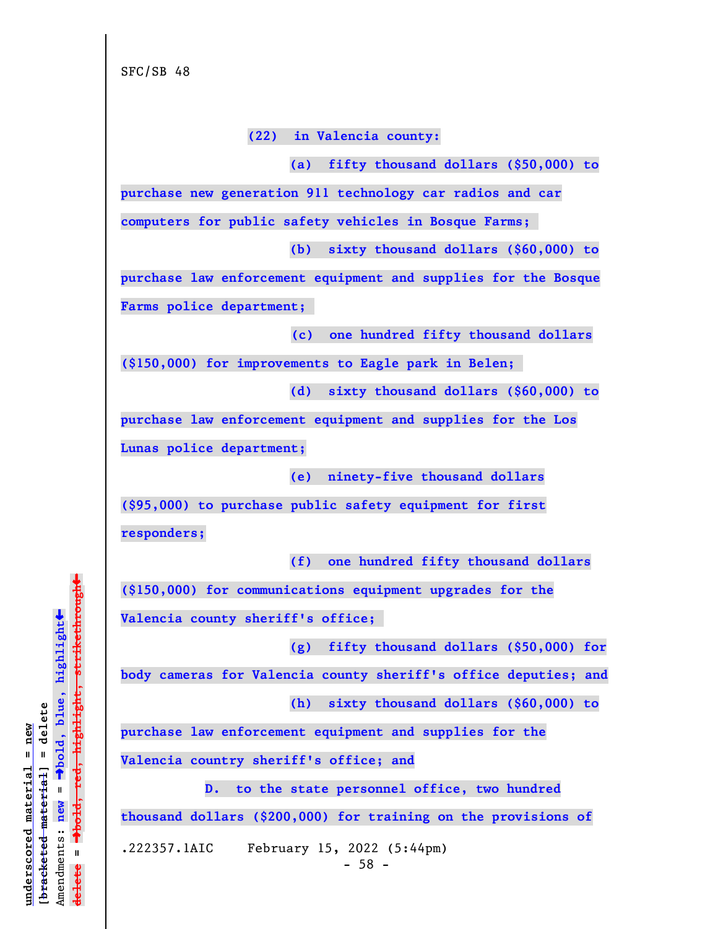**(22) in Valencia county:**

**(a) fifty thousand dollars (\$50,000) to**

**purchase new generation 911 technology car radios and car**

**computers for public safety vehicles in Bosque Farms;** 

**(b) sixty thousand dollars (\$60,000) to**

**purchase law enforcement equipment and supplies for the Bosque Farms police department;** 

 **(c) one hundred fifty thousand dollars**

**(\$150,000) for improvements to Eagle park in Belen;** 

**(d) sixty thousand dollars (\$60,000) to**

**purchase law enforcement equipment and supplies for the Los Lunas police department;**

**(e) ninety-five thousand dollars**

**(\$95,000) to purchase public safety equipment for first responders;**

**(f) one hundred fifty thousand dollars**

**(\$150,000) for communications equipment upgrades for the Valencia county sheriff's office;** 

**(g) fifty thousand dollars (\$50,000) for**

**body cameras for Valencia county sheriff's office deputies; and**

**(h) sixty thousand dollars (\$60,000) to**

**purchase law enforcement equipment and supplies for the**

**Valencia country sheriff's office; and**

**D. to the state personnel office, two hundred thousand dollars (\$200,000) for training on the provisions of**

.222357.1AIC February 15, 2022 (5:44pm)

 $-58 -$ 

 $\ddag$ º**bold, red, highlight, strikethrough**  $\ddot{\bullet}$ º**bold, blue, highlight**  $b$ racketed material] = delete **[bracketed material] = delete** inderscored material = new **underscored material = new** Amendments: **new** =  $\mathbf{I}$ Amendments: new  $\mathbf{I}$ **delete = ielete**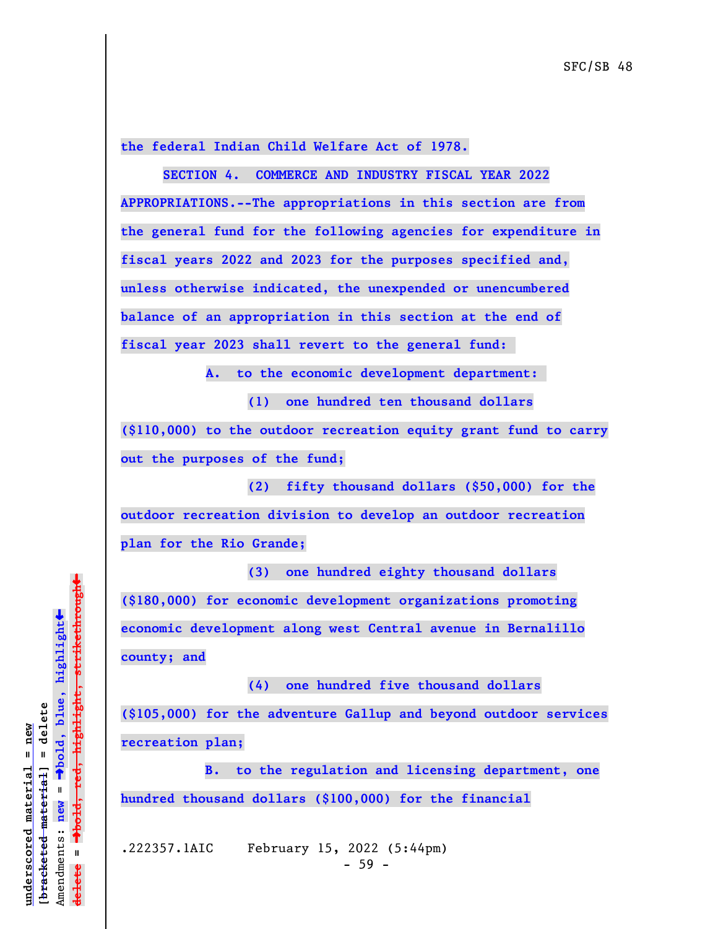**the federal Indian Child Welfare Act of 1978.**

**SECTION 4. COMMERCE AND INDUSTRY FISCAL YEAR 2022 APPROPRIATIONS.--The appropriations in this section are from the general fund for the following agencies for expenditure in fiscal years 2022 and 2023 for the purposes specified and, unless otherwise indicated, the unexpended or unencumbered balance of an appropriation in this section at the end of fiscal year 2023 shall revert to the general fund:** 

 **A. to the economic development department:** 

**(1) one hundred ten thousand dollars**

**(\$110,000) to the outdoor recreation equity grant fund to carry out the purposes of the fund;**

**(2) fifty thousand dollars (\$50,000) for the outdoor recreation division to develop an outdoor recreation plan for the Rio Grande;**

**(3) one hundred eighty thousand dollars (\$180,000) for economic development organizations promoting economic development along west Central avenue in Bernalillo county; and**

**(4) one hundred five thousand dollars (\$105,000) for the adventure Gallup and beyond outdoor services recreation plan;**

**B. to the regulation and licensing department, one hundred thousand dollars (\$100,000) for the financial**

.222357.1AIC February 15, 2022 (5:44pm)  $-59 -$ 

 $\ddag$ º**bold, red, highlight, strikethrough**  $\ddot{\bullet}$ º**bold, blue, highlight**  $b$ racketed material] = delete **[bracketed material] = delete** inderscored material = new **underscored material = new** Amendments: new = Amendments: **new** =  $\mathbf{u}$ **delete =** lelete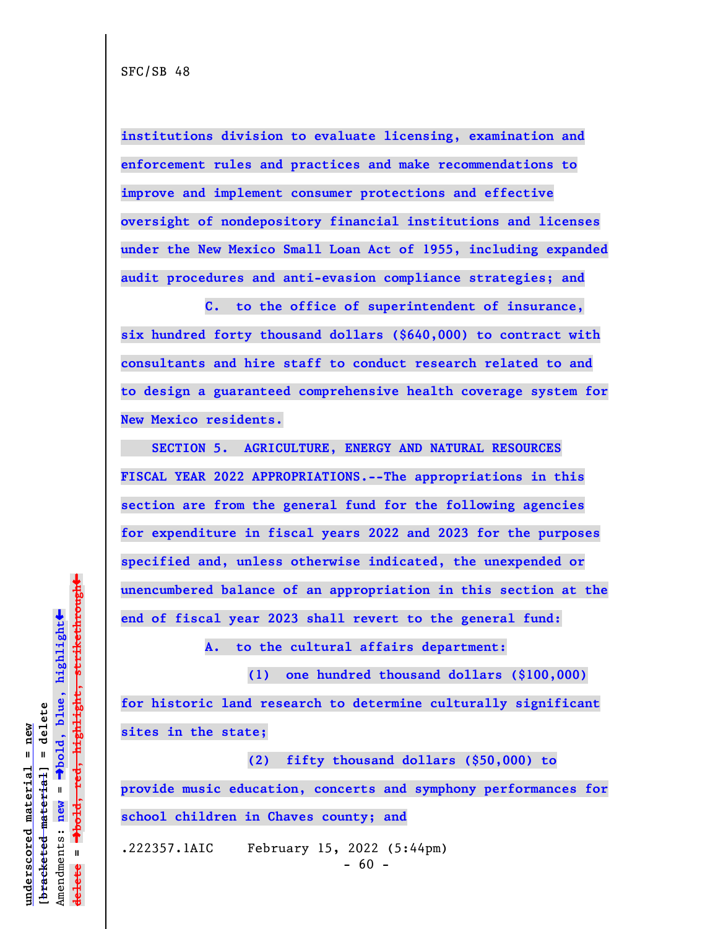**institutions division to evaluate licensing, examination and enforcement rules and practices and make recommendations to improve and implement consumer protections and effective oversight of nondepository financial institutions and licenses under the New Mexico Small Loan Act of 1955, including expanded audit procedures and anti-evasion compliance strategies; and**

**C. to the office of superintendent of insurance, six hundred forty thousand dollars (\$640,000) to contract with consultants and hire staff to conduct research related to and to design a guaranteed comprehensive health coverage system for New Mexico residents.**

 **SECTION 5. AGRICULTURE, ENERGY AND NATURAL RESOURCES FISCAL YEAR 2022 APPROPRIATIONS.--The appropriations in this section are from the general fund for the following agencies for expenditure in fiscal years 2022 and 2023 for the purposes specified and, unless otherwise indicated, the unexpended or unencumbered balance of an appropriation in this section at the end of fiscal year 2023 shall revert to the general fund:**

**A. to the cultural affairs department:**

**(1) one hundred thousand dollars (\$100,000) for historic land research to determine culturally significant sites in the state;**

**(2) fifty thousand dollars (\$50,000) to provide music education, concerts and symphony performances for school children in Chaves county; and**

.222357.1AIC February 15, 2022 (5:44pm)

 $\ddag$ º**bold, red, highlight, strikethrough**  $\ddot{\bullet}$ º**bold, blue, highlight**  $b$ racketed material] = delete **[bracketed material] = delete** inderscored material = new **underscored material = new** Amendments: new = Amendments: **new** =  $\mathbf{u}$ **delete =** lelete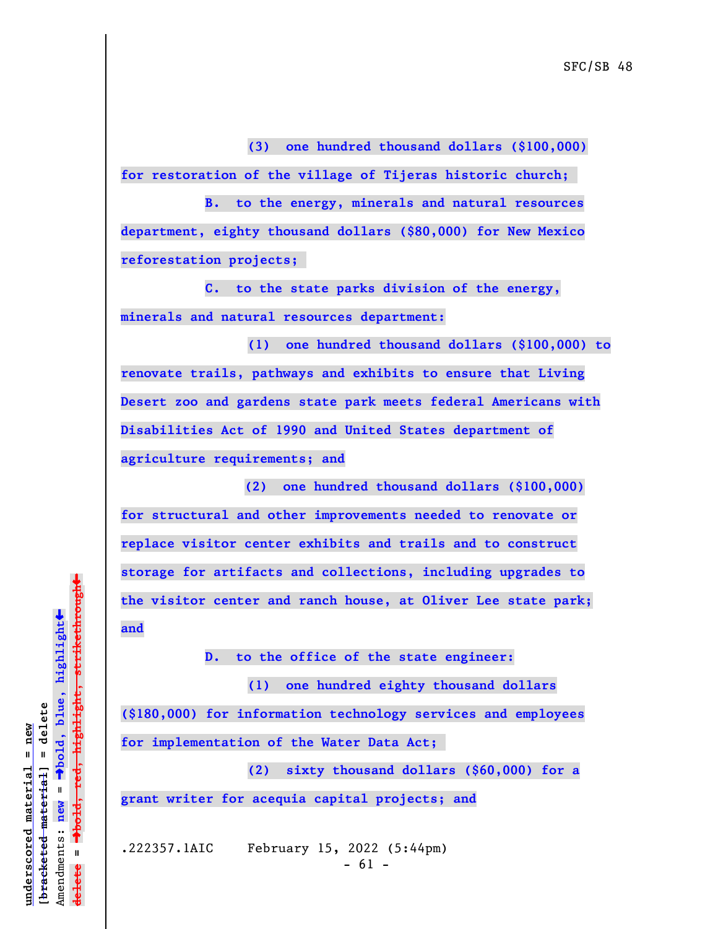**(3) one hundred thousand dollars (\$100,000) for restoration of the village of Tijeras historic church;** 

**B. to the energy, minerals and natural resources department, eighty thousand dollars (\$80,000) for New Mexico reforestation projects;** 

**C. to the state parks division of the energy, minerals and natural resources department:**

**(1) one hundred thousand dollars (\$100,000) to renovate trails, pathways and exhibits to ensure that Living Desert zoo and gardens state park meets federal Americans with Disabilities Act of 1990 and United States department of agriculture requirements; and**

 **(2) one hundred thousand dollars (\$100,000) for structural and other improvements needed to renovate or replace visitor center exhibits and trails and to construct storage for artifacts and collections, including upgrades to the visitor center and ranch house, at Oliver Lee state park; and**

**D. to the office of the state engineer:**

**(1) one hundred eighty thousand dollars (\$180,000) for information technology services and employees for implementation of the Water Data Act;** 

**(2) sixty thousand dollars (\$60,000) for a grant writer for acequia capital projects; and**

.222357.1AIC February 15, 2022 (5:44pm)  $- 61 -$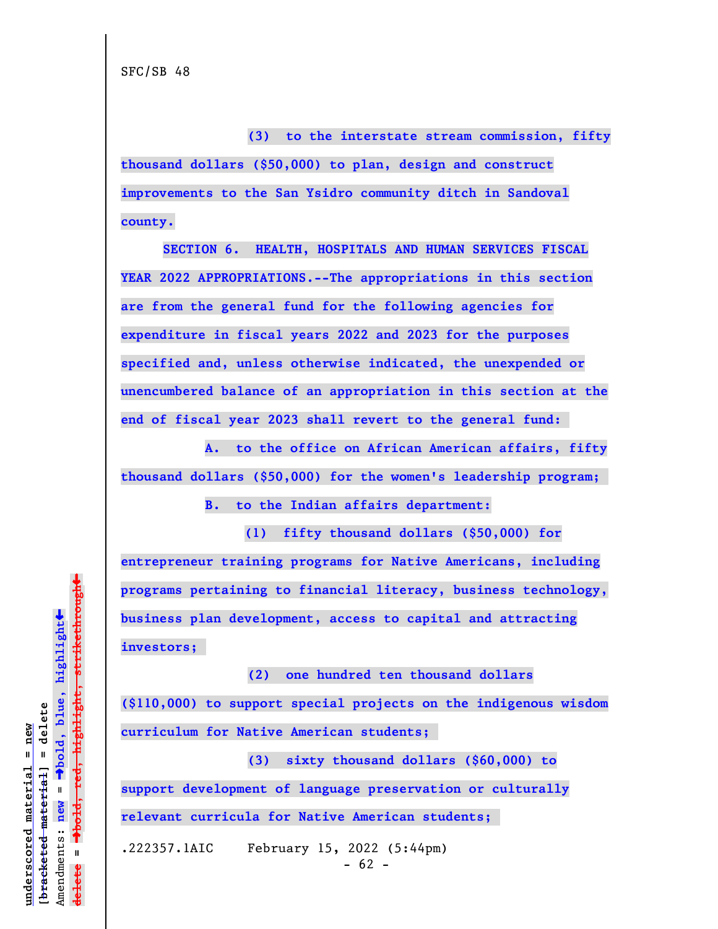**(3) to the interstate stream commission, fifty**

**thousand dollars (\$50,000) to plan, design and construct improvements to the San Ysidro community ditch in Sandoval county.**

**SECTION 6. HEALTH, HOSPITALS AND HUMAN SERVICES FISCAL YEAR 2022 APPROPRIATIONS.--The appropriations in this section are from the general fund for the following agencies for expenditure in fiscal years 2022 and 2023 for the purposes specified and, unless otherwise indicated, the unexpended or unencumbered balance of an appropriation in this section at the end of fiscal year 2023 shall revert to the general fund:** 

**A. to the office on African American affairs, fifty thousand dollars (\$50,000) for the women's leadership program;** 

**B. to the Indian affairs department:**

 **(1) fifty thousand dollars (\$50,000) for entrepreneur training programs for Native Americans, including programs pertaining to financial literacy, business technology, business plan development, access to capital and attracting investors;** 

**(\$110,000) to support special projects on the indigenous wisdom curriculum for Native American students;** 

**(2) one hundred ten thousand dollars**

**(3) sixty thousand dollars (\$60,000) to support development of language preservation or culturally relevant curricula for Native American students;** 

.222357.1AIC February 15, 2022 (5:44pm)  $- 62 -$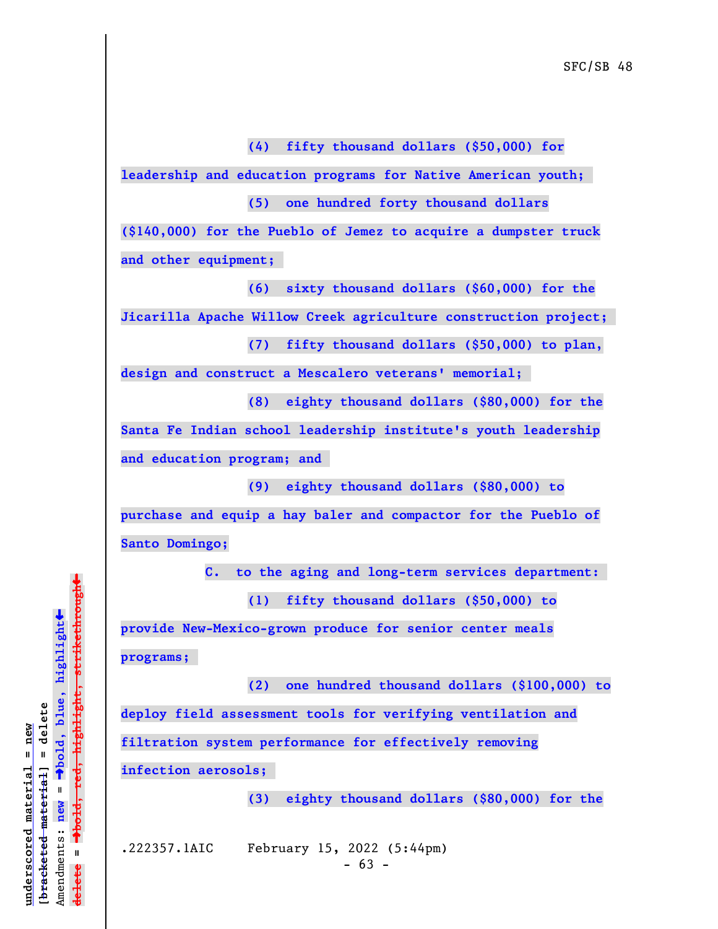**(4) fifty thousand dollars (\$50,000) for**

**leadership and education programs for Native American youth;** 

**(5) one hundred forty thousand dollars**

**(\$140,000) for the Pueblo of Jemez to acquire a dumpster truck and other equipment;** 

**(6) sixty thousand dollars (\$60,000) for the**

**Jicarilla Apache Willow Creek agriculture construction project;** 

**(7) fifty thousand dollars (\$50,000) to plan,**

**design and construct a Mescalero veterans' memorial;** 

**(8) eighty thousand dollars (\$80,000) for the**

**Santa Fe Indian school leadership institute's youth leadership and education program; and** 

**(9) eighty thousand dollars (\$80,000) to**

**purchase and equip a hay baler and compactor for the Pueblo of Santo Domingo;**

**C. to the aging and long-term services department:** 

**(1) fifty thousand dollars (\$50,000) to**

**provide New-Mexico-grown produce for senior center meals programs;** 

**(2) one hundred thousand dollars (\$100,000) to deploy field assessment tools for verifying ventilation and filtration system performance for effectively removing infection aerosols;** 

**(3) eighty thousand dollars (\$80,000) for the**

.222357.1AIC February 15, 2022 (5:44pm)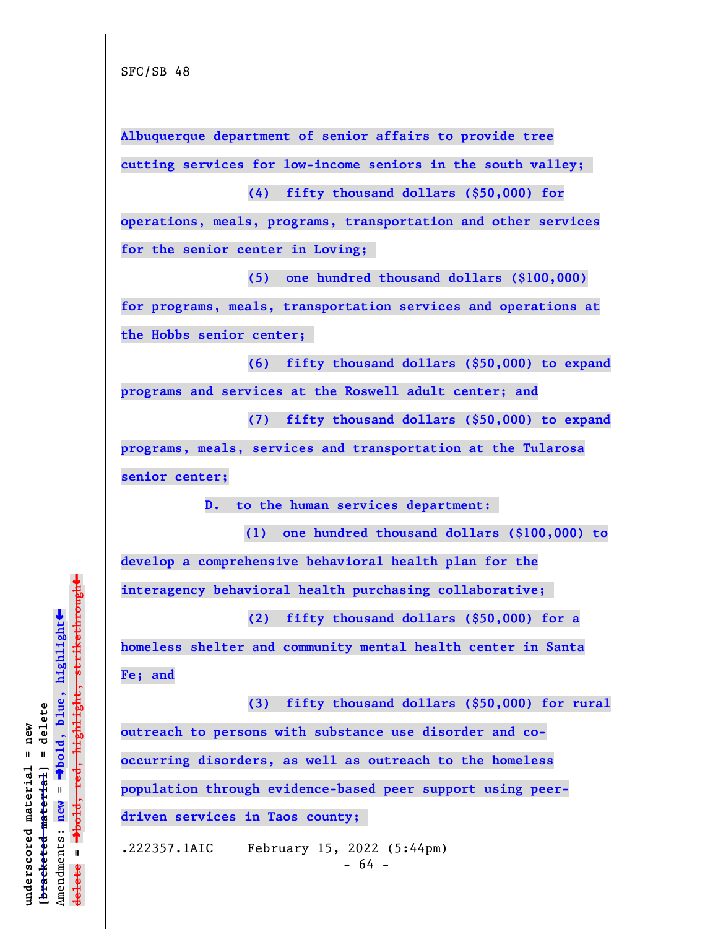**Albuquerque department of senior affairs to provide tree cutting services for low-income seniors in the south valley;** 

**(4) fifty thousand dollars (\$50,000) for**

**operations, meals, programs, transportation and other services for the senior center in Loving;** 

**(5) one hundred thousand dollars (\$100,000) for programs, meals, transportation services and operations at the Hobbs senior center;** 

**(6) fifty thousand dollars (\$50,000) to expand programs and services at the Roswell adult center; and**

**(7) fifty thousand dollars (\$50,000) to expand programs, meals, services and transportation at the Tularosa senior center;**

**D. to the human services department:** 

 **(1) one hundred thousand dollars (\$100,000) to develop a comprehensive behavioral health plan for the**

**interagency behavioral health purchasing collaborative;** 

**(2) fifty thousand dollars (\$50,000) for a**

**homeless shelter and community mental health center in Santa Fe; and**

**(3) fifty thousand dollars (\$50,000) for rural outreach to persons with substance use disorder and cooccurring disorders, as well as outreach to the homeless population through evidence-based peer support using peerdriven services in Taos county;** 

.222357.1AIC February 15, 2022 (5:44pm)

 $\ddag$ º**bold, red, highlight, strikethrough**  $\ddot{\bullet}$ º**bold, blue, highlight**  $b$ racketed material] = delete **[bracketed material] = delete** inderscored material = new **underscored material = new** Amendments: **new** =  $\mathbf{I}$ Amendments: new  $\mathbf{u}$ **delete =** lelete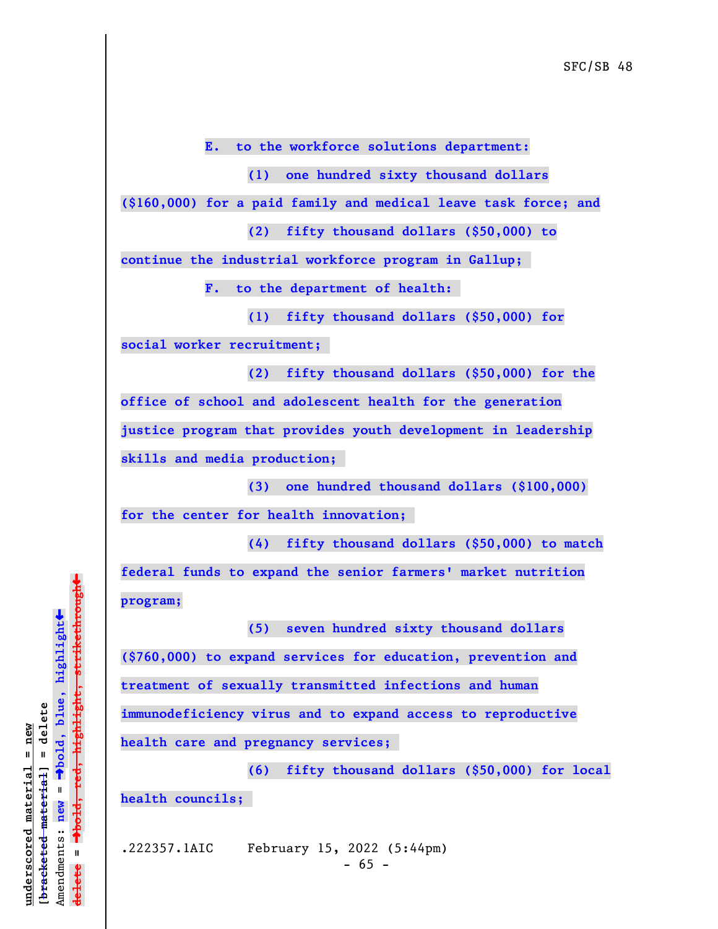**E. to the workforce solutions department:**

**(1) one hundred sixty thousand dollars**

**(\$160,000) for a paid family and medical leave task force; and**

**(2) fifty thousand dollars (\$50,000) to**

**continue the industrial workforce program in Gallup;** 

**F. to the department of health:** 

**(1) fifty thousand dollars (\$50,000) for social worker recruitment;** 

**(2) fifty thousand dollars (\$50,000) for the office of school and adolescent health for the generation justice program that provides youth development in leadership skills and media production;** 

**(3) one hundred thousand dollars (\$100,000) for the center for health innovation;** 

**(4) fifty thousand dollars (\$50,000) to match federal funds to expand the senior farmers' market nutrition program;**

**(5) seven hundred sixty thousand dollars (\$760,000) to expand services for education, prevention and treatment of sexually transmitted infections and human immunodeficiency virus and to expand access to reproductive health care and pregnancy services;** 

**(6) fifty thousand dollars (\$50,000) for local health councils;** 

.222357.1AIC February 15, 2022 (5:44pm)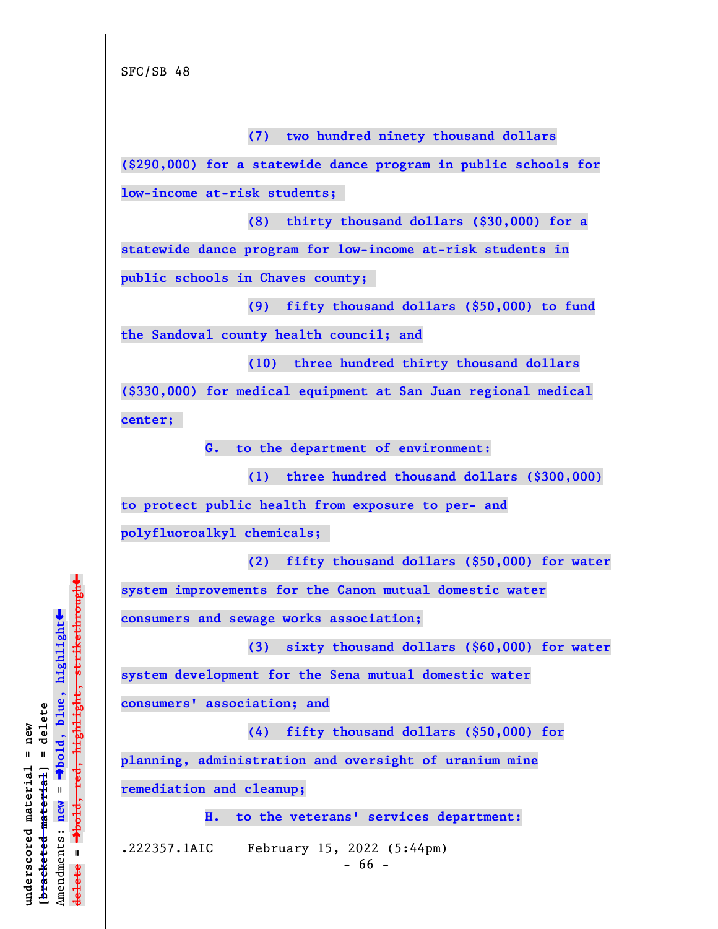**(7) two hundred ninety thousand dollars (\$290,000) for a statewide dance program in public schools for low-income at-risk students; (8) thirty thousand dollars (\$30,000) for a statewide dance program for low-income at-risk students in public schools in Chaves county; (9) fifty thousand dollars (\$50,000) to fund the Sandoval county health council; and (10) three hundred thirty thousand dollars (\$330,000) for medical equipment at San Juan regional medical center; G. to the department of environment: (1) three hundred thousand dollars (\$300,000) to protect public health from exposure to per- and polyfluoroalkyl chemicals; (2) fifty thousand dollars (\$50,000) for water system improvements for the Canon mutual domestic water consumers and sewage works association; (3) sixty thousand dollars (\$60,000) for water system development for the Sena mutual domestic water consumers' association; and (4) fifty thousand dollars (\$50,000) for planning, administration and oversight of uranium mine remediation and cleanup; H. to the veterans' services department:** .222357.1AIC February 15, 2022 (5:44pm)

 $- 66 -$ 

º**bold, red, highlight, strikethrough**  $\ddot{\bullet}$ º**bold, blue, highlight**  $b$ racketed material] = delete **[bracketed material] = delete** inderscored material = new **underscored material = new** Amendments: new = Amendments: **new** =  $\mathbf{u}$ **delete =** lelete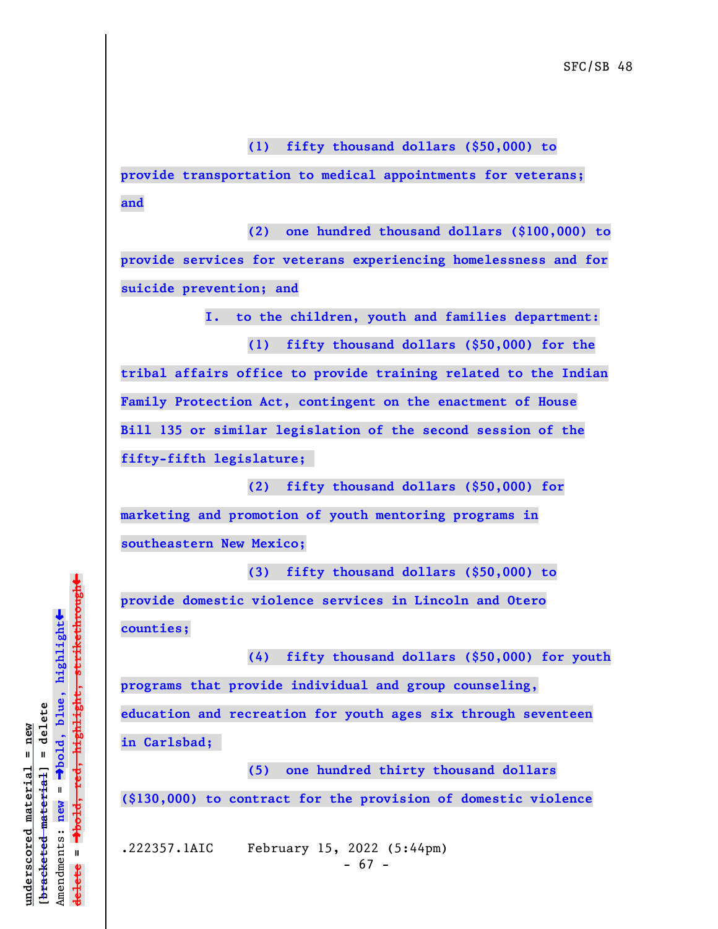**(1) fifty thousand dollars (\$50,000) to**

**provide transportation to medical appointments for veterans; and**

**(2) one hundred thousand dollars (\$100,000) to provide services for veterans experiencing homelessness and for suicide prevention; and**

**I. to the children, youth and families department:**

**(1) fifty thousand dollars (\$50,000) for the**

**tribal affairs office to provide training related to the Indian Family Protection Act, contingent on the enactment of House Bill 135 or similar legislation of the second session of the fifty-fifth legislature;** 

**(2) fifty thousand dollars (\$50,000) for marketing and promotion of youth mentoring programs in southeastern New Mexico;**

**(3) fifty thousand dollars (\$50,000) to provide domestic violence services in Lincoln and Otero counties;**

**(4) fifty thousand dollars (\$50,000) for youth programs that provide individual and group counseling, education and recreation for youth ages six through seventeen in Carlsbad;** 

**(5) one hundred thirty thousand dollars (\$130,000) to contract for the provision of domestic violence**

.222357.1AIC February 15, 2022 (5:44pm)  $- 67 -$ 

 $\ddag$ º**bold, red, highlight, strikethrough**  $\ddot{\bullet}$ º**bold, blue, highlight**  $b$ racketed material] = delete **[bracketed material] = delete** inderscored material = new **underscored material = new** Amendments: new = Amendments: **new** =  $\mathbf{I}$ **delete =** lelete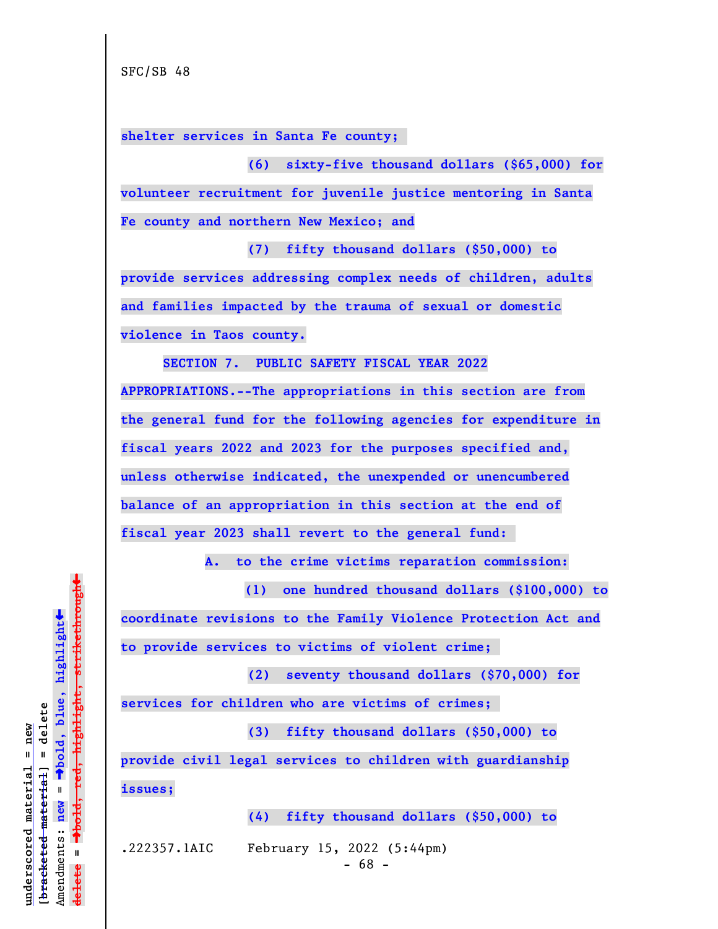**shelter services in Santa Fe county;** 

**(6) sixty-five thousand dollars (\$65,000) for volunteer recruitment for juvenile justice mentoring in Santa Fe county and northern New Mexico; and**

**(7) fifty thousand dollars (\$50,000) to provide services addressing complex needs of children, adults and families impacted by the trauma of sexual or domestic violence in Taos county.**

**SECTION 7. PUBLIC SAFETY FISCAL YEAR 2022 APPROPRIATIONS.--The appropriations in this section are from the general fund for the following agencies for expenditure in fiscal years 2022 and 2023 for the purposes specified and, unless otherwise indicated, the unexpended or unencumbered balance of an appropriation in this section at the end of fiscal year 2023 shall revert to the general fund:** 

**A. to the crime victims reparation commission:**

 **(1) one hundred thousand dollars (\$100,000) to coordinate revisions to the Family Violence Protection Act and to provide services to victims of violent crime;** 

**(2) seventy thousand dollars (\$70,000) for**

**services for children who are victims of crimes;** 

**(3) fifty thousand dollars (\$50,000) to**

**provide civil legal services to children with guardianship issues;**

**(4) fifty thousand dollars (\$50,000) to**

.222357.1AIC February 15, 2022 (5:44pm)

 $- 68 -$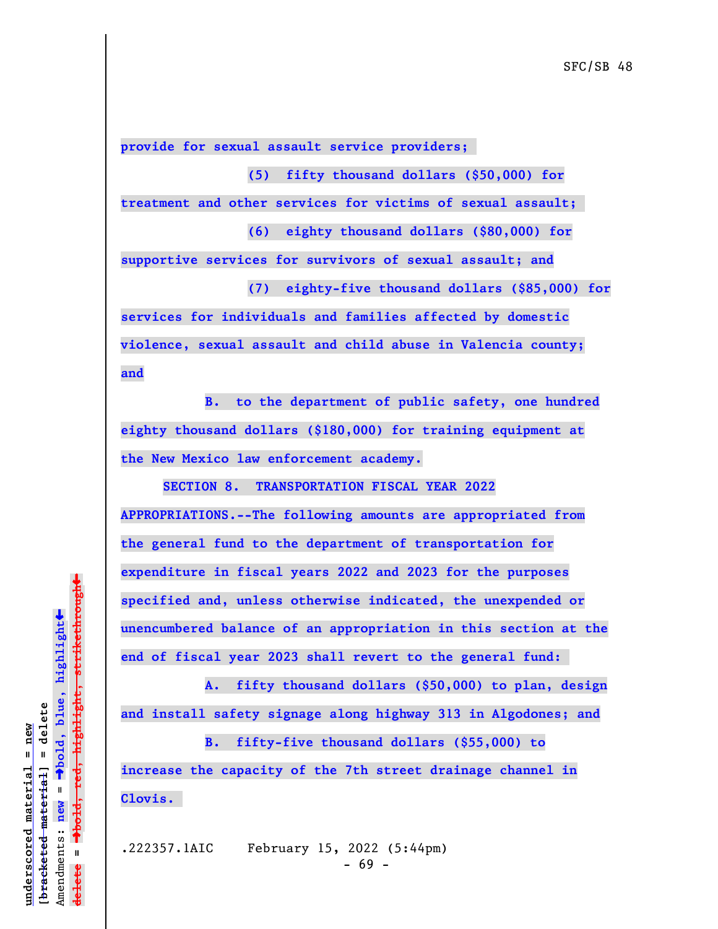**provide for sexual assault service providers;** 

**(5) fifty thousand dollars (\$50,000) for**

**treatment and other services for victims of sexual assault;** 

**(6) eighty thousand dollars (\$80,000) for**

**supportive services for survivors of sexual assault; and (7) eighty-five thousand dollars (\$85,000) for**

**services for individuals and families affected by domestic violence, sexual assault and child abuse in Valencia county; and**

**B. to the department of public safety, one hundred eighty thousand dollars (\$180,000) for training equipment at the New Mexico law enforcement academy.**

**SECTION 8. TRANSPORTATION FISCAL YEAR 2022 APPROPRIATIONS.--The following amounts are appropriated from the general fund to the department of transportation for expenditure in fiscal years 2022 and 2023 for the purposes specified and, unless otherwise indicated, the unexpended or unencumbered balance of an appropriation in this section at the end of fiscal year 2023 shall revert to the general fund:** 

**A. fifty thousand dollars (\$50,000) to plan, design and install safety signage along highway 313 in Algodones; and**

**B. fifty-five thousand dollars (\$55,000) to increase the capacity of the 7th street drainage channel in Clovis.** 

.222357.1AIC February 15, 2022 (5:44pm)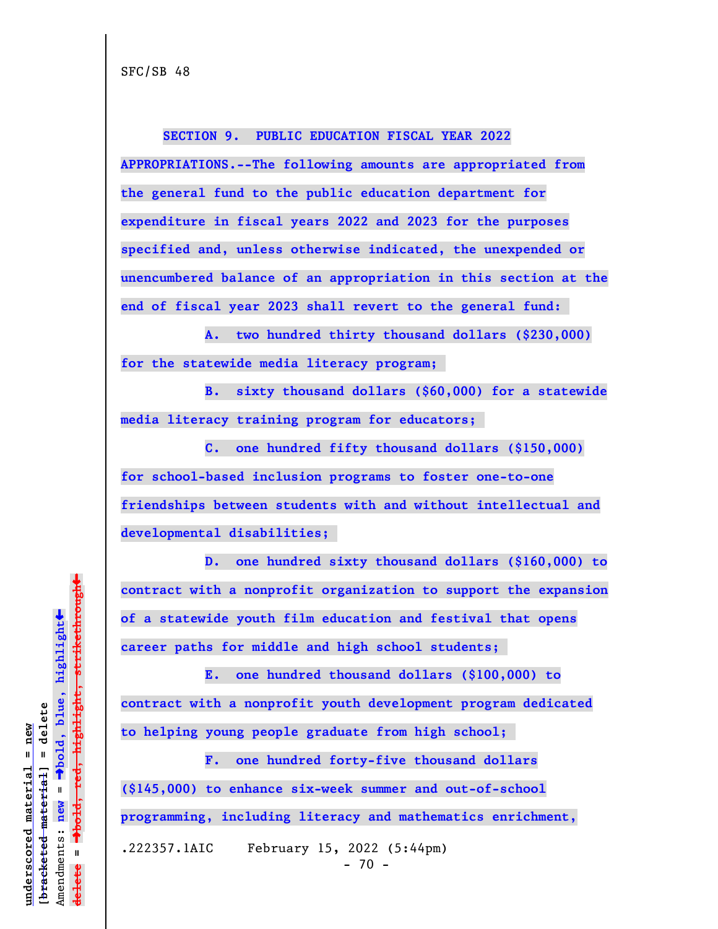**SECTION 9. PUBLIC EDUCATION FISCAL YEAR 2022 APPROPRIATIONS.--The following amounts are appropriated from the general fund to the public education department for expenditure in fiscal years 2022 and 2023 for the purposes specified and, unless otherwise indicated, the unexpended or unencumbered balance of an appropriation in this section at the end of fiscal year 2023 shall revert to the general fund:** 

**A. two hundred thirty thousand dollars (\$230,000) for the statewide media literacy program;** 

**B. sixty thousand dollars (\$60,000) for a statewide media literacy training program for educators;** 

**C. one hundred fifty thousand dollars (\$150,000) for school-based inclusion programs to foster one-to-one friendships between students with and without intellectual and developmental disabilities;** 

**D. one hundred sixty thousand dollars (\$160,000) to contract with a nonprofit organization to support the expansion of a statewide youth film education and festival that opens career paths for middle and high school students;** 

**E. one hundred thousand dollars (\$100,000) to contract with a nonprofit youth development program dedicated to helping young people graduate from high school;** 

**F. one hundred forty-five thousand dollars (\$145,000) to enhance six-week summer and out-of-school programming, including literacy and mathematics enrichment,** .222357.1AIC February 15, 2022 (5:44pm) - 70 -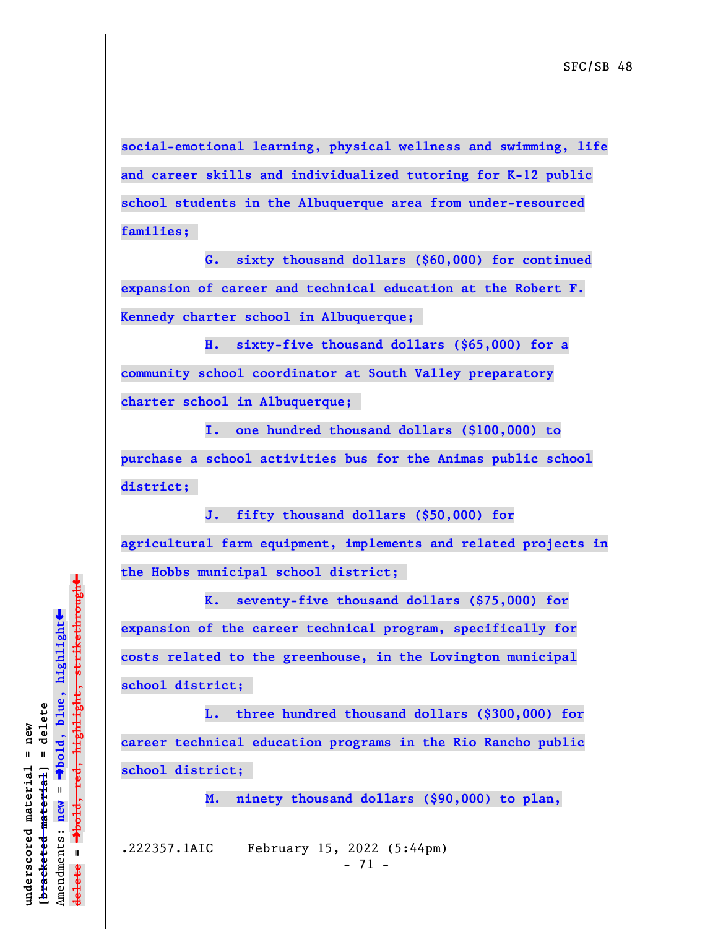**social-emotional learning, physical wellness and swimming, life and career skills and individualized tutoring for K-12 public school students in the Albuquerque area from under-resourced families;** 

**G. sixty thousand dollars (\$60,000) for continued expansion of career and technical education at the Robert F. Kennedy charter school in Albuquerque;** 

**H. sixty-five thousand dollars (\$65,000) for a community school coordinator at South Valley preparatory charter school in Albuquerque;** 

**I. one hundred thousand dollars (\$100,000) to**

**purchase a school activities bus for the Animas public school district;** 

**J. fifty thousand dollars (\$50,000) for agricultural farm equipment, implements and related projects in the Hobbs municipal school district;** 

**K. seventy-five thousand dollars (\$75,000) for expansion of the career technical program, specifically for costs related to the greenhouse, in the Lovington municipal school district;** 

**L. three hundred thousand dollars (\$300,000) for career technical education programs in the Rio Rancho public school district;** 

 **M. ninety thousand dollars (\$90,000) to plan,**

.222357.1AIC February 15, 2022 (5:44pm)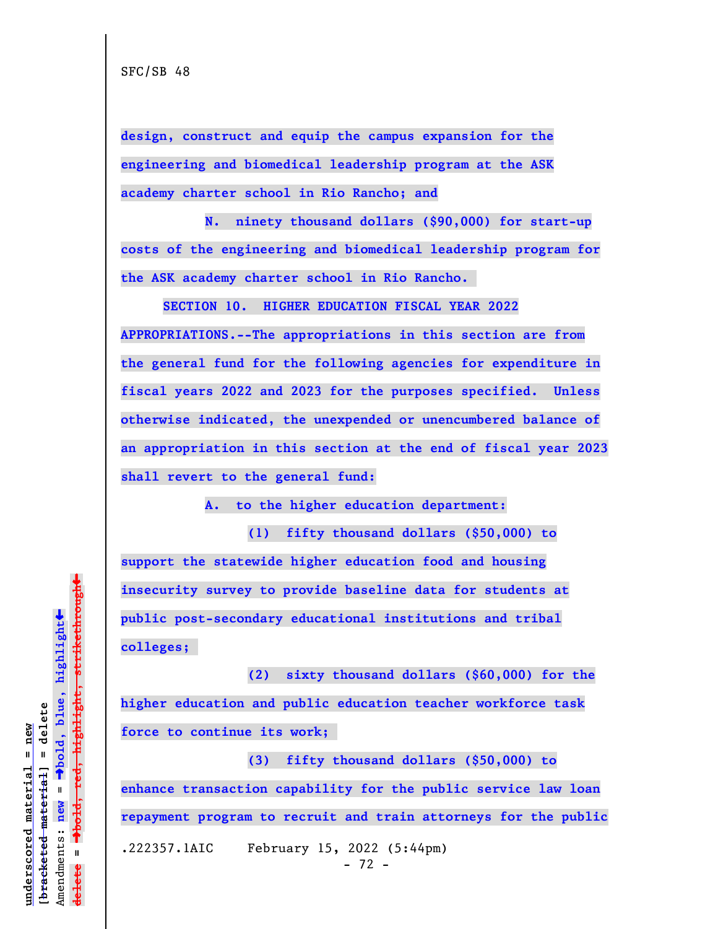**design, construct and equip the campus expansion for the engineering and biomedical leadership program at the ASK academy charter school in Rio Rancho; and**

**N. ninety thousand dollars (\$90,000) for start-up costs of the engineering and biomedical leadership program for the ASK academy charter school in Rio Rancho.** 

**SECTION 10. HIGHER EDUCATION FISCAL YEAR 2022 APPROPRIATIONS.--The appropriations in this section are from the general fund for the following agencies for expenditure in fiscal years 2022 and 2023 for the purposes specified. Unless otherwise indicated, the unexpended or unencumbered balance of an appropriation in this section at the end of fiscal year 2023 shall revert to the general fund:**

**A. to the higher education department:**

**(1) fifty thousand dollars (\$50,000) to support the statewide higher education food and housing insecurity survey to provide baseline data for students at public post-secondary educational institutions and tribal colleges;** 

**(2) sixty thousand dollars (\$60,000) for the higher education and public education teacher workforce task force to continue its work;** 

**(3) fifty thousand dollars (\$50,000) to enhance transaction capability for the public service law loan repayment program to recruit and train attorneys for the public** .222357.1AIC February 15, 2022 (5:44pm)  $- 72 -$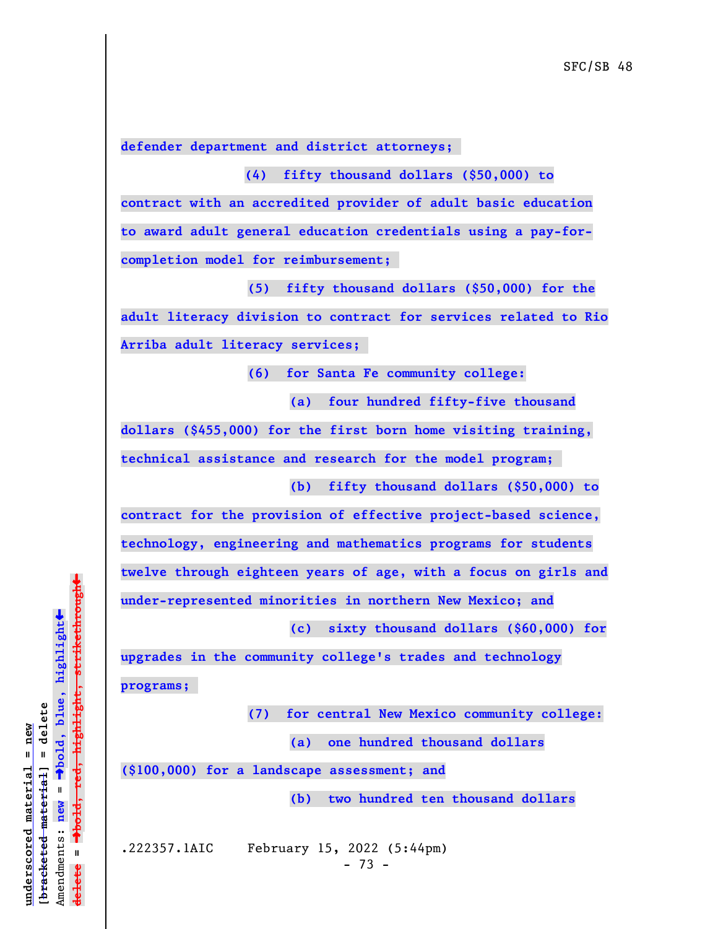**defender department and district attorneys;** 

 **(4) fifty thousand dollars (\$50,000) to contract with an accredited provider of adult basic education to award adult general education credentials using a pay-forcompletion model for reimbursement;** 

**(5) fifty thousand dollars (\$50,000) for the adult literacy division to contract for services related to Rio Arriba adult literacy services;** 

**(6) for Santa Fe community college:**

**(a) four hundred fifty-five thousand**

**dollars (\$455,000) for the first born home visiting training, technical assistance and research for the model program;** 

**(b) fifty thousand dollars (\$50,000) to**

**contract for the provision of effective project-based science, technology, engineering and mathematics programs for students twelve through eighteen years of age, with a focus on girls and under-represented minorities in northern New Mexico; and**

**(c) sixty thousand dollars (\$60,000) for**

**upgrades in the community college's trades and technology programs;** 

**(7) for central New Mexico community college:**

**(a) one hundred thousand dollars**

**(\$100,000) for a landscape assessment; and**

**(b) two hundred ten thousand dollars**

.222357.1AIC February 15, 2022 (5:44pm)  $- 73 -$ 

 $\ddag$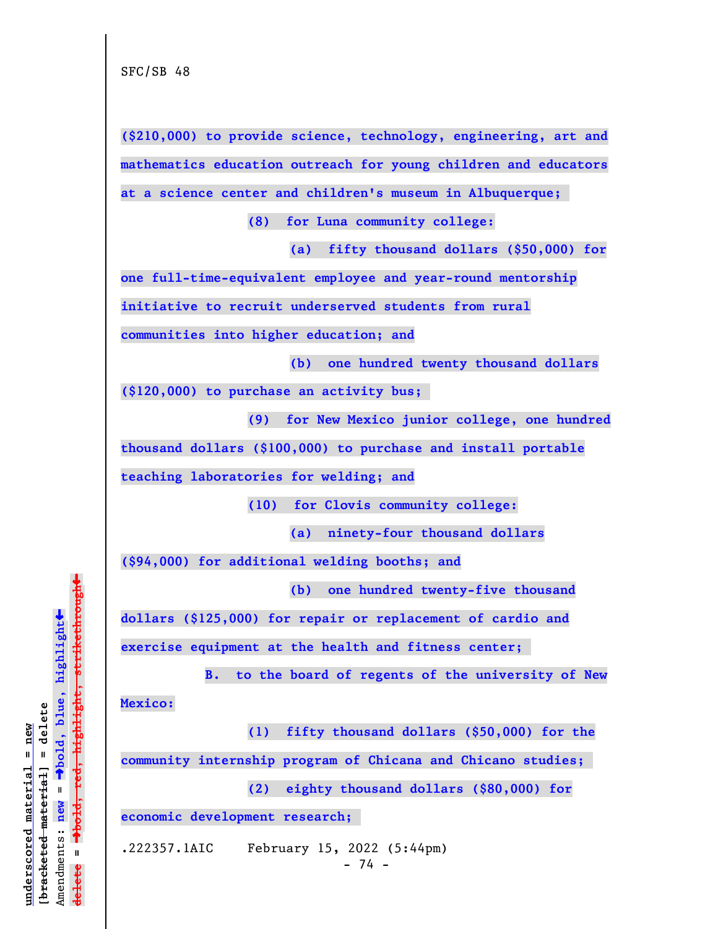**(\$210,000) to provide science, technology, engineering, art and mathematics education outreach for young children and educators**

**at a science center and children's museum in Albuquerque;** 

**(8) for Luna community college:**

**(a) fifty thousand dollars (\$50,000) for**

**one full-time-equivalent employee and year-round mentorship**

**initiative to recruit underserved students from rural**

**communities into higher education; and**

**(b) one hundred twenty thousand dollars**

**(\$120,000) to purchase an activity bus;** 

**(9) for New Mexico junior college, one hundred**

**thousand dollars (\$100,000) to purchase and install portable**

**teaching laboratories for welding; and**

**(10) for Clovis community college:**

**(a) ninety-four thousand dollars**

**(\$94,000) for additional welding booths; and**

**(b) one hundred twenty-five thousand**

**dollars (\$125,000) for repair or replacement of cardio and**

**exercise equipment at the health and fitness center;** 

**B. to the board of regents of the university of New**

**Mexico:**

**(1) fifty thousand dollars (\$50,000) for the**

**community internship program of Chicana and Chicano studies;** 

**(2) eighty thousand dollars (\$80,000) for**

**economic development research;** 

.222357.1AIC February 15, 2022 (5:44pm)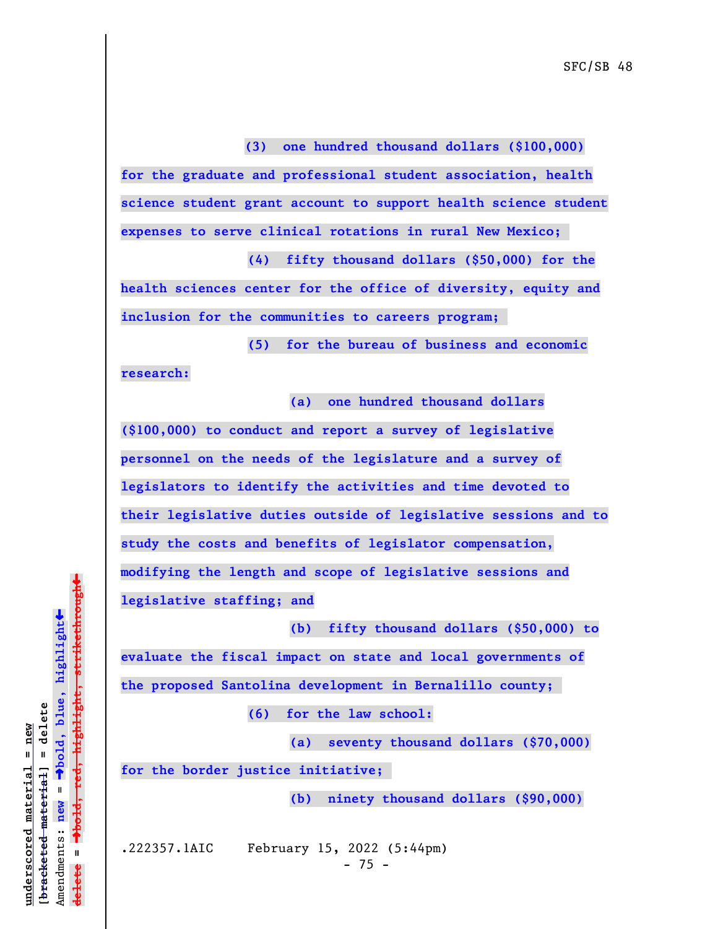**(3) one hundred thousand dollars (\$100,000) for the graduate and professional student association, health science student grant account to support health science student expenses to serve clinical rotations in rural New Mexico;** 

**(4) fifty thousand dollars (\$50,000) for the health sciences center for the office of diversity, equity and inclusion for the communities to careers program;** 

**(5) for the bureau of business and economic research:**

**(a) one hundred thousand dollars**

**(\$100,000) to conduct and report a survey of legislative personnel on the needs of the legislature and a survey of legislators to identify the activities and time devoted to their legislative duties outside of legislative sessions and to study the costs and benefits of legislator compensation, modifying the length and scope of legislative sessions and legislative staffing; and**

**(b) fifty thousand dollars (\$50,000) to**

**evaluate the fiscal impact on state and local governments of the proposed Santolina development in Bernalillo county;** 

**(6) for the law school:**

**(a) seventy thousand dollars (\$70,000)**

**for the border justice initiative;** 

**(b) ninety thousand dollars (\$90,000)**

.222357.1AIC February 15, 2022 (5:44pm)  $- 75 -$ 

 $\ddag$ º**bold, red, highlight, strikethrough**  $\ddot{\bullet}$ º**bold, blue, highlight**  $b$ racketed material] = delete **[bracketed material] = delete** inderscored material = new **underscored material = new**  $\mathbf{I}$ Amendments: **new** = Amendments: new  $\mathbf{I}$ **delete =** lelete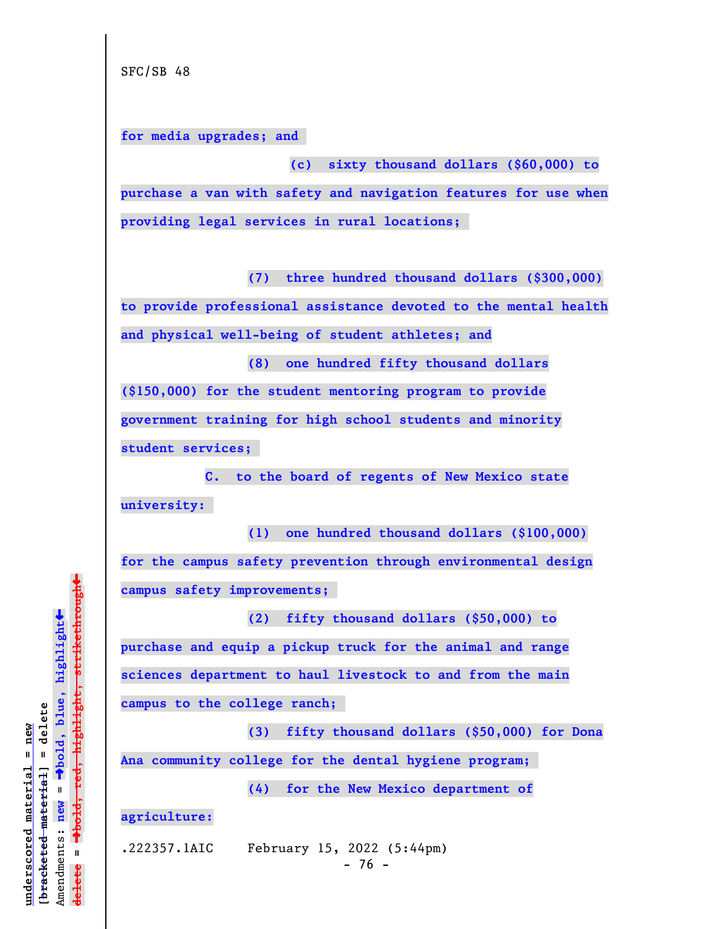**for media upgrades; and** 

**(c) sixty thousand dollars (\$60,000) to purchase a van with safety and navigation features for use when providing legal services in rural locations;** 

**(7) three hundred thousand dollars (\$300,000)**

**to provide professional assistance devoted to the mental health and physical well-being of student athletes; and**

**(8) one hundred fifty thousand dollars (\$150,000) for the student mentoring program to provide government training for high school students and minority student services;** 

**C. to the board of regents of New Mexico state university:** 

**(1) one hundred thousand dollars (\$100,000) for the campus safety prevention through environmental design campus safety improvements;** 

**(2) fifty thousand dollars (\$50,000) to purchase and equip a pickup truck for the animal and range sciences department to haul livestock to and from the main campus to the college ranch;** 

**(3) fifty thousand dollars (\$50,000) for Dona Ana community college for the dental hygiene program;** 

**(4) for the New Mexico department of**

**agriculture:**

.222357.1AIC February 15, 2022 (5:44pm)

 $- 76 -$ 

 $\ddag$ º**bold, red, highlight, strikethrough**  $\ddot{\bullet}$ º**bold, blue, highlight**  $b$ racketed material] = delete **[bracketed material] = delete**  $anderscored$  material = new **underscored material = new** Amendments: **new** =  $\mathbf{I}$ Amendments: new  $\mathbf{I}$ **delete = ielete**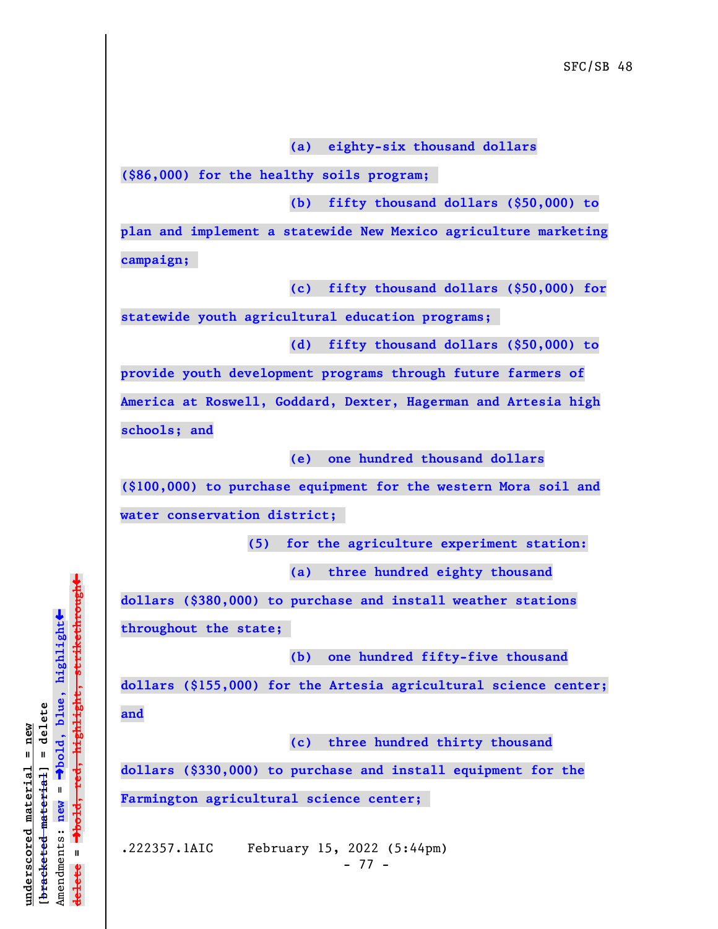**(a) eighty-six thousand dollars**

**(\$86,000) for the healthy soils program;** 

**(b) fifty thousand dollars (\$50,000) to**

**plan and implement a statewide New Mexico agriculture marketing campaign;** 

**(c) fifty thousand dollars (\$50,000) for**

**statewide youth agricultural education programs;** 

**(d) fifty thousand dollars (\$50,000) to**

**provide youth development programs through future farmers of America at Roswell, Goddard, Dexter, Hagerman and Artesia high schools; and**

**(e) one hundred thousand dollars**

**(\$100,000) to purchase equipment for the western Mora soil and**

**water conservation district;** 

**(5) for the agriculture experiment station:**

**(a) three hundred eighty thousand**

**dollars (\$380,000) to purchase and install weather stations**

**throughout the state;** 

**(b) one hundred fifty-five thousand**

**dollars (\$155,000) for the Artesia agricultural science center; and**

**(c) three hundred thirty thousand**

**dollars (\$330,000) to purchase and install equipment for the Farmington agricultural science center;** 

.222357.1AIC February 15, 2022 (5:44pm) - 77 -

 $\ddag$ º**bold, red, highlight, strikethrough**  $\ddot{\bullet}$ º**bold, blue, highlight**  $b$ racketed material] = delete **[bracketed material] = delete** inderscored material = new **underscored material = new** Amendments: **new** =  $\mathbf{I}$ Amendments: new  $\mathbf{I}$ **delete =** lelete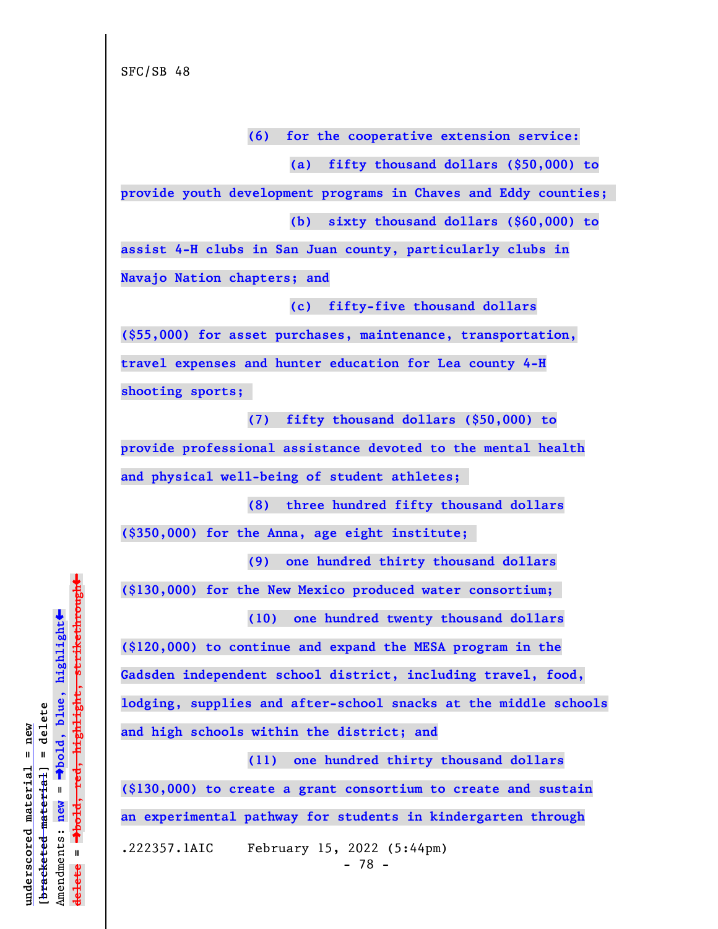**(6) for the cooperative extension service:**

**(a) fifty thousand dollars (\$50,000) to**

**provide youth development programs in Chaves and Eddy counties;** 

**(b) sixty thousand dollars (\$60,000) to**

**assist 4-H clubs in San Juan county, particularly clubs in Navajo Nation chapters; and**

**(c) fifty-five thousand dollars**

**(\$55,000) for asset purchases, maintenance, transportation, travel expenses and hunter education for Lea county 4-H shooting sports;** 

**(7) fifty thousand dollars (\$50,000) to provide professional assistance devoted to the mental health and physical well-being of student athletes;** 

**(8) three hundred fifty thousand dollars**

**(\$350,000) for the Anna, age eight institute;** 

**(9) one hundred thirty thousand dollars**

**(\$130,000) for the New Mexico produced water consortium; (10) one hundred twenty thousand dollars**

**(\$120,000) to continue and expand the MESA program in the Gadsden independent school district, including travel, food, lodging, supplies and after-school snacks at the middle schools and high schools within the district; and**

**(11) one hundred thirty thousand dollars (\$130,000) to create a grant consortium to create and sustain an experimental pathway for students in kindergarten through** .222357.1AIC February 15, 2022 (5:44pm)

 $\ddag$ º**bold, red, highlight, strikethrough**  $\ddot{\bullet}$ º**bold, blue, highlight**  $b$ racketed material] = delete **[bracketed material] = delete** inderscored material = new **underscored material = new**  $\mathbf{r}$ Amendments: **new** = Amendments: new  $\mathbf{I}$ **delete = ielete**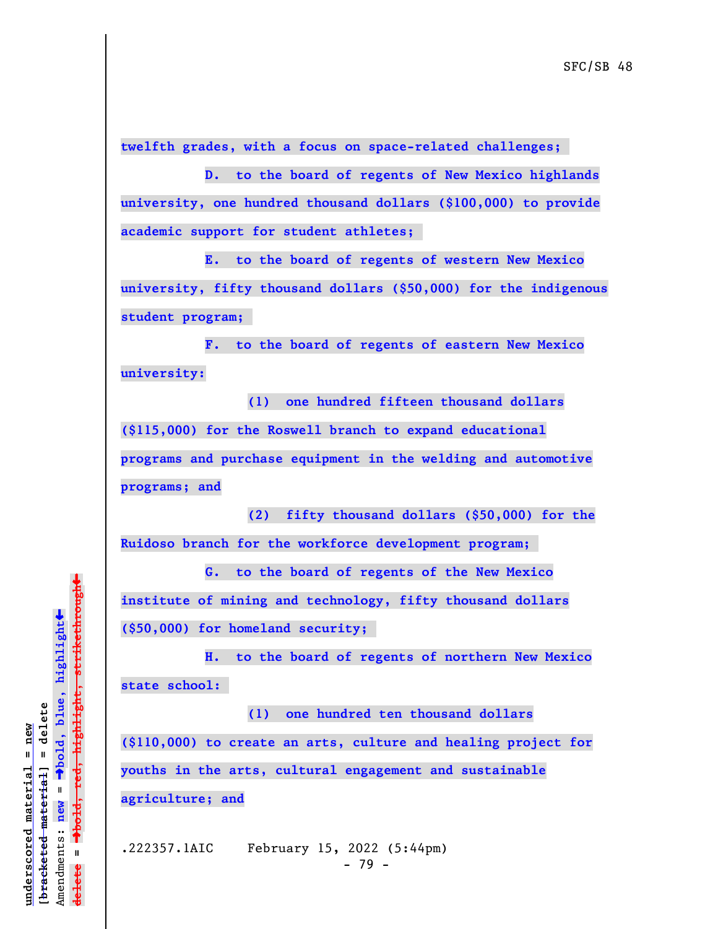**twelfth grades, with a focus on space-related challenges;** 

**D. to the board of regents of New Mexico highlands university, one hundred thousand dollars (\$100,000) to provide academic support for student athletes;** 

**E. to the board of regents of western New Mexico university, fifty thousand dollars (\$50,000) for the indigenous student program;** 

**F. to the board of regents of eastern New Mexico university:**

**(1) one hundred fifteen thousand dollars (\$115,000) for the Roswell branch to expand educational programs and purchase equipment in the welding and automotive programs; and**

**(2) fifty thousand dollars (\$50,000) for the Ruidoso branch for the workforce development program;** 

**G. to the board of regents of the New Mexico institute of mining and technology, fifty thousand dollars (\$50,000) for homeland security;** 

**H. to the board of regents of northern New Mexico state school:** 

**(1) one hundred ten thousand dollars (\$110,000) to create an arts, culture and healing project for youths in the arts, cultural engagement and sustainable agriculture; and**

.222357.1AIC February 15, 2022 (5:44pm) - 79 -

 $\ddag$ º**bold, red, highlight, strikethrough**  $\ddot{\bullet}$ º**bold, blue, highlight**  $b$ racketed material] = delete **[bracketed material] = delete** inderscored material = new **underscored material = new** Amendments: new = Amendments: **new** =  $\mathbf{u}$ **delete =** lelete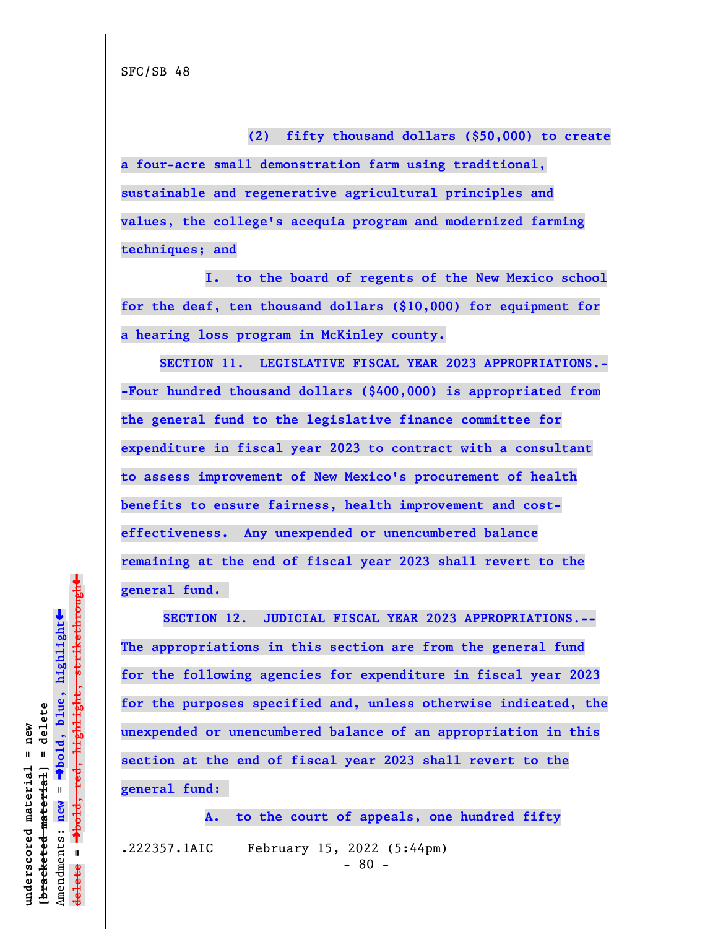**(2) fifty thousand dollars (\$50,000) to create a four-acre small demonstration farm using traditional, sustainable and regenerative agricultural principles and values, the college's acequia program and modernized farming techniques; and**

**I. to the board of regents of the New Mexico school for the deaf, ten thousand dollars (\$10,000) for equipment for a hearing loss program in McKinley county.**

 **SECTION 11. LEGISLATIVE FISCAL YEAR 2023 APPROPRIATIONS.- -Four hundred thousand dollars (\$400,000) is appropriated from the general fund to the legislative finance committee for expenditure in fiscal year 2023 to contract with a consultant to assess improvement of New Mexico's procurement of health benefits to ensure fairness, health improvement and costeffectiveness. Any unexpended or unencumbered balance remaining at the end of fiscal year 2023 shall revert to the general fund.** 

**SECTION 12. JUDICIAL FISCAL YEAR 2023 APPROPRIATIONS.-- The appropriations in this section are from the general fund for the following agencies for expenditure in fiscal year 2023 for the purposes specified and, unless otherwise indicated, the unexpended or unencumbered balance of an appropriation in this section at the end of fiscal year 2023 shall revert to the general fund:** 

**A. to the court of appeals, one hundred fifty** .222357.1AIC February 15, 2022 (5:44pm)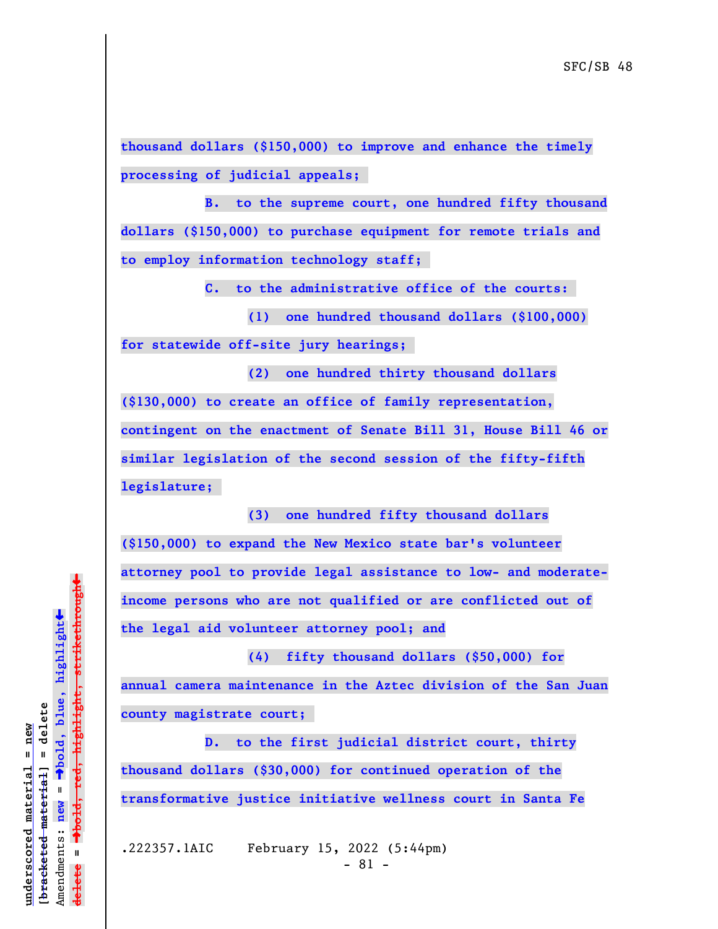**thousand dollars (\$150,000) to improve and enhance the timely processing of judicial appeals;** 

**B. to the supreme court, one hundred fifty thousand dollars (\$150,000) to purchase equipment for remote trials and to employ information technology staff;** 

**C. to the administrative office of the courts:** 

**(1) one hundred thousand dollars (\$100,000) for statewide off-site jury hearings;** 

**(2) one hundred thirty thousand dollars (\$130,000) to create an office of family representation, contingent on the enactment of Senate Bill 31, House Bill 46 or similar legislation of the second session of the fifty-fifth legislature;** 

**(3) one hundred fifty thousand dollars (\$150,000) to expand the New Mexico state bar's volunteer attorney pool to provide legal assistance to low- and moderateincome persons who are not qualified or are conflicted out of the legal aid volunteer attorney pool; and**

**(4) fifty thousand dollars (\$50,000) for annual camera maintenance in the Aztec division of the San Juan county magistrate court;** 

**D. to the first judicial district court, thirty thousand dollars (\$30,000) for continued operation of the transformative justice initiative wellness court in Santa Fe**

.222357.1AIC February 15, 2022 (5:44pm)  $- 81 -$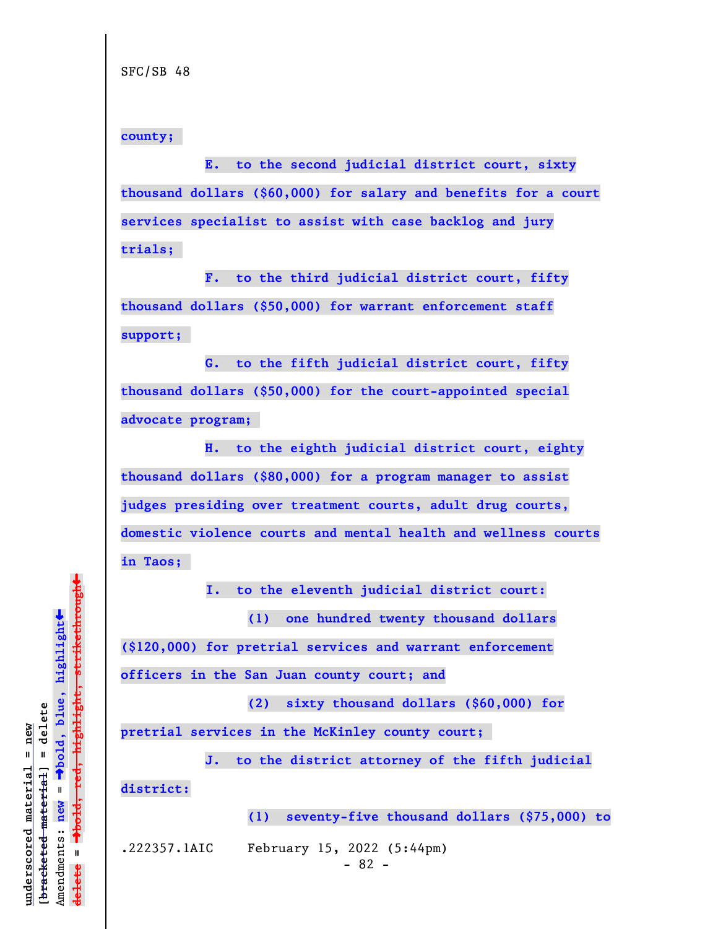**county;** 

**E. to the second judicial district court, sixty thousand dollars (\$60,000) for salary and benefits for a court services specialist to assist with case backlog and jury trials;** 

**F. to the third judicial district court, fifty thousand dollars (\$50,000) for warrant enforcement staff support;** 

**G. to the fifth judicial district court, fifty thousand dollars (\$50,000) for the court-appointed special advocate program;** 

**H. to the eighth judicial district court, eighty thousand dollars (\$80,000) for a program manager to assist judges presiding over treatment courts, adult drug courts, domestic violence courts and mental health and wellness courts in Taos;** 

 **I. to the eleventh judicial district court:**

**(1) one hundred twenty thousand dollars**

**(\$120,000) for pretrial services and warrant enforcement**

**officers in the San Juan county court; and**

**(2) sixty thousand dollars (\$60,000) for**

**pretrial services in the McKinley county court;** 

**J. to the district attorney of the fifth judicial**

**district:**

**(1) seventy-five thousand dollars (\$75,000) to**

.222357.1AIC February 15, 2022 (5:44pm)

 $- 82 -$ 

º**bold, red, highlight, strikethrough**  $\ddot{\bullet}$ º**bold, blue, highlight**  $b$ racketed material] = delete **[bracketed material] = delete** inderscored material = new **underscored material = new** Amendments: new = Amendments: **new** =  $\mathbf{u}$ **delete =** lelete

 $\ddag$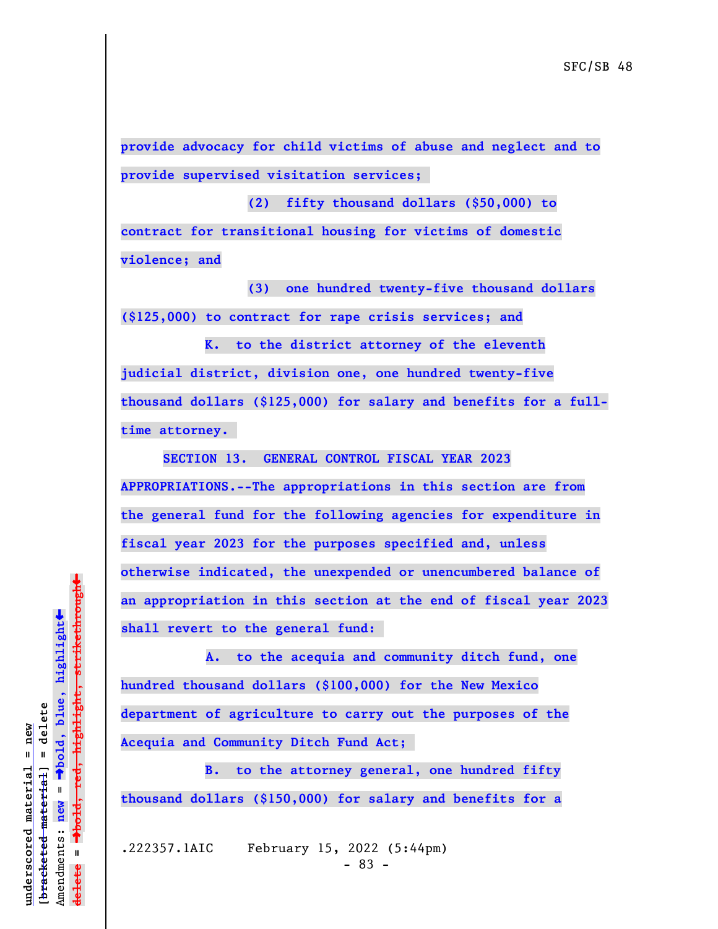**provide advocacy for child victims of abuse and neglect and to provide supervised visitation services;** 

**(2) fifty thousand dollars (\$50,000) to contract for transitional housing for victims of domestic violence; and**

**(3) one hundred twenty-five thousand dollars (\$125,000) to contract for rape crisis services; and**

**K. to the district attorney of the eleventh judicial district, division one, one hundred twenty-five thousand dollars (\$125,000) for salary and benefits for a fulltime attorney.** 

**SECTION 13. GENERAL CONTROL FISCAL YEAR 2023 APPROPRIATIONS.--The appropriations in this section are from the general fund for the following agencies for expenditure in fiscal year 2023 for the purposes specified and, unless otherwise indicated, the unexpended or unencumbered balance of an appropriation in this section at the end of fiscal year 2023 shall revert to the general fund:** 

 **A. to the acequia and community ditch fund, one hundred thousand dollars (\$100,000) for the New Mexico department of agriculture to carry out the purposes of the Acequia and Community Ditch Fund Act;** 

**B. to the attorney general, one hundred fifty thousand dollars (\$150,000) for salary and benefits for a**

.222357.1AIC February 15, 2022 (5:44pm) - 83 -

 $\ddag$ º**bold, red, highlight, strikethrough**  $\ddot{\bullet}$ º**bold, blue, highlight**  $b$ racketed material] = delete **[bracketed material] = delete** inderscored material = new **underscored material = new** Amendments: new = Amendments: **new** =  $\mathbf{I}$ **delete =** lelete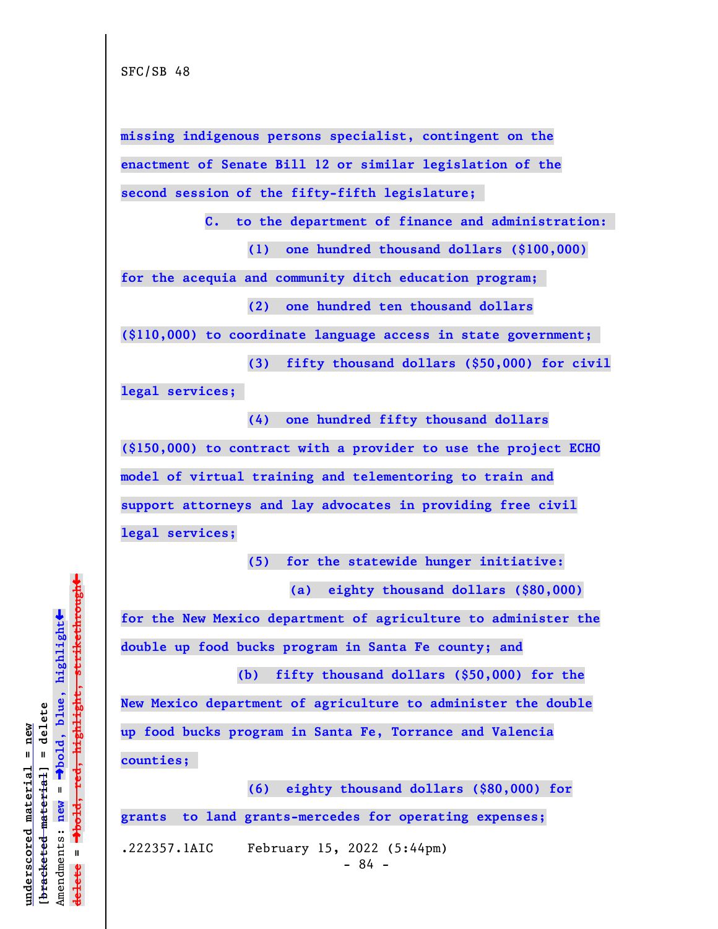**missing indigenous persons specialist, contingent on the enactment of Senate Bill 12 or similar legislation of the second session of the fifty-fifth legislature;** 

**C. to the department of finance and administration:** 

**(1) one hundred thousand dollars (\$100,000)**

**for the acequia and community ditch education program;** 

**(2) one hundred ten thousand dollars**

**(\$110,000) to coordinate language access in state government;** 

**(3) fifty thousand dollars (\$50,000) for civil legal services;** 

**(4) one hundred fifty thousand dollars (\$150,000) to contract with a provider to use the project ECHO model of virtual training and telementoring to train and support attorneys and lay advocates in providing free civil legal services;**

**(5) for the statewide hunger initiative:**

**(a) eighty thousand dollars (\$80,000)**

**for the New Mexico department of agriculture to administer the double up food bucks program in Santa Fe county; and**

 **(b) fifty thousand dollars (\$50,000) for the New Mexico department of agriculture to administer the double up food bucks program in Santa Fe, Torrance and Valencia counties;** 

**(6) eighty thousand dollars (\$80,000) for grants to land grants-mercedes for operating expenses;**

.222357.1AIC February 15, 2022 (5:44pm)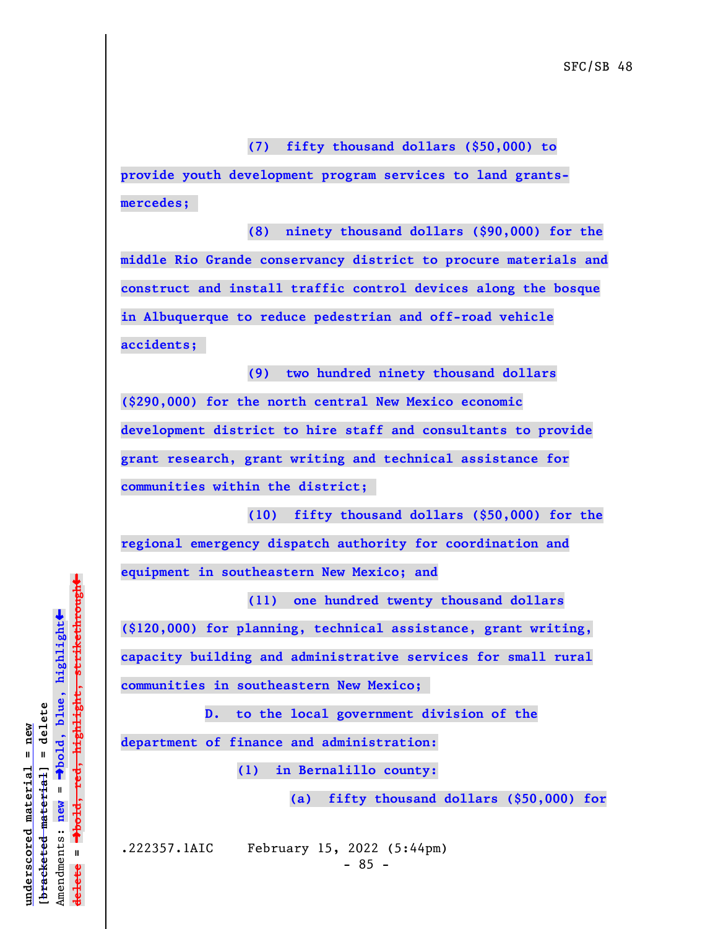**(7) fifty thousand dollars (\$50,000) to**

**provide youth development program services to land grantsmercedes;** 

**(8) ninety thousand dollars (\$90,000) for the middle Rio Grande conservancy district to procure materials and construct and install traffic control devices along the bosque in Albuquerque to reduce pedestrian and off-road vehicle accidents;** 

**(9) two hundred ninety thousand dollars (\$290,000) for the north central New Mexico economic development district to hire staff and consultants to provide grant research, grant writing and technical assistance for communities within the district;** 

**(10) fifty thousand dollars (\$50,000) for the regional emergency dispatch authority for coordination and equipment in southeastern New Mexico; and**

**(11) one hundred twenty thousand dollars (\$120,000) for planning, technical assistance, grant writing, capacity building and administrative services for small rural communities in southeastern New Mexico;** 

**D. to the local government division of the**

**department of finance and administration:**

 **(1) in Bernalillo county:**

**(a) fifty thousand dollars (\$50,000) for**

.222357.1AIC February 15, 2022 (5:44pm)

 $\ddag$ º**bold, red, highlight, strikethrough**  $\ddot{\bullet}$ º**bold, blue, highlight**  $b$ racketed material] = delete **[bracketed material] = delete** inderscored material = new **underscored material = new**  $\mathbf{I}$ Amendments: **new** = Amendments: new  $\mathbf{u}$ **delete =** lelete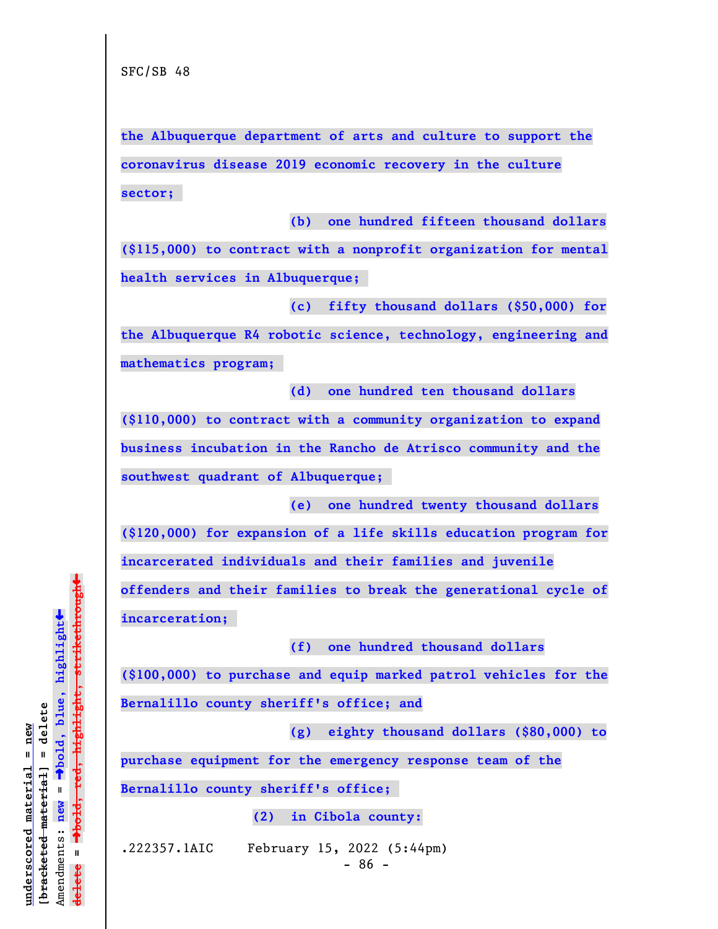**the Albuquerque department of arts and culture to support the coronavirus disease 2019 economic recovery in the culture sector;** 

**(b) one hundred fifteen thousand dollars (\$115,000) to contract with a nonprofit organization for mental health services in Albuquerque;** 

**(c) fifty thousand dollars (\$50,000) for the Albuquerque R4 robotic science, technology, engineering and mathematics program;** 

**(d) one hundred ten thousand dollars (\$110,000) to contract with a community organization to expand business incubation in the Rancho de Atrisco community and the southwest quadrant of Albuquerque;** 

**(e) one hundred twenty thousand dollars**

**(\$120,000) for expansion of a life skills education program for incarcerated individuals and their families and juvenile offenders and their families to break the generational cycle of**

**incarceration;** 

**(f) one hundred thousand dollars**

**(\$100,000) to purchase and equip marked patrol vehicles for the Bernalillo county sheriff's office; and**

**(g) eighty thousand dollars (\$80,000) to**

**purchase equipment for the emergency response team of the**

**Bernalillo county sheriff's office;** 

 **(2) in Cibola county:**

.222357.1AIC February 15, 2022 (5:44pm)

 $\ddag$ º**bold, red, highlight, strikethrough**  $\ddot{\bullet}$ º**bold, blue, highlight**  $b$ racketed material] = delete **[bracketed material] = delete** inderscored material = new **underscored material = new** Amendments: new = Amendments: **new** =  $\mathbf{I}$ **delete =** lelete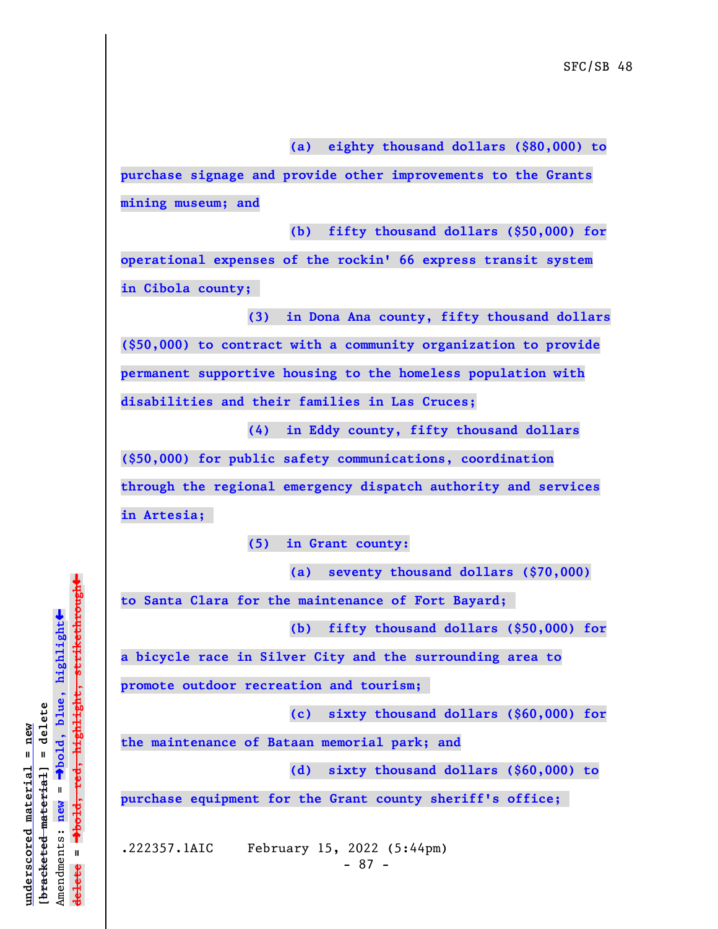**(a) eighty thousand dollars (\$80,000) to**

**purchase signage and provide other improvements to the Grants mining museum; and**

**(b) fifty thousand dollars (\$50,000) for**

**operational expenses of the rockin' 66 express transit system in Cibola county;** 

**(3) in Dona Ana county, fifty thousand dollars (\$50,000) to contract with a community organization to provide permanent supportive housing to the homeless population with disabilities and their families in Las Cruces;**

**(4) in Eddy county, fifty thousand dollars (\$50,000) for public safety communications, coordination through the regional emergency dispatch authority and services in Artesia;** 

**(5) in Grant county:**

**(a) seventy thousand dollars (\$70,000)**

**to Santa Clara for the maintenance of Fort Bayard;** 

**(b) fifty thousand dollars (\$50,000) for**

**a bicycle race in Silver City and the surrounding area to**

**promote outdoor recreation and tourism;** 

**(c) sixty thousand dollars (\$60,000) for**

**the maintenance of Bataan memorial park; and**

**(d) sixty thousand dollars (\$60,000) to**

**purchase equipment for the Grant county sheriff's office;** 

.222357.1AIC February 15, 2022 (5:44pm)

- 87 -

 $\ddag$ º**bold, red, highlight, strikethrough**  $\ddot{\bullet}$ º**bold, blue, highlight**  $b$ racketed material] = delete **[bracketed material] = delete** inderscored material = new **underscored material = new** Amendments: **new** = Amendments: new =  $\mathbf{I}$ **delete =** lelete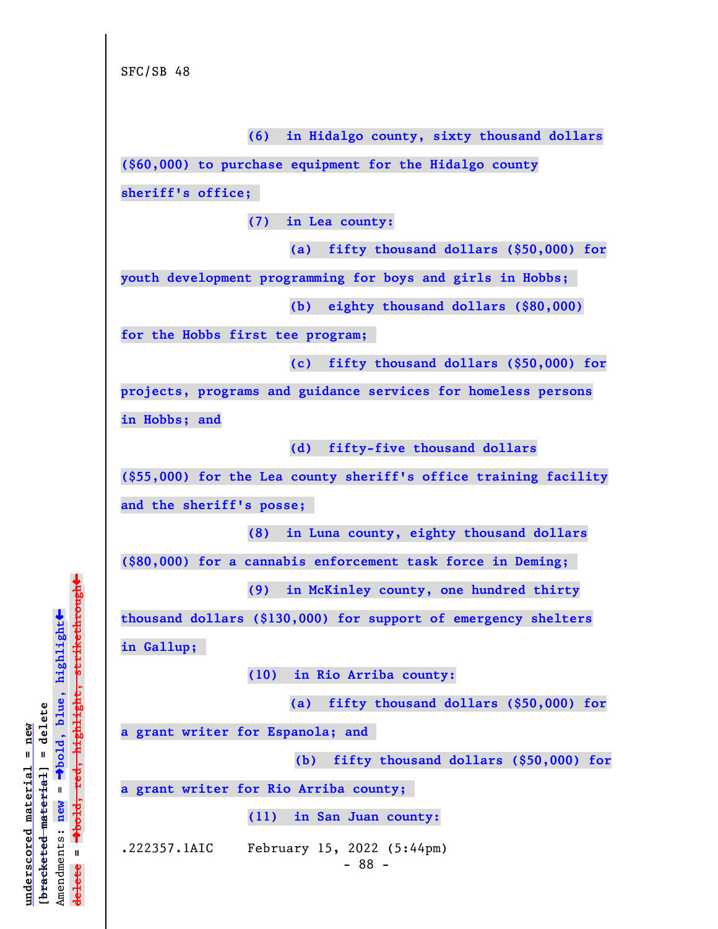**(6) in Hidalgo county, sixty thousand dollars (\$60,000) to purchase equipment for the Hidalgo county sheriff's office; (7) in Lea county: (a) fifty thousand dollars (\$50,000) for youth development programming for boys and girls in Hobbs; (b) eighty thousand dollars (\$80,000) for the Hobbs first tee program; (c) fifty thousand dollars (\$50,000) for projects, programs and guidance services for homeless persons in Hobbs; and (d) fifty-five thousand dollars (\$55,000) for the Lea county sheriff's office training facility and the sheriff's posse; (8) in Luna county, eighty thousand dollars (\$80,000) for a cannabis enforcement task force in Deming; (9) in McKinley county, one hundred thirty thousand dollars (\$130,000) for support of emergency shelters in Gallup; (10) in Rio Arriba county: (a) fifty thousand dollars (\$50,000) for a grant writer for Espanola; and (b) fifty thousand dollars (\$50,000) for a grant writer for Rio Arriba county; (11) in San Juan county:** .222357.1AIC February 15, 2022 (5:44pm) - 88 -

º**bold, red, highlight, strikethrough**  $\ddot{\bullet}$ º**bold, blue, highlight**  $b$ racketed material] = delete **[bracketed material] = delete**  $anderscored$  material = new **underscored material = new** Amendments: **new** =  $\mathbf{I}$ Amendments: new  $\mathbf{I}$ **delete =** lelete

 $\ddag$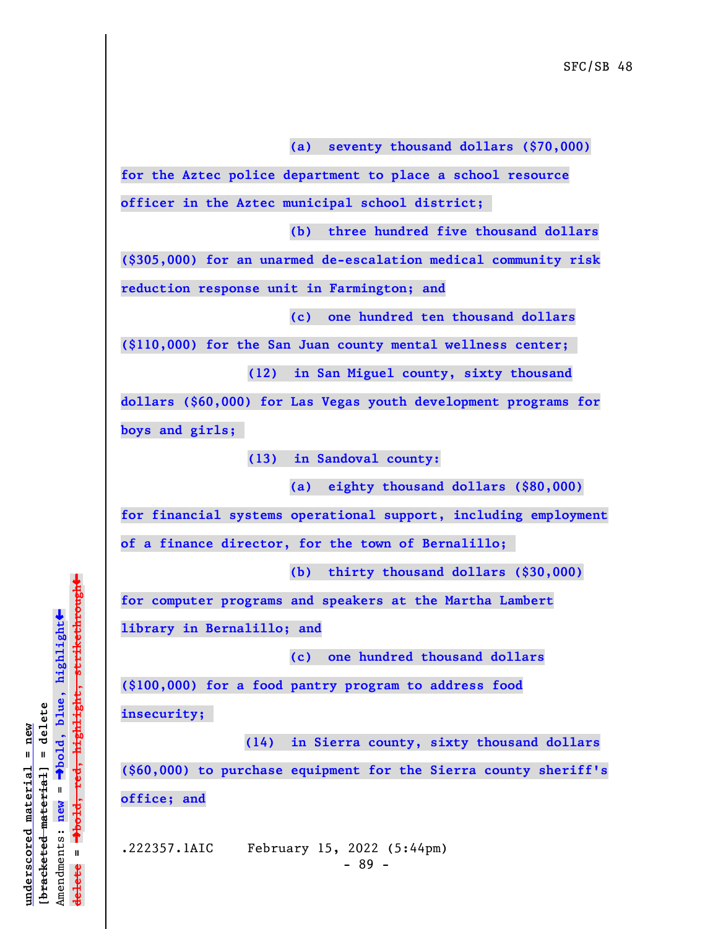**(a) seventy thousand dollars (\$70,000)**

**for the Aztec police department to place a school resource officer in the Aztec municipal school district;** 

**(b) three hundred five thousand dollars**

**(\$305,000) for an unarmed de-escalation medical community risk reduction response unit in Farmington; and**

**(c) one hundred ten thousand dollars**

**(\$110,000) for the San Juan county mental wellness center;** 

**(12) in San Miguel county, sixty thousand**

**dollars (\$60,000) for Las Vegas youth development programs for boys and girls;** 

**(13) in Sandoval county:**

**(a) eighty thousand dollars (\$80,000)**

**for financial systems operational support, including employment**

**of a finance director, for the town of Bernalillo;** 

**(b) thirty thousand dollars (\$30,000)**

**for computer programs and speakers at the Martha Lambert**

**library in Bernalillo; and**

**(c) one hundred thousand dollars**

**(\$100,000) for a food pantry program to address food insecurity;** 

 **(14) in Sierra county, sixty thousand dollars (\$60,000) to purchase equipment for the Sierra county sheriff's office; and**

.222357.1AIC February 15, 2022 (5:44pm)

 $\ddag$ º**bold, red, highlight, strikethrough**  $\ddot{\bullet}$ º**bold, blue, highlight**  $b$ racketed material] = delete **[bracketed material] = delete** inderscored material = new **underscored material = new** Amendments: **new** =  $\mathbf{I}$ Amendments: new  $\mathbf{u}$ **delete = ielete**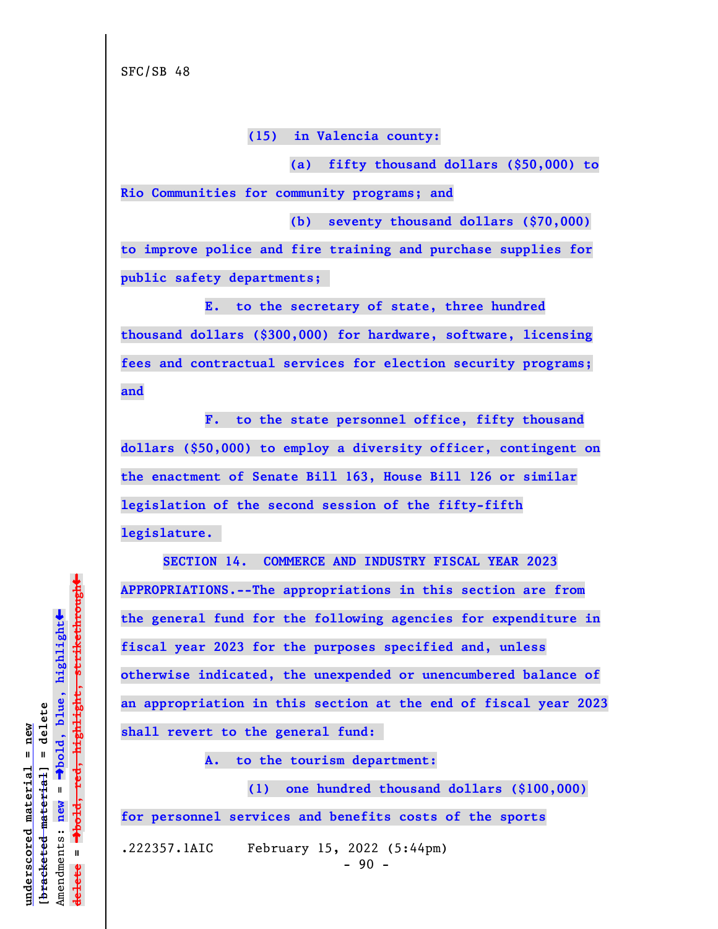**(15) in Valencia county:**

**(a) fifty thousand dollars (\$50,000) to Rio Communities for community programs; and**

**(b) seventy thousand dollars (\$70,000) to improve police and fire training and purchase supplies for public safety departments;** 

**E. to the secretary of state, three hundred thousand dollars (\$300,000) for hardware, software, licensing fees and contractual services for election security programs; and**

**F. to the state personnel office, fifty thousand dollars (\$50,000) to employ a diversity officer, contingent on the enactment of Senate Bill 163, House Bill 126 or similar legislation of the second session of the fifty-fifth legislature.** 

**SECTION 14. COMMERCE AND INDUSTRY FISCAL YEAR 2023 APPROPRIATIONS.--The appropriations in this section are from the general fund for the following agencies for expenditure in fiscal year 2023 for the purposes specified and, unless otherwise indicated, the unexpended or unencumbered balance of an appropriation in this section at the end of fiscal year 2023 shall revert to the general fund:** 

**A. to the tourism department:**

**(1) one hundred thousand dollars (\$100,000) for personnel services and benefits costs of the sports**

.222357.1AIC February 15, 2022 (5:44pm)

 $\ddag$ º**bold, red, highlight, strikethrough**  $\ddot{\bullet}$ º**bold, blue, highlight** bracketed material] = delete **[bracketed material] = delete** inderscored material = new **underscored material = new** Amendments: **new** =  $\mathbf{I}$ Amendments: new  $\mathbf{I}$ **delete =** lelete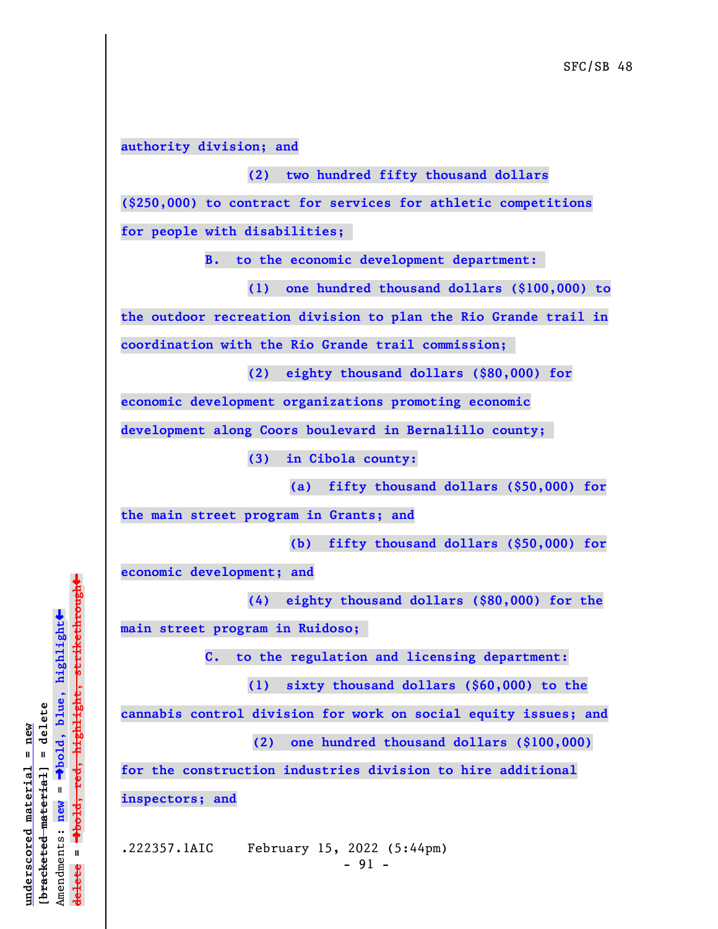## **authority division; and**

## **(2) two hundred fifty thousand dollars**

**(\$250,000) to contract for services for athletic competitions for people with disabilities;** 

**B. to the economic development department:** 

**(1) one hundred thousand dollars (\$100,000) to**

**the outdoor recreation division to plan the Rio Grande trail in**

**coordination with the Rio Grande trail commission;** 

**(2) eighty thousand dollars (\$80,000) for**

**economic development organizations promoting economic**

**development along Coors boulevard in Bernalillo county;** 

**(3) in Cibola county:**

**(a) fifty thousand dollars (\$50,000) for**

**the main street program in Grants; and**

**(b) fifty thousand dollars (\$50,000) for**

**economic development; and**

**(4) eighty thousand dollars (\$80,000) for the**

**main street program in Ruidoso;** 

**C. to the regulation and licensing department:**

**(1) sixty thousand dollars (\$60,000) to the**

**cannabis control division for work on social equity issues; and**

 **(2) one hundred thousand dollars (\$100,000)**

**for the construction industries division to hire additional inspectors; and**

.222357.1AIC February 15, 2022 (5:44pm)

 $-91 -$ 

 $\ddag$ º**bold, red, highlight, strikethrough**  $\ddot{\bullet}$ º**bold, blue, highlight**  $b$ racketed material] = delete **[bracketed material] = delete** inderscored material = new **underscored material = new**  $\mathbf{u}$ Amendments: **new** = Amendments: new  $\mathbf{u}$ **delete =** lelete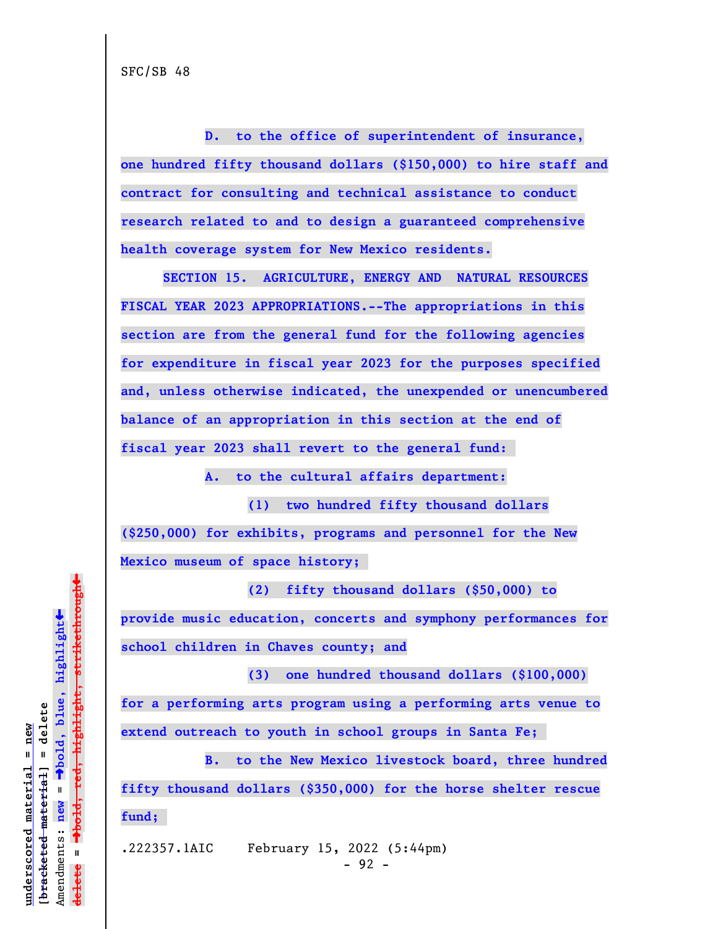**D. to the office of superintendent of insurance, one hundred fifty thousand dollars (\$150,000) to hire staff and contract for consulting and technical assistance to conduct research related to and to design a guaranteed comprehensive health coverage system for New Mexico residents.**

**SECTION 15. AGRICULTURE, ENERGY AND NATURAL RESOURCES FISCAL YEAR 2023 APPROPRIATIONS.--The appropriations in this section are from the general fund for the following agencies for expenditure in fiscal year 2023 for the purposes specified and, unless otherwise indicated, the unexpended or unencumbered balance of an appropriation in this section at the end of fiscal year 2023 shall revert to the general fund:** 

**A. to the cultural affairs department:**

**(1) two hundred fifty thousand dollars (\$250,000) for exhibits, programs and personnel for the New Mexico museum of space history;** 

**(2) fifty thousand dollars (\$50,000) to provide music education, concerts and symphony performances for school children in Chaves county; and**

**(3) one hundred thousand dollars (\$100,000) for a performing arts program using a performing arts venue to extend outreach to youth in school groups in Santa Fe;** 

**B. to the New Mexico livestock board, three hundred fifty thousand dollars (\$350,000) for the horse shelter rescue fund;** 

.222357.1AIC February 15, 2022 (5:44pm)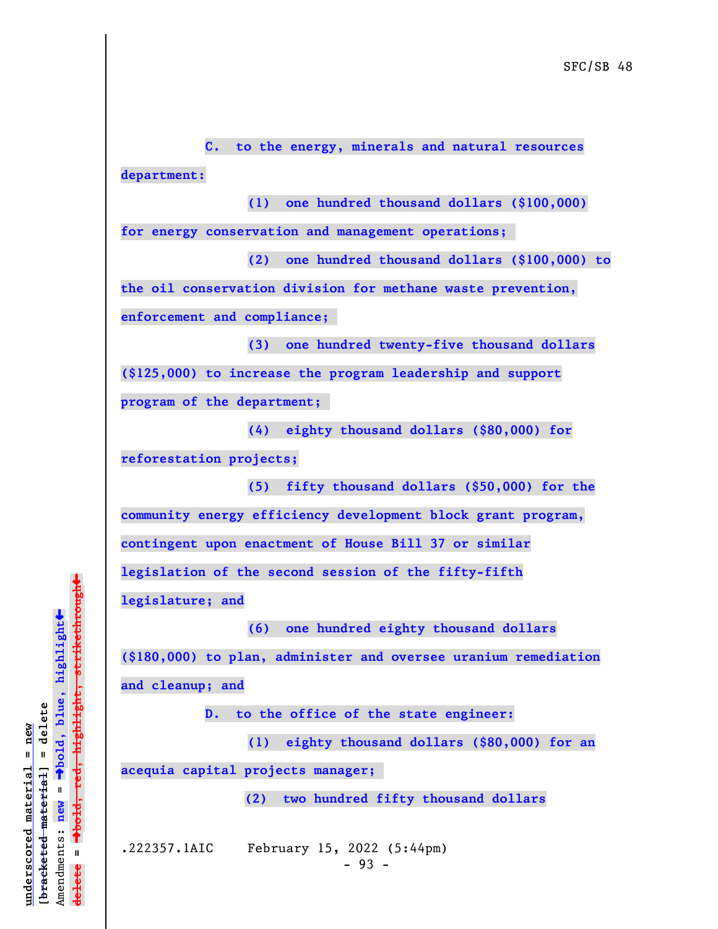**department: (1) one hundred thousand dollars (\$100,000) for energy conservation and management operations; (2) one hundred thousand dollars (\$100,000) to the oil conservation division for methane waste prevention, enforcement and compliance; (3) one hundred twenty-five thousand dollars (\$125,000) to increase the program leadership and support program of the department; (4) eighty thousand dollars (\$80,000) for reforestation projects; (5) fifty thousand dollars (\$50,000) for the**

**C. to the energy, minerals and natural resources**

**community energy efficiency development block grant program, contingent upon enactment of House Bill 37 or similar legislation of the second session of the fifty-fifth**

**legislature; and**

**(6) one hundred eighty thousand dollars**

**(\$180,000) to plan, administer and oversee uranium remediation and cleanup; and**

**D. to the office of the state engineer:**

**(1) eighty thousand dollars (\$80,000) for an**

**acequia capital projects manager;** 

 **(2) two hundred fifty thousand dollars**

.222357.1AIC February 15, 2022 (5:44pm)  $-93 -$ 

 $\ddag$ º**bold, red, highlight, strikethrough**  $\ddot{\bullet}$ º**bold, blue, highlight**  $b$ racketed material] = delete **[bracketed material] = delete** inderscored material = new **underscored material = new**  $\mathbf{I}$ Amendments: **new** = Amendments: new  $\mathbf{u}$ **delete =** lelete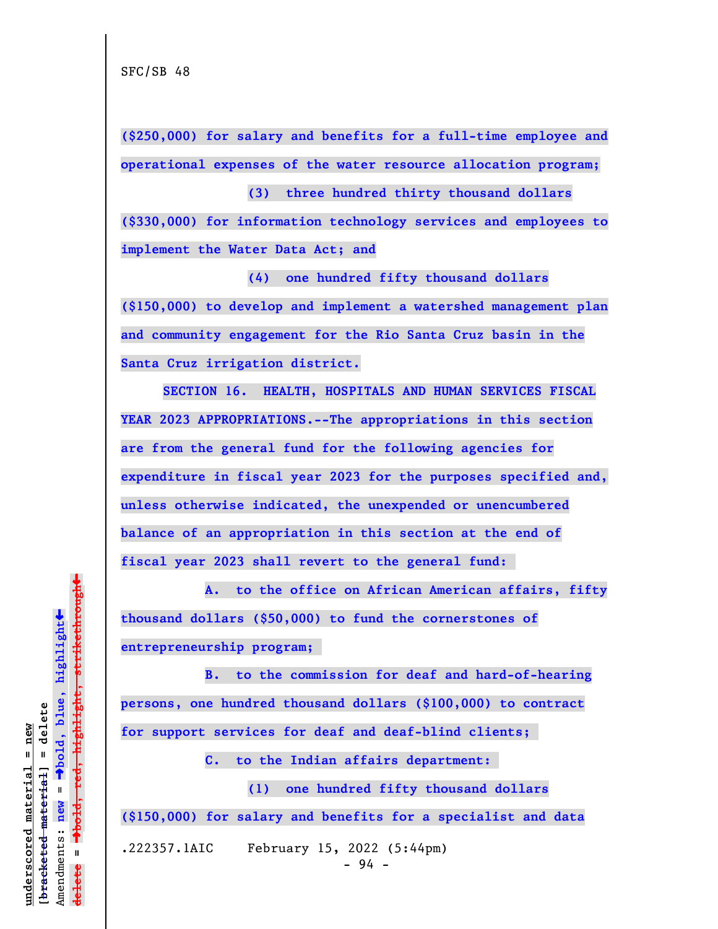**(\$250,000) for salary and benefits for a full-time employee and operational expenses of the water resource allocation program; (3) three hundred thirty thousand dollars**

**(\$330,000) for information technology services and employees to implement the Water Data Act; and**

**(4) one hundred fifty thousand dollars (\$150,000) to develop and implement a watershed management plan and community engagement for the Rio Santa Cruz basin in the Santa Cruz irrigation district.**

**SECTION 16. HEALTH, HOSPITALS AND HUMAN SERVICES FISCAL YEAR 2023 APPROPRIATIONS.--The appropriations in this section are from the general fund for the following agencies for expenditure in fiscal year 2023 for the purposes specified and, unless otherwise indicated, the unexpended or unencumbered balance of an appropriation in this section at the end of fiscal year 2023 shall revert to the general fund:** 

**A. to the office on African American affairs, fifty thousand dollars (\$50,000) to fund the cornerstones of entrepreneurship program;** 

**B. to the commission for deaf and hard-of-hearing persons, one hundred thousand dollars (\$100,000) to contract for support services for deaf and deaf-blind clients;** 

**C. to the Indian affairs department:** 

**(1) one hundred fifty thousand dollars (\$150,000) for salary and benefits for a specialist and data**

.222357.1AIC February 15, 2022 (5:44pm)  $-94 -$ 

 $\ddag$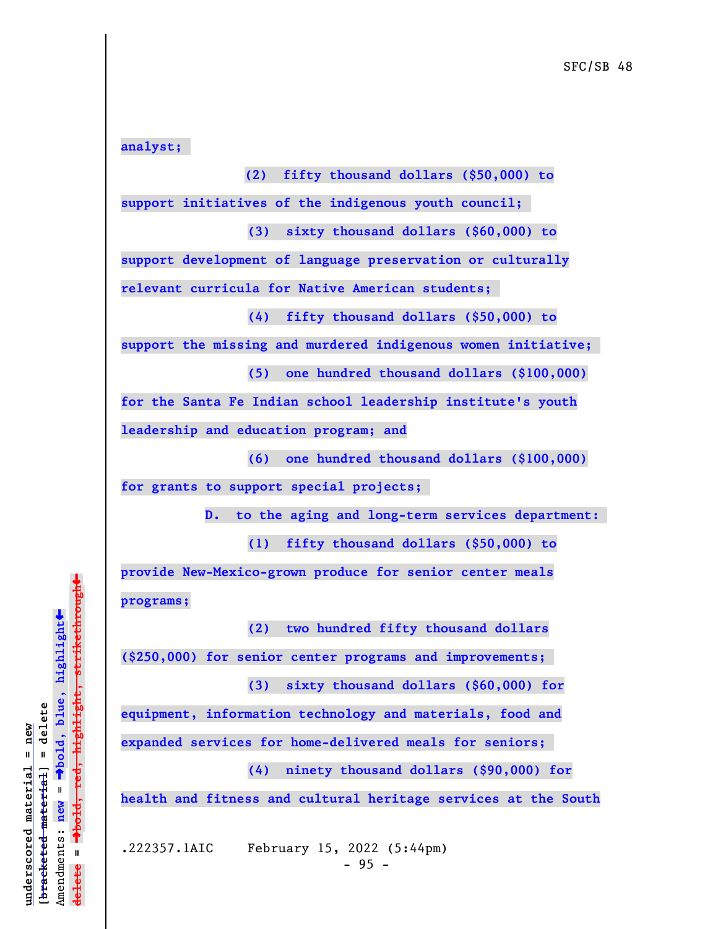**analyst; (2) fifty thousand dollars (\$50,000) to support initiatives of the indigenous youth council; (3) sixty thousand dollars (\$60,000) to support development of language preservation or culturally relevant curricula for Native American students; (4) fifty thousand dollars (\$50,000) to support the missing and murdered indigenous women initiative; (5) one hundred thousand dollars (\$100,000) for the Santa Fe Indian school leadership institute's youth leadership and education program; and (6) one hundred thousand dollars (\$100,000) for grants to support special projects; D. to the aging and long-term services department: (1) fifty thousand dollars (\$50,000) to provide New-Mexico-grown produce for senior center meals programs; (2) two hundred fifty thousand dollars (\$250,000) for senior center programs and improvements; (3) sixty thousand dollars (\$60,000) for equipment, information technology and materials, food and**

**expanded services for home-delivered meals for seniors;** 

**(4) ninety thousand dollars (\$90,000) for**

**health and fitness and cultural heritage services at the South**

.222357.1AIC February 15, 2022 (5:44pm)

 $\ddag$ º**bold, red, highlight, strikethrough**  $\ddot{\bullet}$ º**bold, blue, highlight**  $b$ racketed material] = delete **[bracketed material] = delete** inderscored material = new **underscored material = new** Amendments: **new** = Amendments: new =  $\mathbf{u}$ **delete = ielete**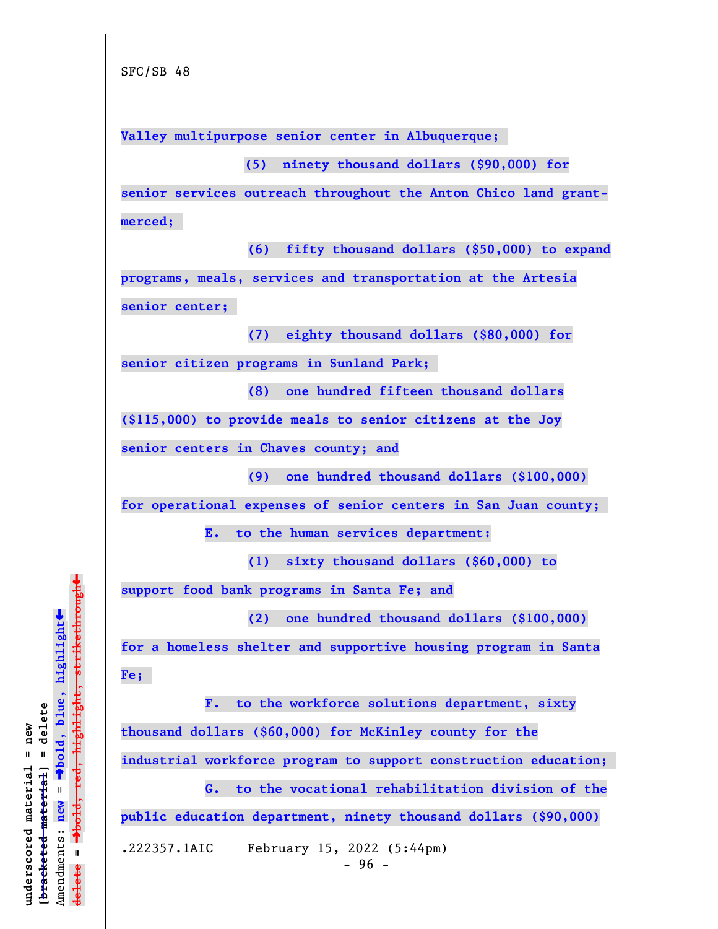**Valley multipurpose senior center in Albuquerque;** 

 **(5) ninety thousand dollars (\$90,000) for**

**senior services outreach throughout the Anton Chico land grantmerced;** 

**(6) fifty thousand dollars (\$50,000) to expand**

**programs, meals, services and transportation at the Artesia senior center;** 

**(7) eighty thousand dollars (\$80,000) for**

**senior citizen programs in Sunland Park;** 

**(8) one hundred fifteen thousand dollars**

**(\$115,000) to provide meals to senior citizens at the Joy senior centers in Chaves county; and**

**(9) one hundred thousand dollars (\$100,000)**

**for operational expenses of senior centers in San Juan county;** 

**E. to the human services department:**

**(1) sixty thousand dollars (\$60,000) to**

**support food bank programs in Santa Fe; and**

**(2) one hundred thousand dollars (\$100,000)**

**for a homeless shelter and supportive housing program in Santa Fe;** 

**F. to the workforce solutions department, sixty thousand dollars (\$60,000) for McKinley county for the industrial workforce program to support construction education;** 

**G. to the vocational rehabilitation division of the public education department, ninety thousand dollars (\$90,000)** .222357.1AIC February 15, 2022 (5:44pm)

 $-96 -$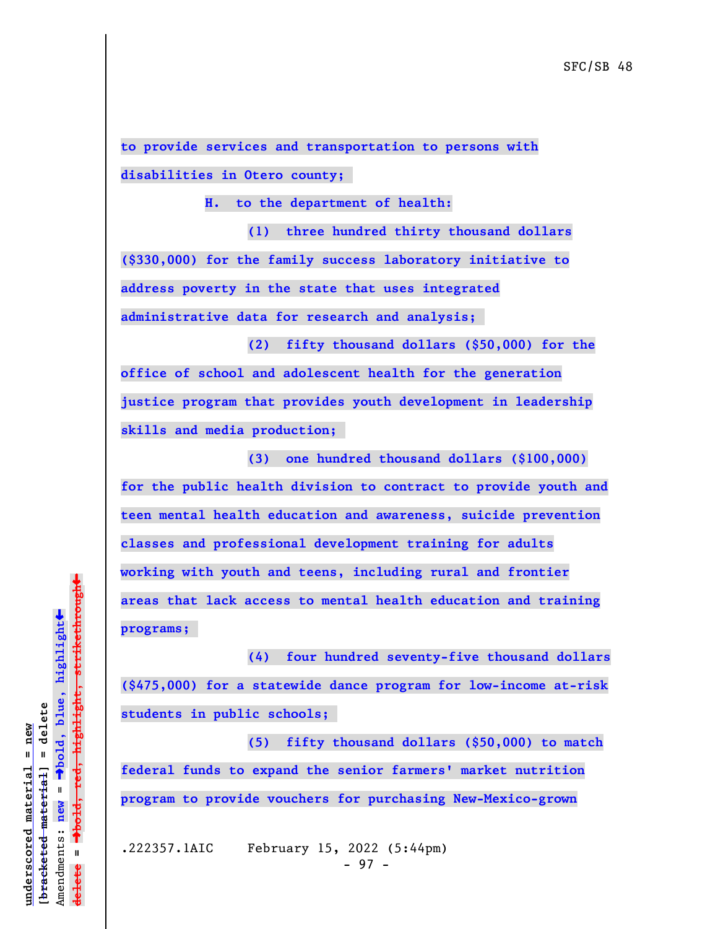**to provide services and transportation to persons with disabilities in Otero county;** 

 **H. to the department of health:**

**(1) three hundred thirty thousand dollars (\$330,000) for the family success laboratory initiative to address poverty in the state that uses integrated administrative data for research and analysis;** 

**(2) fifty thousand dollars (\$50,000) for the office of school and adolescent health for the generation justice program that provides youth development in leadership skills and media production;** 

**(3) one hundred thousand dollars (\$100,000) for the public health division to contract to provide youth and teen mental health education and awareness, suicide prevention classes and professional development training for adults working with youth and teens, including rural and frontier areas that lack access to mental health education and training programs;** 

**(4) four hundred seventy-five thousand dollars (\$475,000) for a statewide dance program for low-income at-risk students in public schools;** 

**(5) fifty thousand dollars (\$50,000) to match federal funds to expand the senior farmers' market nutrition program to provide vouchers for purchasing New-Mexico-grown**

.222357.1AIC February 15, 2022 (5:44pm) - 97 -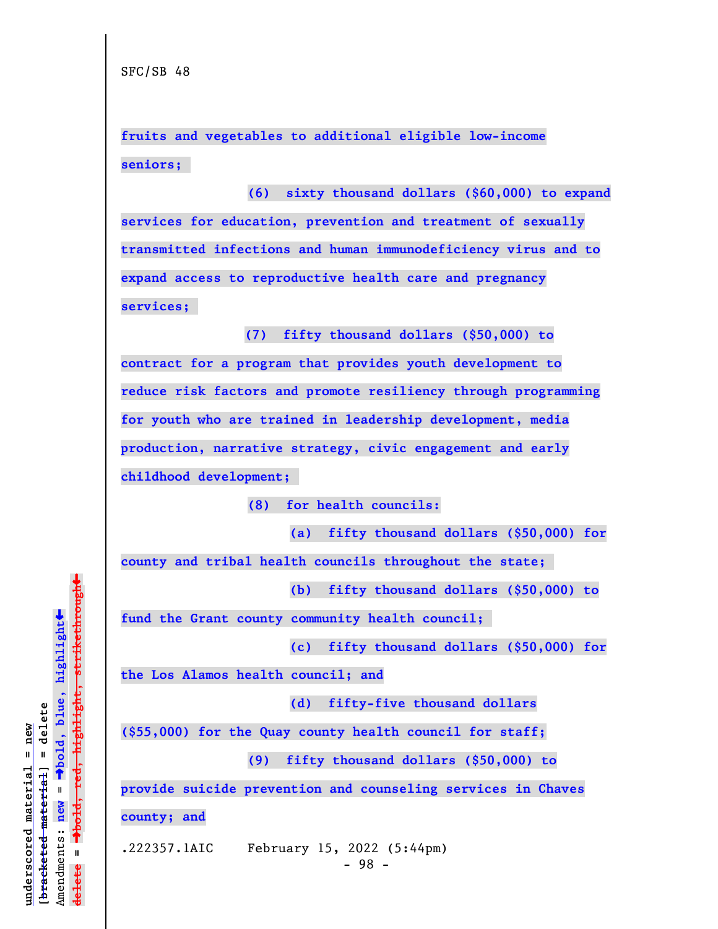**fruits and vegetables to additional eligible low-income seniors;** 

**(6) sixty thousand dollars (\$60,000) to expand services for education, prevention and treatment of sexually transmitted infections and human immunodeficiency virus and to expand access to reproductive health care and pregnancy services;** 

 **(7) fifty thousand dollars (\$50,000) to**

**contract for a program that provides youth development to reduce risk factors and promote resiliency through programming for youth who are trained in leadership development, media production, narrative strategy, civic engagement and early childhood development;** 

**(8) for health councils:**

**(a) fifty thousand dollars (\$50,000) for**

**county and tribal health councils throughout the state;** 

**(b) fifty thousand dollars (\$50,000) to**

**fund the Grant county community health council;** 

**(c) fifty thousand dollars (\$50,000) for**

**the Los Alamos health council; and**

**(d) fifty-five thousand dollars**

**(\$55,000) for the Quay county health council for staff;**

**(9) fifty thousand dollars (\$50,000) to**

**provide suicide prevention and counseling services in Chaves**

**county; and**

.222357.1AIC February 15, 2022 (5:44pm)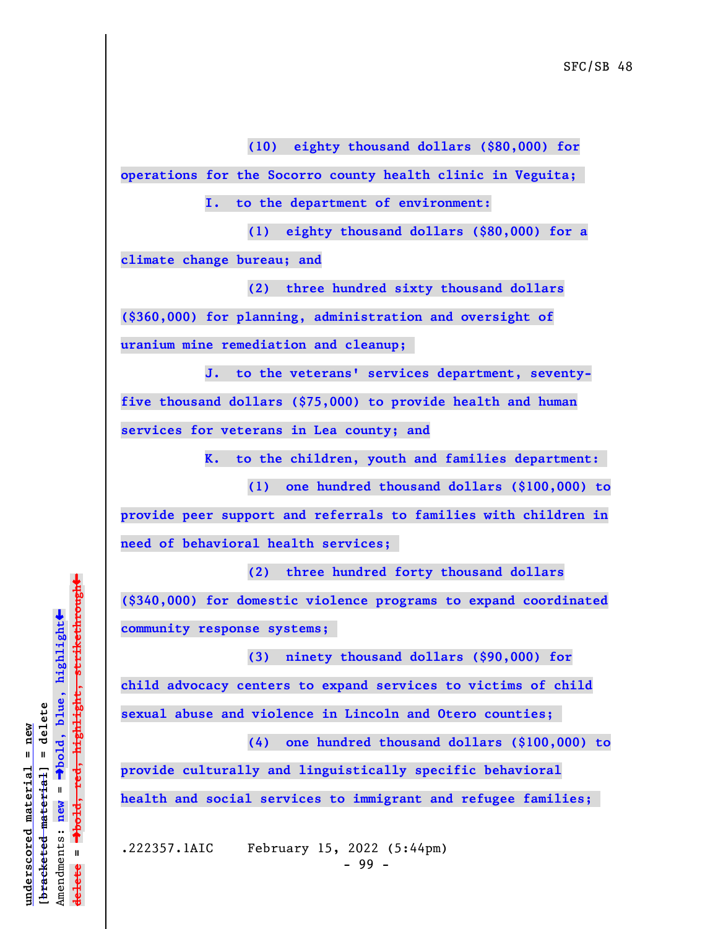**(10) eighty thousand dollars (\$80,000) for**

**operations for the Socorro county health clinic in Veguita;** 

**I. to the department of environment:**

**(1) eighty thousand dollars (\$80,000) for a climate change bureau; and**

**(2) three hundred sixty thousand dollars (\$360,000) for planning, administration and oversight of uranium mine remediation and cleanup;** 

**J. to the veterans' services department, seventyfive thousand dollars (\$75,000) to provide health and human services for veterans in Lea county; and**

**K. to the children, youth and families department:** 

**(1) one hundred thousand dollars (\$100,000) to provide peer support and referrals to families with children in need of behavioral health services;** 

**(2) three hundred forty thousand dollars (\$340,000) for domestic violence programs to expand coordinated community response systems;** 

**(3) ninety thousand dollars (\$90,000) for**

**child advocacy centers to expand services to victims of child sexual abuse and violence in Lincoln and Otero counties;** 

**(4) one hundred thousand dollars (\$100,000) to provide culturally and linguistically specific behavioral health and social services to immigrant and refugee families;** 

.222357.1AIC February 15, 2022 (5:44pm) - 99 -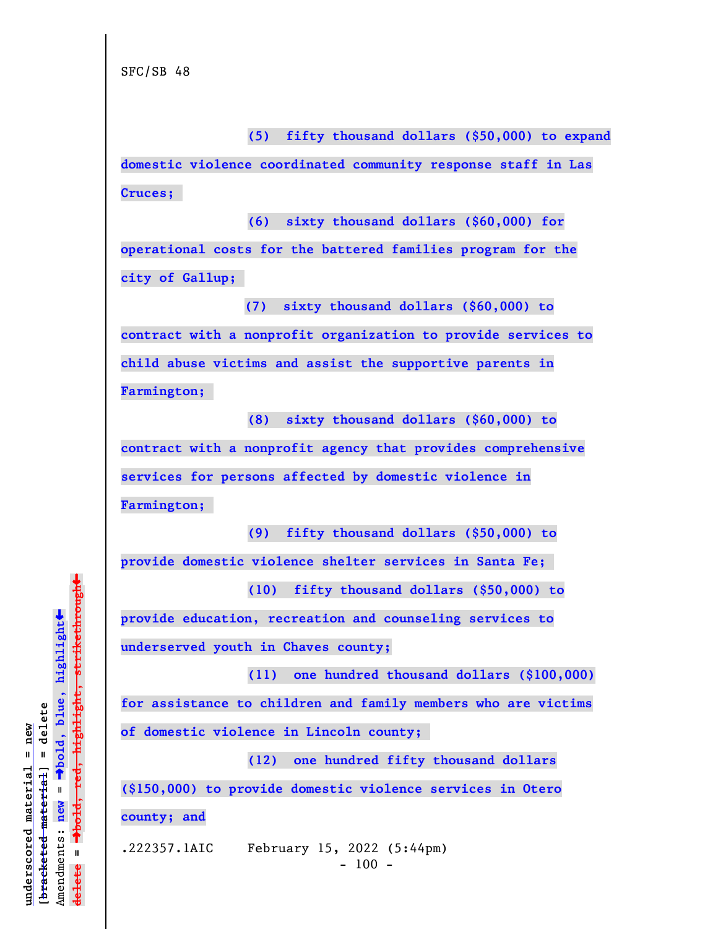**(5) fifty thousand dollars (\$50,000) to expand**

**domestic violence coordinated community response staff in Las Cruces;** 

**(6) sixty thousand dollars (\$60,000) for operational costs for the battered families program for the city of Gallup;** 

 **(7) sixty thousand dollars (\$60,000) to**

**contract with a nonprofit organization to provide services to**

**child abuse victims and assist the supportive parents in**

**Farmington;** 

**(8) sixty thousand dollars (\$60,000) to contract with a nonprofit agency that provides comprehensive services for persons affected by domestic violence in Farmington;** 

**(9) fifty thousand dollars (\$50,000) to**

**provide domestic violence shelter services in Santa Fe;** 

**(10) fifty thousand dollars (\$50,000) to**

**provide education, recreation and counseling services to underserved youth in Chaves county;**

**(11) one hundred thousand dollars (\$100,000)**

**for assistance to children and family members who are victims**

**of domestic violence in Lincoln county;** 

**(12) one hundred fifty thousand dollars (\$150,000) to provide domestic violence services in Otero**

**county; and**

.222357.1AIC February 15, 2022 (5:44pm)  $- 100 -$ 

 $\ddag$ º**bold, red, highlight, strikethrough**  $\ddot{\bullet}$ º**bold, blue, highlight**  $b$ racketed material] = delete **[bracketed material] = delete** inderscored material = new **underscored material = new** Amendments: **new** =  $\mathbf{I}$ Amendments: new  $\mathbf{I}$ **delete = ielete**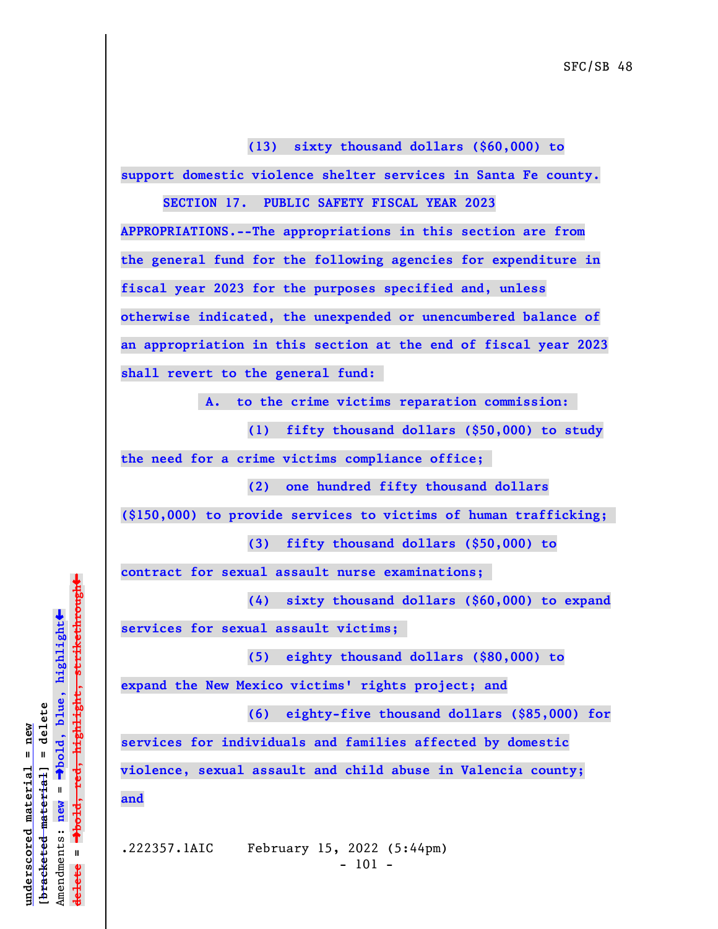**(13) sixty thousand dollars (\$60,000) to support domestic violence shelter services in Santa Fe county.**

**SECTION 17. PUBLIC SAFETY FISCAL YEAR 2023**

**APPROPRIATIONS.--The appropriations in this section are from the general fund for the following agencies for expenditure in fiscal year 2023 for the purposes specified and, unless otherwise indicated, the unexpended or unencumbered balance of an appropriation in this section at the end of fiscal year 2023 shall revert to the general fund:** 

 **A. to the crime victims reparation commission:** 

**(1) fifty thousand dollars (\$50,000) to study the need for a crime victims compliance office;** 

**(2) one hundred fifty thousand dollars**

**(\$150,000) to provide services to victims of human trafficking;** 

**(3) fifty thousand dollars (\$50,000) to**

**contract for sexual assault nurse examinations;** 

**(4) sixty thousand dollars (\$60,000) to expand**

**services for sexual assault victims;** 

**(5) eighty thousand dollars (\$80,000) to**

**expand the New Mexico victims' rights project; and**

**(6) eighty-five thousand dollars (\$85,000) for**

**services for individuals and families affected by domestic**

**violence, sexual assault and child abuse in Valencia county; and**

.222357.1AIC February 15, 2022 (5:44pm) - 101 -

 $\ddag$ º**bold, red, highlight, strikethrough**  $\ddot{\bullet}$ º**bold, blue, highlight** bracketed material] = delete **[bracketed material] = delete** inderscored material = new **underscored material = new** Amendments: **new** =  $\mathbf{I}$ Amendments: new  $\mathbf{u}$ **delete =** lelete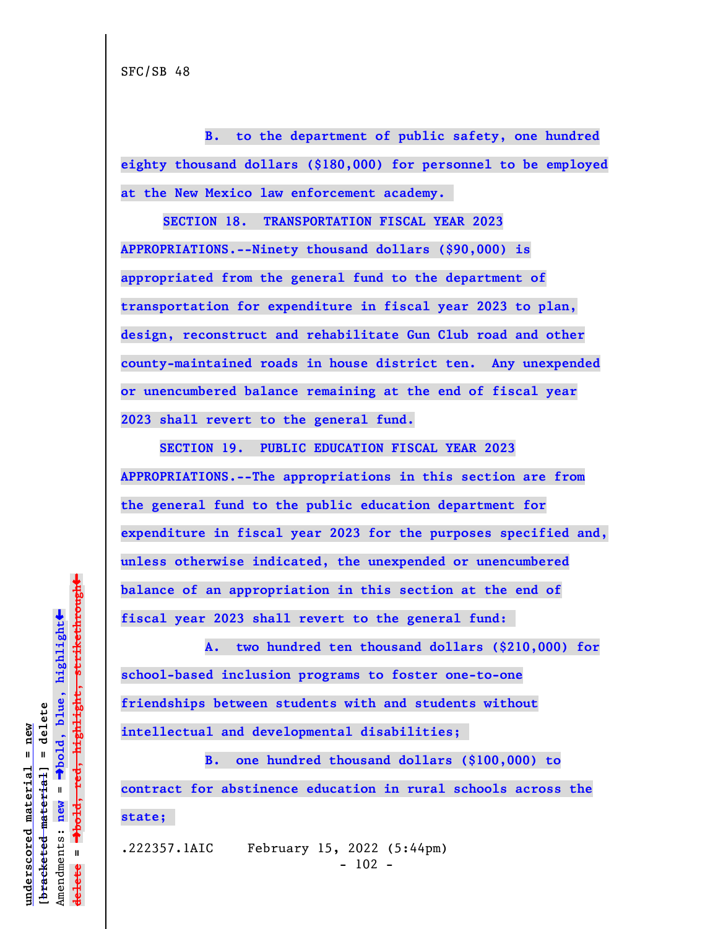**B. to the department of public safety, one hundred eighty thousand dollars (\$180,000) for personnel to be employed at the New Mexico law enforcement academy.** 

**SECTION 18. TRANSPORTATION FISCAL YEAR 2023 APPROPRIATIONS.--Ninety thousand dollars (\$90,000) is appropriated from the general fund to the department of transportation for expenditure in fiscal year 2023 to plan, design, reconstruct and rehabilitate Gun Club road and other county-maintained roads in house district ten. Any unexpended or unencumbered balance remaining at the end of fiscal year 2023 shall revert to the general fund.**

 **SECTION 19. PUBLIC EDUCATION FISCAL YEAR 2023 APPROPRIATIONS.--The appropriations in this section are from the general fund to the public education department for expenditure in fiscal year 2023 for the purposes specified and, unless otherwise indicated, the unexpended or unencumbered balance of an appropriation in this section at the end of fiscal year 2023 shall revert to the general fund:** 

**A. two hundred ten thousand dollars (\$210,000) for school-based inclusion programs to foster one-to-one friendships between students with and students without intellectual and developmental disabilities;** 

**B. one hundred thousand dollars (\$100,000) to contract for abstinence education in rural schools across the state;** 

.222357.1AIC February 15, 2022 (5:44pm)  $- 102 -$ 

 $\ddag$ º**bold, red, highlight, strikethrough**  $\ddot{\bullet}$ º**bold, blue, highlight**  $b$ racketed material] = delete **[bracketed material] = delete** inderscored material = new **underscored material = new** Amendments: new = Amendments: **new** =  $\mathbf{u}$ **delete =** lelete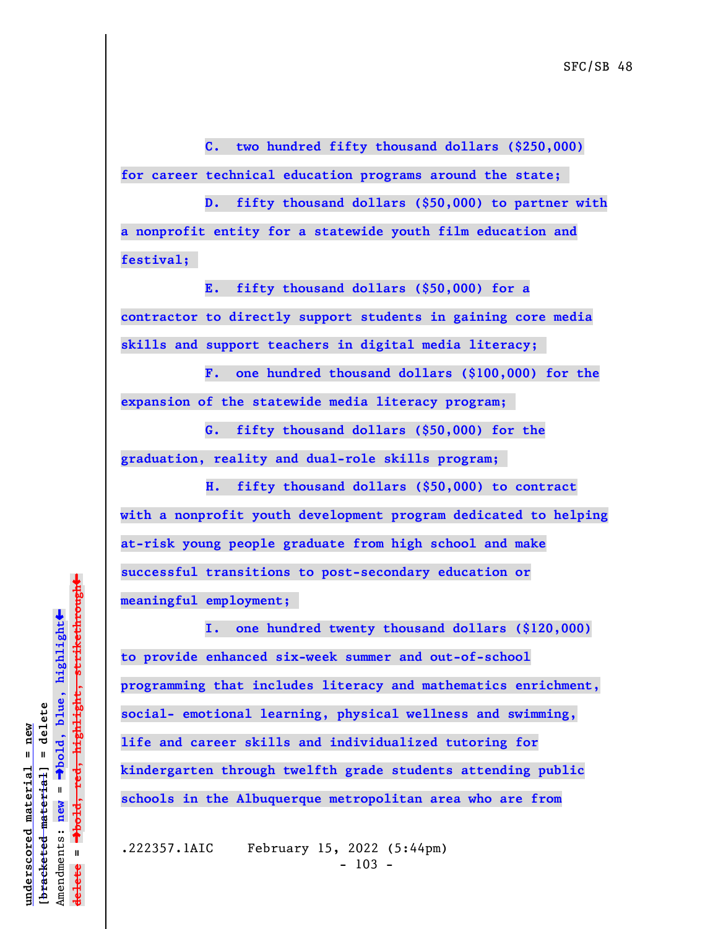**C. two hundred fifty thousand dollars (\$250,000) for career technical education programs around the state;** 

**D. fifty thousand dollars (\$50,000) to partner with a nonprofit entity for a statewide youth film education and festival;** 

**E. fifty thousand dollars (\$50,000) for a contractor to directly support students in gaining core media skills and support teachers in digital media literacy;** 

**F. one hundred thousand dollars (\$100,000) for the expansion of the statewide media literacy program;** 

**G. fifty thousand dollars (\$50,000) for the graduation, reality and dual-role skills program;** 

 **H. fifty thousand dollars (\$50,000) to contract with a nonprofit youth development program dedicated to helping at-risk young people graduate from high school and make successful transitions to post-secondary education or meaningful employment;** 

**I. one hundred twenty thousand dollars (\$120,000) to provide enhanced six-week summer and out-of-school programming that includes literacy and mathematics enrichment, social- emotional learning, physical wellness and swimming, life and career skills and individualized tutoring for kindergarten through twelfth grade students attending public schools in the Albuquerque metropolitan area who are from**

.222357.1AIC February 15, 2022 (5:44pm)  $- 103 -$ 

 $\ddag$ º**bold, red, highlight, strikethrough**  $\ddot{\bullet}$ º**bold, blue, highlight**  $b$ racketed material] = delete **[bracketed material] = delete** inderscored material = new **underscored material = new** Amendments: new = Amendments: **new** =  $\mathbf{u}$ **delete =** lelete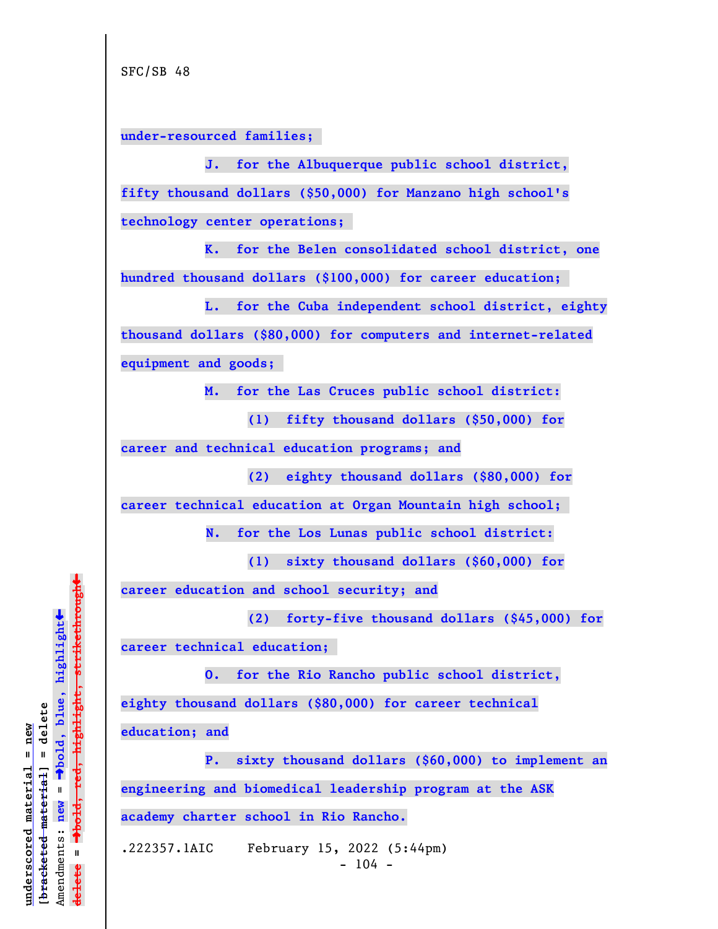**under-resourced families;** 

**J. for the Albuquerque public school district, fifty thousand dollars (\$50,000) for Manzano high school's technology center operations;** 

**K. for the Belen consolidated school district, one hundred thousand dollars (\$100,000) for career education;** 

**L. for the Cuba independent school district, eighty thousand dollars (\$80,000) for computers and internet-related equipment and goods;** 

**M. for the Las Cruces public school district:**

**(1) fifty thousand dollars (\$50,000) for**

**career and technical education programs; and**

**(2) eighty thousand dollars (\$80,000) for**

**career technical education at Organ Mountain high school;** 

 **N. for the Los Lunas public school district:**

**(1) sixty thousand dollars (\$60,000) for**

**career education and school security; and**

**(2) forty-five thousand dollars (\$45,000) for**

**career technical education;** 

**O. for the Rio Rancho public school district, eighty thousand dollars (\$80,000) for career technical education; and**

**P. sixty thousand dollars (\$60,000) to implement an engineering and biomedical leadership program at the ASK academy charter school in Rio Rancho.**

.222357.1AIC February 15, 2022 (5:44pm)  $-104 -$ 

 $\ddag$ º**bold, red, highlight, strikethrough**  $\ddot{\bullet}$ º**bold, blue, highlight**  $b$ racketed material] = delete **[bracketed material] = delete** inderscored material = new **underscored material = new** Amendments: **new** =  $\mathbf{I}$ Amendments: new  $\mathbf{I}$ **delete =** lelete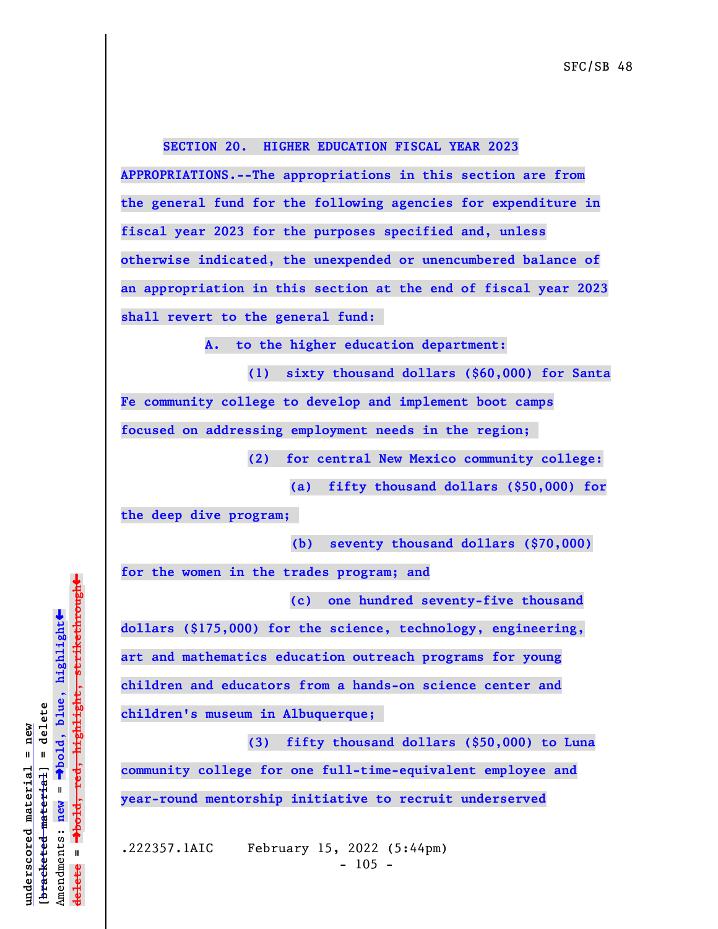## **SECTION 20. HIGHER EDUCATION FISCAL YEAR 2023**

**APPROPRIATIONS.--The appropriations in this section are from the general fund for the following agencies for expenditure in fiscal year 2023 for the purposes specified and, unless otherwise indicated, the unexpended or unencumbered balance of an appropriation in this section at the end of fiscal year 2023 shall revert to the general fund:** 

**A. to the higher education department:**

**(1) sixty thousand dollars (\$60,000) for Santa Fe community college to develop and implement boot camps focused on addressing employment needs in the region;** 

**(2) for central New Mexico community college:**

**(a) fifty thousand dollars (\$50,000) for**

**the deep dive program;** 

 **(b) seventy thousand dollars (\$70,000)**

**for the women in the trades program; and**

**(c) one hundred seventy-five thousand**

**dollars (\$175,000) for the science, technology, engineering,**

**art and mathematics education outreach programs for young**

**children and educators from a hands-on science center and**

**children's museum in Albuquerque;** 

**(3) fifty thousand dollars (\$50,000) to Luna community college for one full-time-equivalent employee and year-round mentorship initiative to recruit underserved**

.222357.1AIC February 15, 2022 (5:44pm)  $- 105 -$ 

 $\ddag$ º**bold, red, highlight, strikethrough**  $\ddot{\bullet}$ º**bold, blue, highlight** bracketed material] = delete **[bracketed material] = delete** inderscored material = new **underscored material = new**  $\mathbf{u}$ Amendments: **new** = Amendments: new  $\mathbf{u}$ **delete =** lelete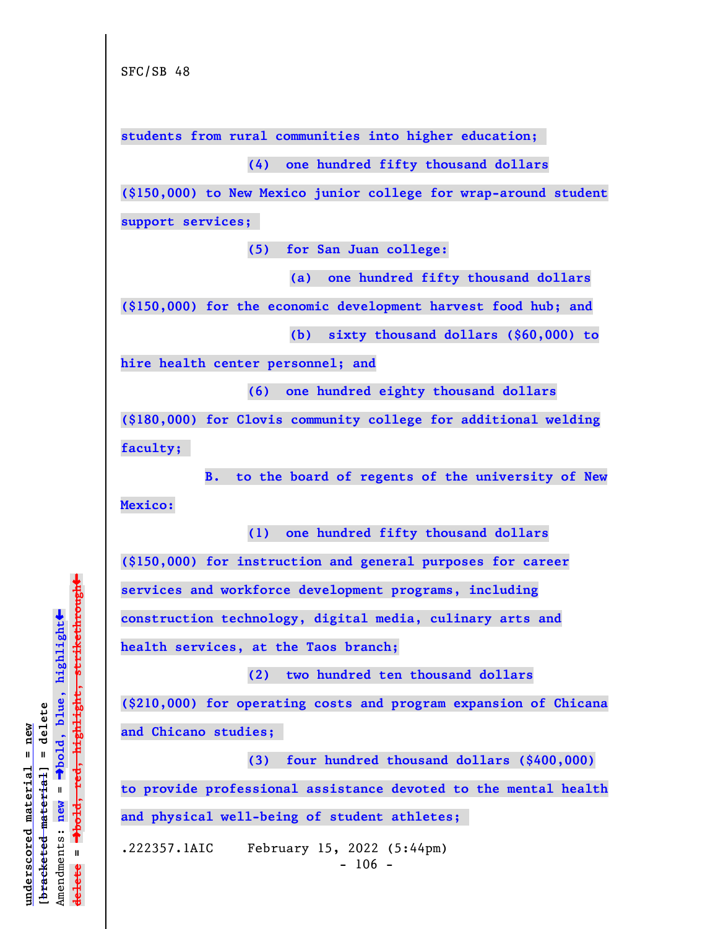**students from rural communities into higher education;** 

**(4) one hundred fifty thousand dollars**

**(\$150,000) to New Mexico junior college for wrap-around student**

**support services;** 

**(5) for San Juan college:**

**(a) one hundred fifty thousand dollars**

**(\$150,000) for the economic development harvest food hub; and**

**(b) sixty thousand dollars (\$60,000) to**

**hire health center personnel; and**

**(6) one hundred eighty thousand dollars**

**(\$180,000) for Clovis community college for additional welding faculty;** 

**B. to the board of regents of the university of New Mexico:**

**(1) one hundred fifty thousand dollars**

**(\$150,000) for instruction and general purposes for career**

**services and workforce development programs, including**

**construction technology, digital media, culinary arts and**

**health services, at the Taos branch;**

**(2) two hundred ten thousand dollars**

**(\$210,000) for operating costs and program expansion of Chicana and Chicano studies;** 

**(3) four hundred thousand dollars (\$400,000) to provide professional assistance devoted to the mental health and physical well-being of student athletes;** 

.222357.1AIC February 15, 2022 (5:44pm)  $- 106 -$ 

 $\ddag$ º**bold, red, highlight, strikethrough**  $\ddot{\bullet}$ º**bold, blue, highlight**  $b$ racketed material] = delete **[bracketed material] = delete** inderscored material = new **underscored material = new** Amendments: **new** =  $\mathbf{I}$ Amendments: new  $\mathbf{I}$ **delete = ielete**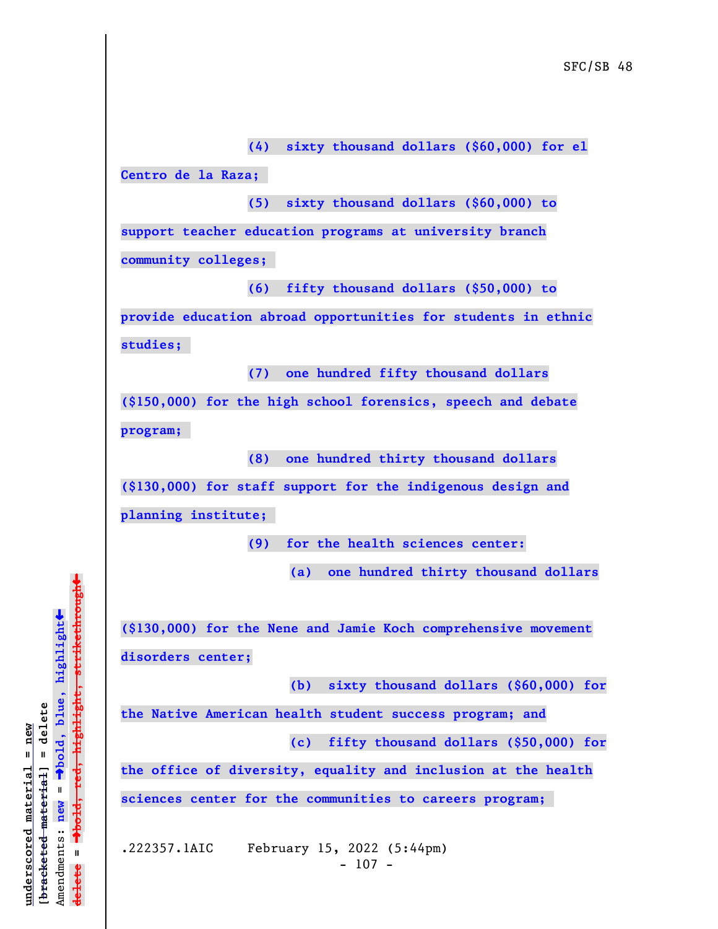**(4) sixty thousand dollars (\$60,000) for el Centro de la Raza; (5) sixty thousand dollars (\$60,000) to support teacher education programs at university branch community colleges; (6) fifty thousand dollars (\$50,000) to provide education abroad opportunities for students in ethnic studies; (7) one hundred fifty thousand dollars (\$150,000) for the high school forensics, speech and debate program; (8) one hundred thirty thousand dollars (\$130,000) for staff support for the indigenous design and planning institute; (9) for the health sciences center: (a) one hundred thirty thousand dollars (\$130,000) for the Nene and Jamie Koch comprehensive movement disorders center; (b) sixty thousand dollars (\$60,000) for the Native American health student success program; and (c) fifty thousand dollars (\$50,000) for the office of diversity, equality and inclusion at the health sciences center for the communities to careers program;**  .222357.1AIC February 15, 2022 (5:44pm)  $- 107 -$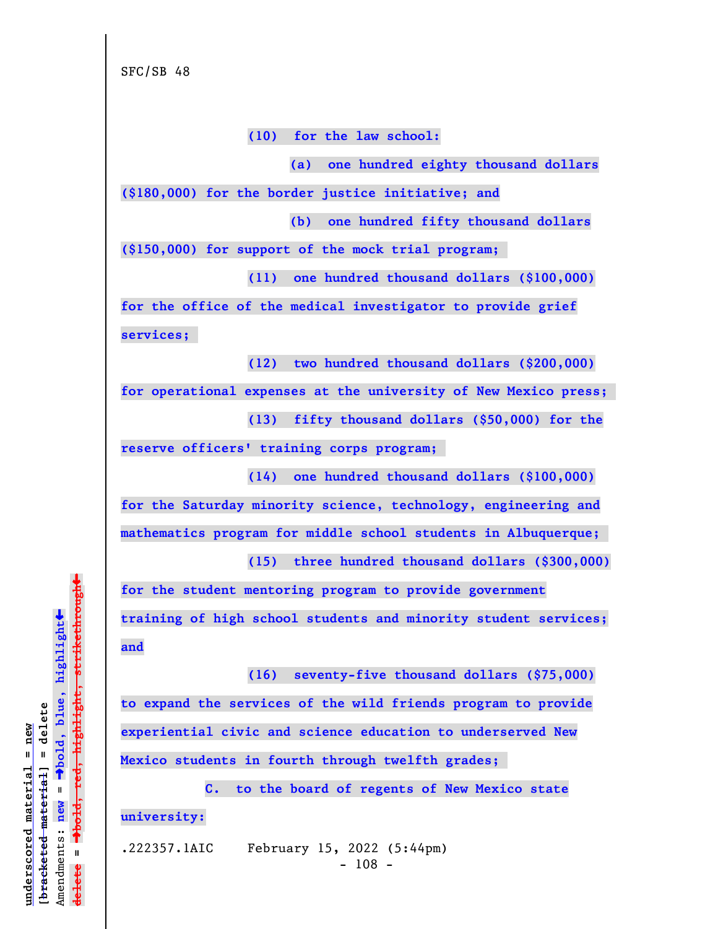**(10) for the law school:**

**(a) one hundred eighty thousand dollars**

**(\$180,000) for the border justice initiative; and**

**(b) one hundred fifty thousand dollars**

**(\$150,000) for support of the mock trial program;** 

**(11) one hundred thousand dollars (\$100,000)**

**for the office of the medical investigator to provide grief services;** 

**(12) two hundred thousand dollars (\$200,000)**

**for operational expenses at the university of New Mexico press;** 

**(13) fifty thousand dollars (\$50,000) for the**

**reserve officers' training corps program;** 

**(14) one hundred thousand dollars (\$100,000) for the Saturday minority science, technology, engineering and mathematics program for middle school students in Albuquerque; (15) three hundred thousand dollars (\$300,000)**

**for the student mentoring program to provide government training of high school students and minority student services; and**

**(16) seventy-five thousand dollars (\$75,000) to expand the services of the wild friends program to provide**

**experiential civic and science education to underserved New Mexico students in fourth through twelfth grades;** 

**C. to the board of regents of New Mexico state**

**university:**

.222357.1AIC February 15, 2022 (5:44pm)

- 108 -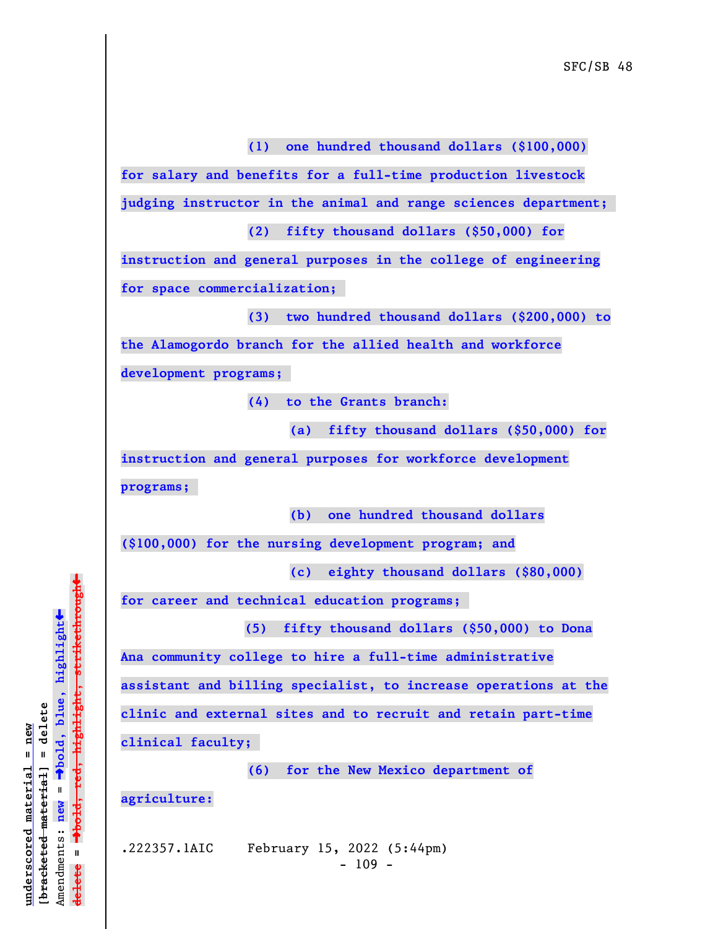**(1) one hundred thousand dollars (\$100,000)**

**for salary and benefits for a full-time production livestock**

**judging instructor in the animal and range sciences department;** 

**(2) fifty thousand dollars (\$50,000) for**

**instruction and general purposes in the college of engineering for space commercialization;** 

**(3) two hundred thousand dollars (\$200,000) to the Alamogordo branch for the allied health and workforce development programs;** 

**(4) to the Grants branch:**

**(a) fifty thousand dollars (\$50,000) for**

**instruction and general purposes for workforce development programs;** 

**(b) one hundred thousand dollars**

**(\$100,000) for the nursing development program; and**

**(c) eighty thousand dollars (\$80,000)**

**for career and technical education programs;** 

 **(5) fifty thousand dollars (\$50,000) to Dona**

**Ana community college to hire a full-time administrative**

**assistant and billing specialist, to increase operations at the**

**clinic and external sites and to recruit and retain part-time**

**clinical faculty;** 

**(6) for the New Mexico department of**

**agriculture:**

.222357.1AIC February 15, 2022 (5:44pm)  $- 109 -$ 

º**bold, red, highlight, strikethrough**  $\ddot{\bullet}$ º**bold, blue, highlight**  $b$ racketed material] = delete **[bracketed material] = delete** inderscored material = new **underscored material = new** Amendments: new = Amendments: **new** =  $\mathbf{u}$ **delete =** lelete

 $\ddag$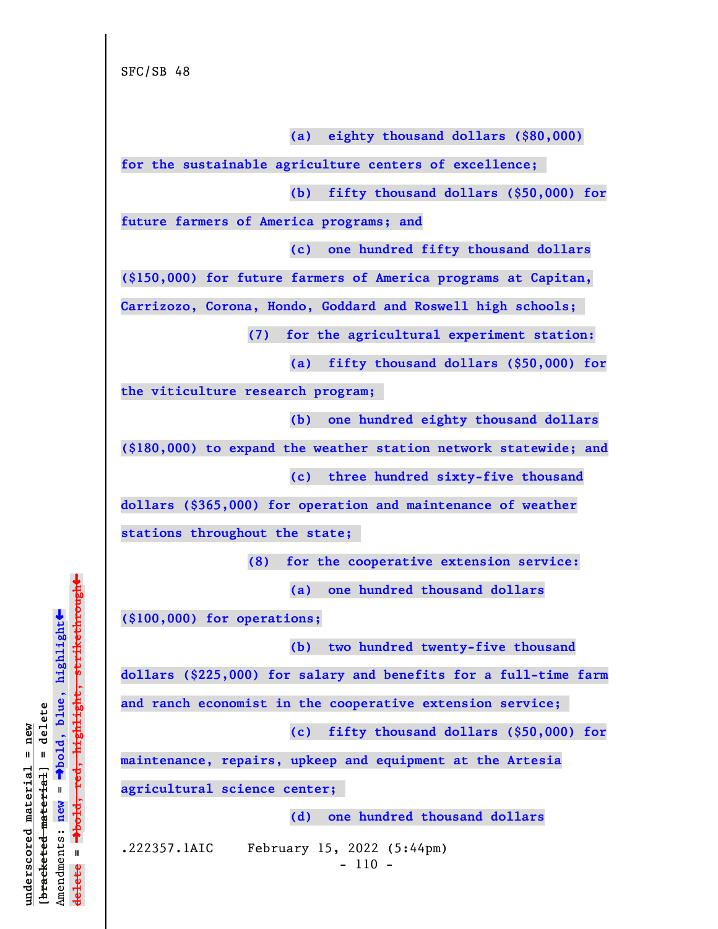SFC/SB 48

**(a) eighty thousand dollars (\$80,000)**

**for the sustainable agriculture centers of excellence;** 

**(b) fifty thousand dollars (\$50,000) for**

**future farmers of America programs; and**

**(c) one hundred fifty thousand dollars**

**(\$150,000) for future farmers of America programs at Capitan,**

**Carrizozo, Corona, Hondo, Goddard and Roswell high schools;** 

**(7) for the agricultural experiment station:**

**(a) fifty thousand dollars (\$50,000) for**

**the viticulture research program;** 

**(b) one hundred eighty thousand dollars**

**(\$180,000) to expand the weather station network statewide; and**

**(c) three hundred sixty-five thousand**

**dollars (\$365,000) for operation and maintenance of weather**

**stations throughout the state;** 

**(8) for the cooperative extension service:**

**(a) one hundred thousand dollars**

**(\$100,000) for operations;**

**(b) two hundred twenty-five thousand**

**dollars (\$225,000) for salary and benefits for a full-time farm**

**and ranch economist in the cooperative extension service;** 

**(c) fifty thousand dollars (\$50,000) for**

**maintenance, repairs, upkeep and equipment at the Artesia**

**agricultural science center;** 

**(d) one hundred thousand dollars**

.222357.1AIC February 15, 2022 (5:44pm)

- 110 -

 $\ddag$ º**bold, red, highlight, strikethrough**  $\ddot{\bullet}$ º**bold, blue, highlight**  $b$ racketed material] = delete **[bracketed material] = delete** inderscored material = new **underscored material = new** Amendments: **new** =  $\mathbf{I}$ Amendments: new  $\mathbf{u}$ **delete =** lelete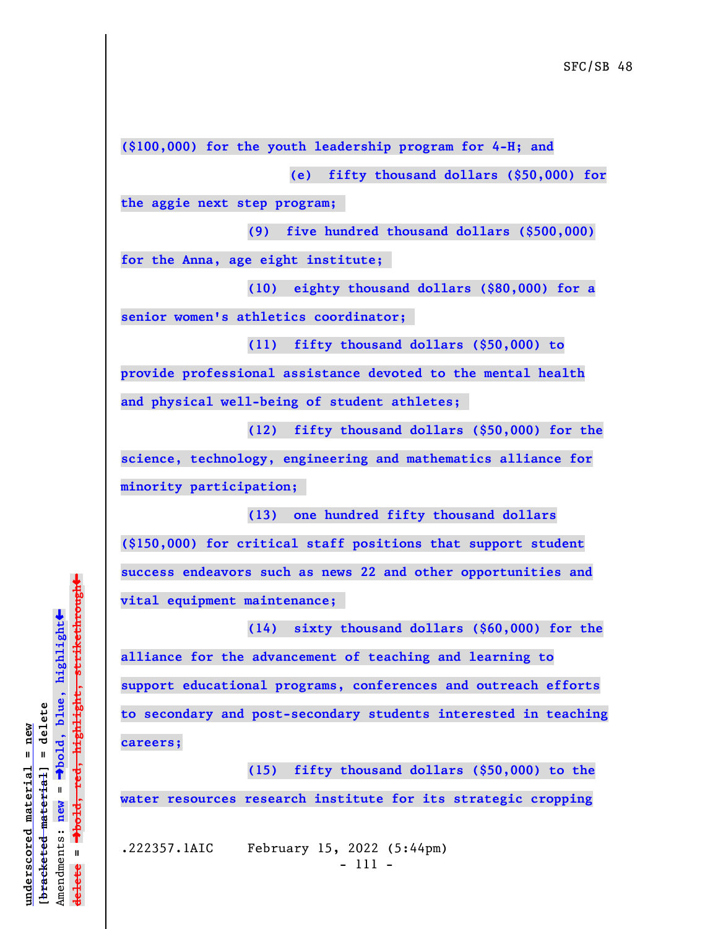**(\$100,000) for the youth leadership program for 4-H; and**

**(e) fifty thousand dollars (\$50,000) for**

**the aggie next step program;** 

**(9) five hundred thousand dollars (\$500,000)**

**for the Anna, age eight institute;** 

**(10) eighty thousand dollars (\$80,000) for a senior women's athletics coordinator;** 

**(11) fifty thousand dollars (\$50,000) to provide professional assistance devoted to the mental health and physical well-being of student athletes;** 

**(12) fifty thousand dollars (\$50,000) for the science, technology, engineering and mathematics alliance for minority participation;** 

**(13) one hundred fifty thousand dollars (\$150,000) for critical staff positions that support student success endeavors such as news 22 and other opportunities and vital equipment maintenance;** 

**(14) sixty thousand dollars (\$60,000) for the alliance for the advancement of teaching and learning to support educational programs, conferences and outreach efforts to secondary and post-secondary students interested in teaching careers;**

**(15) fifty thousand dollars (\$50,000) to the water resources research institute for its strategic cropping**

.222357.1AIC February 15, 2022 (5:44pm) - 111 -

 $\ddag$ º**bold, red, highlight, strikethrough**  $\ddot{\bullet}$ º**bold, blue, highlight**  $b$ racketed material] = delete **[bracketed material] = delete** inderscored material = new **underscored material = new** Amendments: new = Amendments: **new** =  $\mathbf{u}$ **delete =** lelete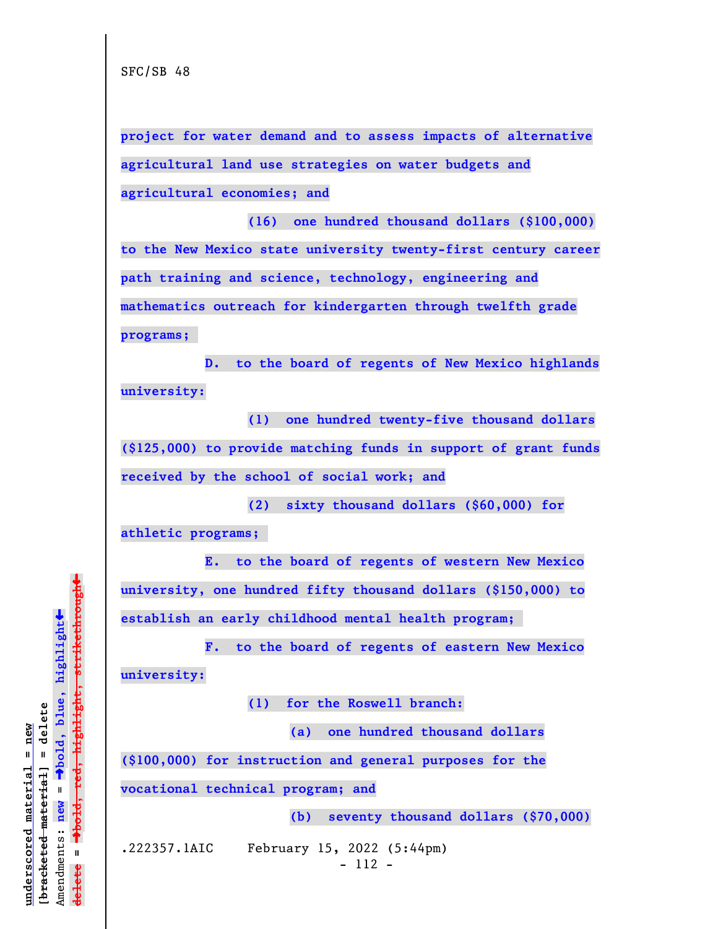SFC/SB 48

**project for water demand and to assess impacts of alternative agricultural land use strategies on water budgets and agricultural economies; and**

**(16) one hundred thousand dollars (\$100,000) to the New Mexico state university twenty-first century career path training and science, technology, engineering and mathematics outreach for kindergarten through twelfth grade programs;** 

**D. to the board of regents of New Mexico highlands university:**

**(1) one hundred twenty-five thousand dollars (\$125,000) to provide matching funds in support of grant funds received by the school of social work; and**

**(2) sixty thousand dollars (\$60,000) for**

**athletic programs;** 

**E. to the board of regents of western New Mexico university, one hundred fifty thousand dollars (\$150,000) to establish an early childhood mental health program;** 

**F. to the board of regents of eastern New Mexico university:**

**(1) for the Roswell branch:**

**(a) one hundred thousand dollars**

**(\$100,000) for instruction and general purposes for the**

**vocational technical program; and**

**(b) seventy thousand dollars (\$70,000)**

.222357.1AIC February 15, 2022 (5:44pm)

- 112 -

 $\ddag$ º**bold, red, highlight, strikethrough**  $\ddot{\bullet}$ º**bold, blue, highlight**  $b$ racketed material] = delete **[bracketed material] = delete** inderscored material = new **underscored material = new** Amendments: new = Amendments: **new** =  $\mathbf{u}$ **delete =** lelete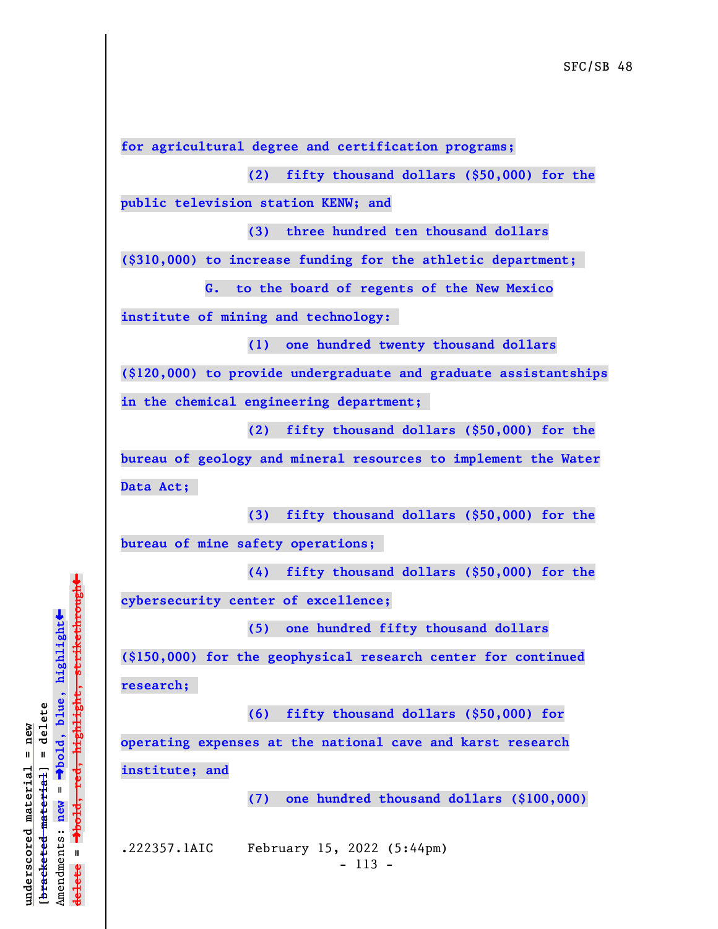**for agricultural degree and certification programs;**

**(2) fifty thousand dollars (\$50,000) for the**

**public television station KENW; and**

**(3) three hundred ten thousand dollars**

**(\$310,000) to increase funding for the athletic department;** 

**G. to the board of regents of the New Mexico**

**institute of mining and technology:** 

**(1) one hundred twenty thousand dollars**

**(\$120,000) to provide undergraduate and graduate assistantships in the chemical engineering department;** 

**(2) fifty thousand dollars (\$50,000) for the**

**bureau of geology and mineral resources to implement the Water Data Act;** 

**(3) fifty thousand dollars (\$50,000) for the bureau of mine safety operations;** 

**(4) fifty thousand dollars (\$50,000) for the cybersecurity center of excellence;**

**(5) one hundred fifty thousand dollars**

**(\$150,000) for the geophysical research center for continued research;** 

**(6) fifty thousand dollars (\$50,000) for**

**operating expenses at the national cave and karst research institute; and**

**(7) one hundred thousand dollars (\$100,000)**

.222357.1AIC February 15, 2022 (5:44pm) - 113 -